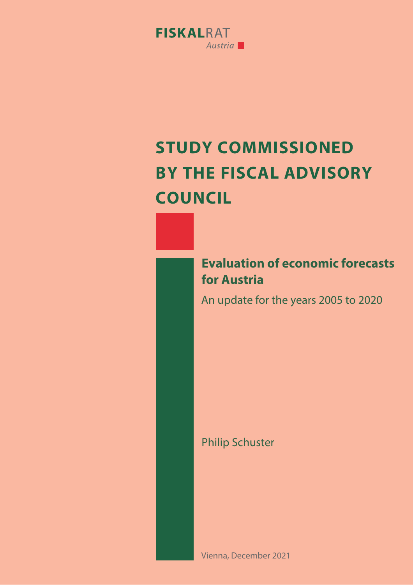

# **5TUDY COMMISSIONED BY THE FISCAL ADVISORY COUNCIL**

**Evaluation of economic forecasts for Austria**

An update for the years 2005 to 2020

Philip Schuster

Vienna, December 2021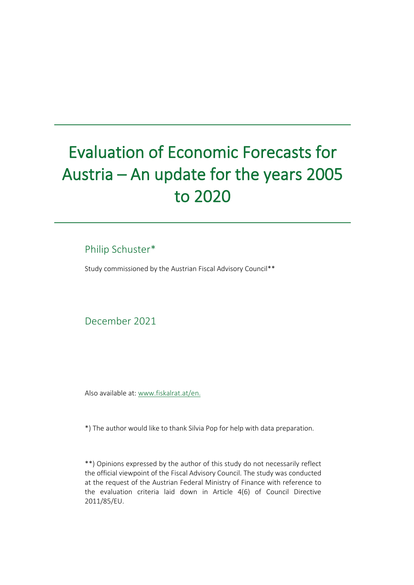# Evaluation of Economic Forecasts for Austria – An update for the years 2005 to 2020

# Philip Schuster\*

Study commissioned by the Austrian Fiscal Advisory Council\*\*

December 2021

Also available at: [www.fiskalrat.at/en.](http://www.fiskalrat.at/en)

\*) The author would like to thank Silvia Pop for help with data preparation.

\*\*) Opinions expressed by the author of this study do not necessarily reflect the official viewpoint of the Fiscal Advisory Council. The study was conducted at the request of the Austrian Federal Ministry of Finance with reference to the evaluation criteria laid down in Article 4(6) of Council Directive 2011/85/EU.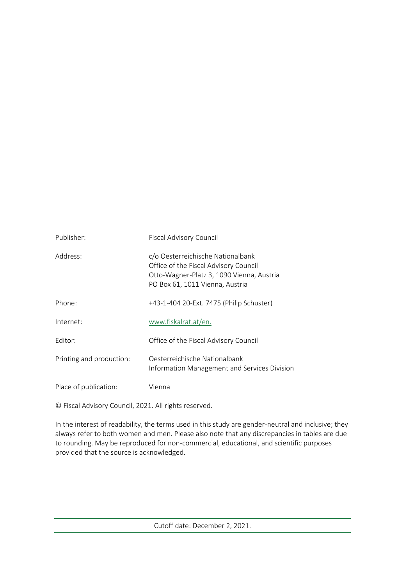| Publisher:               | <b>Fiscal Advisory Council</b>                                                                                                                             |
|--------------------------|------------------------------------------------------------------------------------------------------------------------------------------------------------|
| Address:                 | c/o Oesterreichische Nationalbank<br>Office of the Fiscal Advisory Council<br>Otto-Wagner-Platz 3, 1090 Vienna, Austria<br>PO Box 61, 1011 Vienna, Austria |
| Phone:                   | +43-1-404 20-Ext. 7475 (Philip Schuster)                                                                                                                   |
| Internet:                | www.fiskalrat.at/en.                                                                                                                                       |
| Fditor:                  | Office of the Fiscal Advisory Council                                                                                                                      |
| Printing and production: | Oesterreichische Nationalbank<br>Information Management and Services Division                                                                              |
| Place of publication:    | Vienna                                                                                                                                                     |

© Fiscal Advisory Council, 2021. All rights reserved.

In the interest of readability, the terms used in this study are gender-neutral and inclusive; they always refer to both women and men. Please also note that any discrepancies in tables are due to rounding. May be reproduced for non-commercial, educational, and scientific purposes provided that the source is acknowledged.

Cutoff date: December 2, 2021.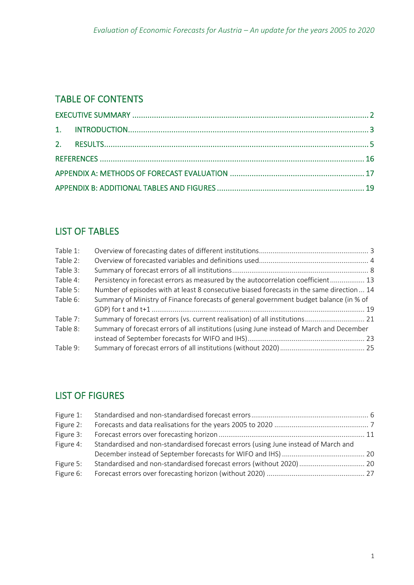# TABLE OF CONTENTS

## LIST OF TABLES

| Table 1: |                                                                                           |  |
|----------|-------------------------------------------------------------------------------------------|--|
| Table 2: |                                                                                           |  |
| Table 3: |                                                                                           |  |
| Table 4: | Persistency in forecast errors as measured by the autocorrelation coefficient 13          |  |
| Table 5: | Number of episodes with at least 8 consecutive biased forecasts in the same direction  14 |  |
| Table 6: | Summary of Ministry of Finance forecasts of general government budget balance (in % of    |  |
|          |                                                                                           |  |
| Table 7: | Summary of forecast errors (vs. current realisation) of all institutions 21               |  |
| Table 8: | Summary of forecast errors of all institutions (using June instead of March and December  |  |
|          |                                                                                           |  |
| Table 9: |                                                                                           |  |

# LIST OF FIGURES

| Figure 1: |                                                                                    |  |
|-----------|------------------------------------------------------------------------------------|--|
| Figure 2: |                                                                                    |  |
| Figure 3: |                                                                                    |  |
| Figure 4: | Standardised and non-standardised forecast errors (using June instead of March and |  |
|           |                                                                                    |  |
| Figure 5: |                                                                                    |  |
| Figure 6: |                                                                                    |  |
|           |                                                                                    |  |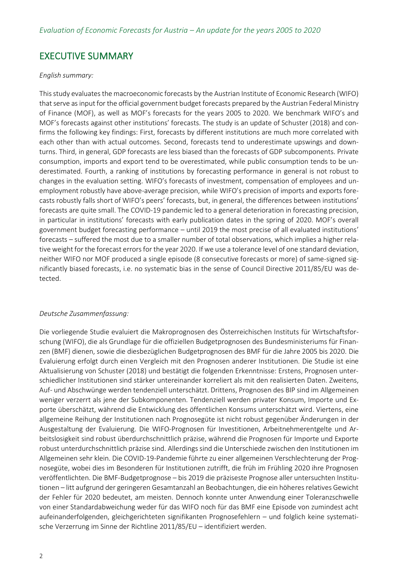## <span id="page-5-0"></span>EXECUTIVE SUMMARY

#### *English summary:*

This study evaluates the macroeconomic forecasts by the Austrian Institute of Economic Research (WIFO) that serve as input for the official government budget forecasts prepared by the Austrian Federal Ministry of Finance (MOF), as well as MOF's forecasts for the years 2005 to 2020. We benchmark WIFO's and MOF's forecasts against other institutions' forecasts. The study is an update of Schuster (2018) and confirms the following key findings: First, forecasts by different institutions are much more correlated with each other than with actual outcomes. Second, forecasts tend to underestimate upswings and downturns. Third, in general, GDP forecasts are less biased than the forecasts of GDP subcomponents. Private consumption, imports and export tend to be overestimated, while public consumption tends to be underestimated. Fourth, a ranking of institutions by forecasting performance in general is not robust to changes in the evaluation setting. WIFO's forecasts of investment, compensation of employees and unemployment robustly have above-average precision, while WIFO's precision of imports and exports forecasts robustly falls short of WIFO's peers' forecasts, but, in general, the differences between institutions' forecasts are quite small. The COVID-19 pandemic led to a general deterioration in forecasting precision, in particular in institutions' forecasts with early publication dates in the spring of 2020. MOF's overall government budget forecasting performance – until 2019 the most precise of all evaluated institutions' forecasts – suffered the most due to a smaller number of total observations, which implies a higher relative weight for the forecast errors for the year 2020. If we use a tolerance level of one standard deviation, neither WIFO nor MOF produced a single episode (8 consecutive forecasts or more) of same-signed significantly biased forecasts, i.e. no systematic bias in the sense of Council Directive 2011/85/EU was detected.

#### *Deutsche Zusammenfassung:*

Die vorliegende Studie evaluiert die Makroprognosen des Österreichischen Instituts für Wirtschaftsforschung (WIFO), die als Grundlage für die offiziellen Budgetprognosen des Bundesministeriums für Finanzen (BMF) dienen, sowie die diesbezüglichen Budgetprognosen des BMF für die Jahre 2005 bis 2020. Die Evaluierung erfolgt durch einen Vergleich mit den Prognosen anderer Institutionen. Die Studie ist eine Aktualisierung von Schuster (2018) und bestätigt die folgenden Erkenntnisse: Erstens, Prognosen unterschiedlicher Institutionen sind stärker untereinander korreliert als mit den realisierten Daten. Zweitens, Auf- und Abschwünge werden tendenziell unterschätzt. Drittens, Prognosen des BIP sind im Allgemeinen weniger verzerrt als jene der Subkomponenten. Tendenziell werden privater Konsum, Importe und Exporte überschätzt, während die Entwicklung des öffentlichen Konsums unterschätzt wird. Viertens, eine allgemeine Reihung der Institutionen nach Prognosegüte ist nicht robust gegenüber Änderungen in der Ausgestaltung der Evaluierung. Die WIFO-Prognosen für Investitionen, Arbeitnehmerentgelte und Arbeitslosigkeit sind robust überdurchschnittlich präzise, während die Prognosen für Importe und Exporte robust unterdurchschnittlich präzise sind. Allerdingssind die Unterschiede zwischen den Institutionen im Allgemeinen sehr klein. Die COVID-19-Pandemie führte zu einer allgemeinen Verschlechterung der Prognosegüte, wobei dies im Besonderen für Institutionen zutrifft, die früh im Frühling 2020 ihre Prognosen veröffentlichten. Die BMF-Budgetprognose – bis 2019 die präziseste Prognose aller untersuchten Institutionen – litt aufgrund der geringeren Gesamtanzahl an Beobachtungen, die ein höheres relatives Gewicht der Fehler für 2020 bedeutet, am meisten. Dennoch konnte unter Anwendung einer Toleranzschwelle von einer Standardabweichung weder für das WIFO noch für das BMF eine Episode von zumindest acht aufeinanderfolgenden, gleichgerichteten signifikanten Prognosefehlern – und folglich keine systematische Verzerrung im Sinne der Richtline 2011/85/EU – identifiziert werden.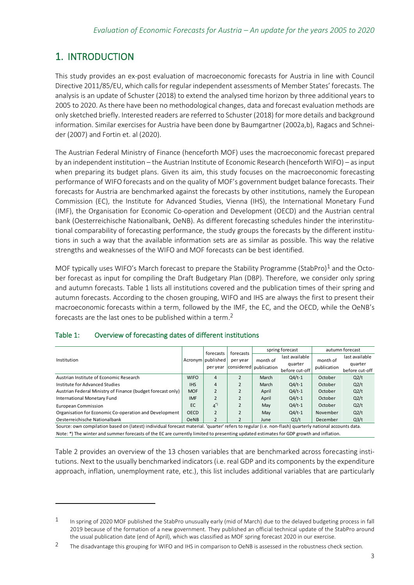# <span id="page-6-0"></span>1. INTRODUCTION

This study provides an ex-post evaluation of macroeconomic forecasts for Austria in line with Council Directive 2011/85/EU, which calls for regular independent assessments of Member States' forecasts. The analysis is an update of Schuster (2018) to extend the analysed time horizon by three additional years to 2005 to 2020. As there have been no methodological changes, data and forecast evaluation methods are only sketched briefly. Interested readers are referred to Schuster (2018) for more details and background information. Similar exercises for Austria have been done by Baumgartner (2002a,b), Ragacs and Schneider (2007) and Fortin et. al (2020).

The Austrian Federal Ministry of Finance (henceforth MOF) uses the macroeconomic forecast prepared by an independent institution – the Austrian Institute of Economic Research (henceforth WIFO) – as input when preparing its budget plans. Given its aim, this study focuses on the macroeconomic forecasting performance of WIFO forecasts and on the quality of MOF's government budget balance forecasts. Their forecasts for Austria are benchmarked against the forecasts by other institutions, namely the European Commission (EC), the Institute for Advanced Studies, Vienna (IHS), the International Monetary Fund (IMF), the Organisation for Economic Co-operation and Development (OECD) and the Austrian central bank (Oesterreichische Nationalbank, OeNB). As different forecasting schedules hinder the interinstitutional comparability of forecasting performance, the study groups the forecasts by the different institutions in such a way that the available information sets are as similar as possible. This way the relative strengths and weaknesses of the WIFO and MOF forecasts can be best identified.

MOF typically uses WIFO's March forecast to prepare the Stability Programme (StabPro)<sup>1</sup> and the October forecast as input for compiling the Draft Budgetary Plan (DBP). Therefore, we consider only spring and autumn forecasts. [Table 1](#page-6-1) lists all institutions covered and the publication times of their spring and autumn forecasts. According to the chosen grouping, WIFO and IHS are always the first to present their macroeconomic forecasts within a term, followed by the IMF, the EC, and the OECD, while the OeNB's forecasts are the last ones to be published within a term.<sup>2</sup>

|                                                             | Acronym   published | forecasts      | forecasts     |                          | spring forecast                                                                                                                                        | autumn forecast |                   |  |  |  |  |  |  |  |  |
|-------------------------------------------------------------|---------------------|----------------|---------------|--------------------------|--------------------------------------------------------------------------------------------------------------------------------------------------------|-----------------|-------------------|--|--|--|--|--|--|--|--|
| Institution                                                 |                     |                | per year      | month of                 | last available                                                                                                                                         | month of        | last available    |  |  |  |  |  |  |  |  |
|                                                             |                     | per year       |               | considered   publication | quarter                                                                                                                                                | publication     | quarter           |  |  |  |  |  |  |  |  |
|                                                             |                     |                |               |                          | before cut-off                                                                                                                                         |                 | before cut-off    |  |  |  |  |  |  |  |  |
| Austrian Institute of Economic Research                     | <b>WIFO</b>         | 4              |               | March                    | $Q4/t-1$                                                                                                                                               | October         | Q2/t              |  |  |  |  |  |  |  |  |
| Institute for Advanced Studies                              | <b>IHS</b>          | $\overline{4}$ |               | March                    | $Q4/t-1$                                                                                                                                               | October         | Q2/t              |  |  |  |  |  |  |  |  |
| Austrian Federal Ministry of Finance (budget forecast only) | <b>MOF</b>          | $\overline{2}$ |               | April                    | $Q4/t-1$                                                                                                                                               | October         | Q2/t              |  |  |  |  |  |  |  |  |
| International Monetary Fund                                 | <b>IMF</b>          | $\overline{2}$ |               | April                    | $Q4/t-1$                                                                                                                                               | October         | Q2/t              |  |  |  |  |  |  |  |  |
| <b>European Commission</b>                                  | EC                  | $4^{(*)}$      | $\mathcal{P}$ | May                      | $Q4/t-1$                                                                                                                                               | October         | Q2/t              |  |  |  |  |  |  |  |  |
| Organisation for Economic Co-operation and Development      | <b>OECD</b>         | $\overline{2}$ |               | May                      | $Q4/t-1$                                                                                                                                               | November        | Q2/t              |  |  |  |  |  |  |  |  |
| Oesterreichische Nationalbank                               | <b>OeNB</b>         |                |               | June                     | $Q_1/t$                                                                                                                                                | December        | Q <sub>3</sub> /t |  |  |  |  |  |  |  |  |
|                                                             |                     |                |               |                          | Source: own compilation based on (latest) individual forecast material. 'quarter' refers to regular (i.e. non-flash) quarterly national accounts data. |                 |                   |  |  |  |  |  |  |  |  |

## <span id="page-6-1"></span>Table 1: Overview of forecasting dates of different institutions

Note: \*) The winter and summer forecasts of the EC are currently limited to presenting updated estimates for GDP growth and inflation.

[Table 2](#page-7-0) provides an overview of the 13 chosen variables that are benchmarked across forecasting institutions. Next to the usually benchmarked indicators (i.e. real GDP and its components by the expenditure approach, inflation, unemployment rate, etc.), this list includes additional variables that are particularly

 $1$  In spring of 2020 MOF published the StabPro unusually early (mid of March) due to the delayed budgeting process in fall 2019 because of the formation of a new government. They published an official technical update of the StabPro around the usual publication date (end of April), which was classified as MOF spring forecast 2020 in our exercise.

<sup>&</sup>lt;sup>2</sup> The disadvantage this grouping for WIFO and IHS in comparison to OeNB is assessed in the robustness check section.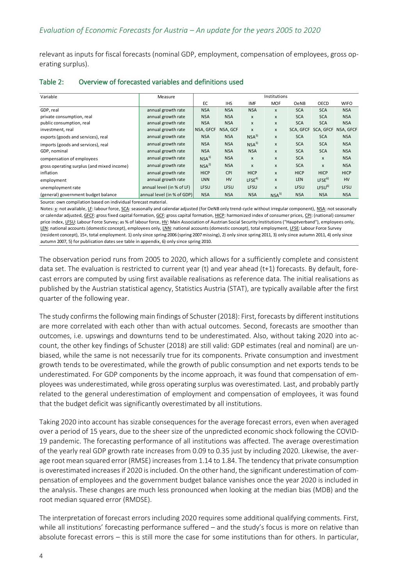relevant as inputs for fiscal forecasts (nominal GDP, employment, compensation of employees, gross operating surplus).

| Variable                                                                                                                                                                                                                                                                                                                                                                                                                                                                                                                                                                                                                                                                                                                                                                                                                                                                                                          | Measure                                  | Institutions              |                  |                           |                     |                    |                                  |                   |  |  |  |  |
|-------------------------------------------------------------------------------------------------------------------------------------------------------------------------------------------------------------------------------------------------------------------------------------------------------------------------------------------------------------------------------------------------------------------------------------------------------------------------------------------------------------------------------------------------------------------------------------------------------------------------------------------------------------------------------------------------------------------------------------------------------------------------------------------------------------------------------------------------------------------------------------------------------------------|------------------------------------------|---------------------------|------------------|---------------------------|---------------------|--------------------|----------------------------------|-------------------|--|--|--|--|
|                                                                                                                                                                                                                                                                                                                                                                                                                                                                                                                                                                                                                                                                                                                                                                                                                                                                                                                   |                                          | EC                        | <b>IHS</b>       | IMF                       | <b>MOF</b>          | OeNB               | OECD                             | <b>WIFO</b>       |  |  |  |  |
| GDP, real                                                                                                                                                                                                                                                                                                                                                                                                                                                                                                                                                                                                                                                                                                                                                                                                                                                                                                         | annual growth rate                       | <b>NSA</b>                | <b>NSA</b>       | <b>NSA</b>                | $\pmb{\mathsf{x}}$  | <b>SCA</b>         | <b>SCA</b>                       | <b>NSA</b>        |  |  |  |  |
| private consumption, real                                                                                                                                                                                                                                                                                                                                                                                                                                                                                                                                                                                                                                                                                                                                                                                                                                                                                         | annual growth rate                       | <b>NSA</b>                | <b>NSA</b>       | X                         | X                   | <b>SCA</b>         | <b>SCA</b>                       | <b>NSA</b>        |  |  |  |  |
| public consumption, real                                                                                                                                                                                                                                                                                                                                                                                                                                                                                                                                                                                                                                                                                                                                                                                                                                                                                          | annual growth rate                       | <b>NSA</b>                | <b>NSA</b>       | X                         | $\pmb{\mathsf{x}}$  | <b>SCA</b>         | <b>SCA</b>                       | <b>NSA</b>        |  |  |  |  |
| investment, real                                                                                                                                                                                                                                                                                                                                                                                                                                                                                                                                                                                                                                                                                                                                                                                                                                                                                                  | annual growth rate                       | NSA, GFCF                 | NSA, GCF         | X                         | $\pmb{\times}$      |                    | SCA, GFCF SCA, GFCF NSA, GFCF    |                   |  |  |  |  |
| exports (goods and services), real                                                                                                                                                                                                                                                                                                                                                                                                                                                                                                                                                                                                                                                                                                                                                                                                                                                                                | annual growth rate                       | <b>NSA</b>                | <b>NSA</b>       | $NSA^{3}$                 | X                   | <b>SCA</b>         | <b>SCA</b>                       | <b>NSA</b>        |  |  |  |  |
| imports (goods and services), real                                                                                                                                                                                                                                                                                                                                                                                                                                                                                                                                                                                                                                                                                                                                                                                                                                                                                | annual growth rate                       | <b>NSA</b>                | <b>NSA</b>       | $NSA^{3}$                 | X                   | <b>SCA</b>         | <b>SCA</b>                       | <b>NSA</b>        |  |  |  |  |
| GDP, nominal                                                                                                                                                                                                                                                                                                                                                                                                                                                                                                                                                                                                                                                                                                                                                                                                                                                                                                      | annual growth rate                       | <b>NSA</b>                | <b>NSA</b>       | <b>NSA</b>                | $\pmb{\times}$      | <b>SCA</b>         | <b>SCA</b>                       | <b>NSA</b>        |  |  |  |  |
| compensation of employees                                                                                                                                                                                                                                                                                                                                                                                                                                                                                                                                                                                                                                                                                                                                                                                                                                                                                         | annual growth rate                       | NSA <sup>1</sup>          | <b>NSA</b>       | X                         | $\pmb{\times}$      | <b>SCA</b>         | X                                | <b>NSA</b>        |  |  |  |  |
| gross operating surplus (and mixed income)                                                                                                                                                                                                                                                                                                                                                                                                                                                                                                                                                                                                                                                                                                                                                                                                                                                                        | annual growth rate                       | NSA <sup>2</sup>          | <b>NSA</b>       | X                         | X                   | <b>SCA</b>         | X                                | <b>NSA</b>        |  |  |  |  |
| inflation                                                                                                                                                                                                                                                                                                                                                                                                                                                                                                                                                                                                                                                                                                                                                                                                                                                                                                         | annual growth rate<br>annual growth rate | <b>HICP</b><br><b>LNN</b> | <b>CPI</b><br>HV | <b>HICP</b>               | X<br>$\pmb{\times}$ | <b>HICP</b><br>LEN | <b>HICP</b><br>LFSE <sup>6</sup> | <b>HICP</b><br>HV |  |  |  |  |
| employment                                                                                                                                                                                                                                                                                                                                                                                                                                                                                                                                                                                                                                                                                                                                                                                                                                                                                                        | annual level (in % of LF)                | LFSU                      | LFSU             | LFSE <sup>4</sup><br>LFSU |                     | LFSU               |                                  | LFSU              |  |  |  |  |
| unemployment rate                                                                                                                                                                                                                                                                                                                                                                                                                                                                                                                                                                                                                                                                                                                                                                                                                                                                                                 |                                          |                           |                  |                           | $\pmb{\times}$      |                    | LFSU <sup>6</sup>                |                   |  |  |  |  |
| (general) government budget balance<br>Source: own compilation based on individual forecast material.                                                                                                                                                                                                                                                                                                                                                                                                                                                                                                                                                                                                                                                                                                                                                                                                             | annual level (in % of GDP)               | <b>NSA</b>                | <b>NSA</b>       | <b>NSA</b>                | NSA <sup>5</sup>    | <b>NSA</b>         | <b>NSA</b>                       | <b>NSA</b>        |  |  |  |  |
| Notes: x: not available, LF: labour force, SCA: seasonally and calendar adjusted (for OeNB only trend-cycle without irregular component), NSA: not seasonally<br>or calendar adjusted, GFCF: gross fixed capital formation, GCF: gross capital formation, HICP: harmonized index of consumer prices, CPI: (national) consumer<br>price index, LFSU: Labour Force Survey; as % of labour force, HV: Main Association of Austrian Social Security Institutions ("Hauptverband"), employees only,<br>LEN: national accounts (domestic concept), employees only, LNN: national accounts (domestic concept), total employment, LFSE: Labour Force Survey<br>(resident concept), 15+, total employment. 1) only since spring 2006 (spring 2007 missing), 2) only since spring 2011, 3) only since autumn 2011, 4) only since<br>autumn 2007, 5) for publication dates see table in appendix, 6) only since spring 2010. |                                          |                           |                  |                           |                     |                    |                                  |                   |  |  |  |  |
| The observation period runs from 2005 to 2020, which allows for a sufficiently complete and consistent                                                                                                                                                                                                                                                                                                                                                                                                                                                                                                                                                                                                                                                                                                                                                                                                            |                                          |                           |                  |                           |                     |                    |                                  |                   |  |  |  |  |
| data set. The evaluation is restricted to current year (t) and year ahead (t+1) forecasts. By default, fore-                                                                                                                                                                                                                                                                                                                                                                                                                                                                                                                                                                                                                                                                                                                                                                                                      |                                          |                           |                  |                           |                     |                    |                                  |                   |  |  |  |  |
| cast errors are computed by using first available realisations as reference data. The initial realisations as                                                                                                                                                                                                                                                                                                                                                                                                                                                                                                                                                                                                                                                                                                                                                                                                     |                                          |                           |                  |                           |                     |                    |                                  |                   |  |  |  |  |
| published by the Austrian statistical agency, Statistics Austria (STAT), are typically available after the first                                                                                                                                                                                                                                                                                                                                                                                                                                                                                                                                                                                                                                                                                                                                                                                                  |                                          |                           |                  |                           |                     |                    |                                  |                   |  |  |  |  |
| quarter of the following year.                                                                                                                                                                                                                                                                                                                                                                                                                                                                                                                                                                                                                                                                                                                                                                                                                                                                                    |                                          |                           |                  |                           |                     |                    |                                  |                   |  |  |  |  |
|                                                                                                                                                                                                                                                                                                                                                                                                                                                                                                                                                                                                                                                                                                                                                                                                                                                                                                                   |                                          |                           |                  |                           |                     |                    |                                  |                   |  |  |  |  |
|                                                                                                                                                                                                                                                                                                                                                                                                                                                                                                                                                                                                                                                                                                                                                                                                                                                                                                                   |                                          |                           |                  |                           |                     |                    |                                  |                   |  |  |  |  |
| The study confirms the following main findings of Schuster (2018): First, forecasts by different institutions                                                                                                                                                                                                                                                                                                                                                                                                                                                                                                                                                                                                                                                                                                                                                                                                     |                                          |                           |                  |                           |                     |                    |                                  |                   |  |  |  |  |
| are more correlated with each other than with actual outcomes. Second, forecasts are smoother than                                                                                                                                                                                                                                                                                                                                                                                                                                                                                                                                                                                                                                                                                                                                                                                                                |                                          |                           |                  |                           |                     |                    |                                  |                   |  |  |  |  |
| outcomes, i.e. upswings and downturns tend to be underestimated. Also, without taking 2020 into ac-                                                                                                                                                                                                                                                                                                                                                                                                                                                                                                                                                                                                                                                                                                                                                                                                               |                                          |                           |                  |                           |                     |                    |                                  |                   |  |  |  |  |
| count, the other key findings of Schuster (2018) are still valid: GDP estimates (real and nominal) are un-                                                                                                                                                                                                                                                                                                                                                                                                                                                                                                                                                                                                                                                                                                                                                                                                        |                                          |                           |                  |                           |                     |                    |                                  |                   |  |  |  |  |
|                                                                                                                                                                                                                                                                                                                                                                                                                                                                                                                                                                                                                                                                                                                                                                                                                                                                                                                   |                                          |                           |                  |                           |                     |                    |                                  |                   |  |  |  |  |
| biased, while the same is not necessarily true for its components. Private consumption and investment                                                                                                                                                                                                                                                                                                                                                                                                                                                                                                                                                                                                                                                                                                                                                                                                             |                                          |                           |                  |                           |                     |                    |                                  |                   |  |  |  |  |
| growth tends to be overestimated, while the growth of public consumption and net exports tends to be                                                                                                                                                                                                                                                                                                                                                                                                                                                                                                                                                                                                                                                                                                                                                                                                              |                                          |                           |                  |                           |                     |                    |                                  |                   |  |  |  |  |
| underestimated. For GDP components by the income approach, it was found that compensation of em-                                                                                                                                                                                                                                                                                                                                                                                                                                                                                                                                                                                                                                                                                                                                                                                                                  |                                          |                           |                  |                           |                     |                    |                                  |                   |  |  |  |  |
|                                                                                                                                                                                                                                                                                                                                                                                                                                                                                                                                                                                                                                                                                                                                                                                                                                                                                                                   |                                          |                           |                  |                           |                     |                    |                                  |                   |  |  |  |  |
| ployees was underestimated, while gross operating surplus was overestimated. Last, and probably partly                                                                                                                                                                                                                                                                                                                                                                                                                                                                                                                                                                                                                                                                                                                                                                                                            |                                          |                           |                  |                           |                     |                    |                                  |                   |  |  |  |  |
| related to the general underestimation of employment and compensation of employees, it was found                                                                                                                                                                                                                                                                                                                                                                                                                                                                                                                                                                                                                                                                                                                                                                                                                  |                                          |                           |                  |                           |                     |                    |                                  |                   |  |  |  |  |
| that the budget deficit was significantly overestimated by all institutions.                                                                                                                                                                                                                                                                                                                                                                                                                                                                                                                                                                                                                                                                                                                                                                                                                                      |                                          |                           |                  |                           |                     |                    |                                  |                   |  |  |  |  |
|                                                                                                                                                                                                                                                                                                                                                                                                                                                                                                                                                                                                                                                                                                                                                                                                                                                                                                                   |                                          |                           |                  |                           |                     |                    |                                  |                   |  |  |  |  |
| Taking 2020 into account has sizable consequences for the average forecast errors, even when averaged                                                                                                                                                                                                                                                                                                                                                                                                                                                                                                                                                                                                                                                                                                                                                                                                             |                                          |                           |                  |                           |                     |                    |                                  |                   |  |  |  |  |
| over a period of 15 years, due to the sheer size of the unpredicted economic shock following the COVID-                                                                                                                                                                                                                                                                                                                                                                                                                                                                                                                                                                                                                                                                                                                                                                                                           |                                          |                           |                  |                           |                     |                    |                                  |                   |  |  |  |  |
| 19 pandemic. The forecasting performance of all institutions was affected. The average overestimation                                                                                                                                                                                                                                                                                                                                                                                                                                                                                                                                                                                                                                                                                                                                                                                                             |                                          |                           |                  |                           |                     |                    |                                  |                   |  |  |  |  |
|                                                                                                                                                                                                                                                                                                                                                                                                                                                                                                                                                                                                                                                                                                                                                                                                                                                                                                                   |                                          |                           |                  |                           |                     |                    |                                  |                   |  |  |  |  |
| of the yearly real GDP growth rate increases from 0.09 to 0.35 just by including 2020. Likewise, the aver-                                                                                                                                                                                                                                                                                                                                                                                                                                                                                                                                                                                                                                                                                                                                                                                                        |                                          |                           |                  |                           |                     |                    |                                  |                   |  |  |  |  |
| age root mean squared error (RMSE) increases from 1.14 to 1.84. The tendency that private consumption                                                                                                                                                                                                                                                                                                                                                                                                                                                                                                                                                                                                                                                                                                                                                                                                             |                                          |                           |                  |                           |                     |                    |                                  |                   |  |  |  |  |
| is overestimated increases if 2020 is included. On the other hand, the significant underestimation of com-                                                                                                                                                                                                                                                                                                                                                                                                                                                                                                                                                                                                                                                                                                                                                                                                        |                                          |                           |                  |                           |                     |                    |                                  |                   |  |  |  |  |
| pensation of employees and the government budget balance vanishes once the year 2020 is included in                                                                                                                                                                                                                                                                                                                                                                                                                                                                                                                                                                                                                                                                                                                                                                                                               |                                          |                           |                  |                           |                     |                    |                                  |                   |  |  |  |  |
|                                                                                                                                                                                                                                                                                                                                                                                                                                                                                                                                                                                                                                                                                                                                                                                                                                                                                                                   |                                          |                           |                  |                           |                     |                    |                                  |                   |  |  |  |  |
| the analysis. These changes are much less pronounced when looking at the median bias (MDB) and the                                                                                                                                                                                                                                                                                                                                                                                                                                                                                                                                                                                                                                                                                                                                                                                                                |                                          |                           |                  |                           |                     |                    |                                  |                   |  |  |  |  |
| root median squared error (RMDSE).                                                                                                                                                                                                                                                                                                                                                                                                                                                                                                                                                                                                                                                                                                                                                                                                                                                                                |                                          |                           |                  |                           |                     |                    |                                  |                   |  |  |  |  |
|                                                                                                                                                                                                                                                                                                                                                                                                                                                                                                                                                                                                                                                                                                                                                                                                                                                                                                                   |                                          |                           |                  |                           |                     |                    |                                  |                   |  |  |  |  |
| The interpretation of forecast errors including 2020 requires some additional qualifying comments. First,                                                                                                                                                                                                                                                                                                                                                                                                                                                                                                                                                                                                                                                                                                                                                                                                         |                                          |                           |                  |                           |                     |                    |                                  |                   |  |  |  |  |
|                                                                                                                                                                                                                                                                                                                                                                                                                                                                                                                                                                                                                                                                                                                                                                                                                                                                                                                   |                                          |                           |                  |                           |                     |                    |                                  |                   |  |  |  |  |
| while all institutions' forecasting performance suffered - and the study's focus is more on relative than                                                                                                                                                                                                                                                                                                                                                                                                                                                                                                                                                                                                                                                                                                                                                                                                         |                                          |                           |                  |                           |                     |                    |                                  |                   |  |  |  |  |
| absolute forecast errors - this is still more the case for some institutions than for others. In particular,                                                                                                                                                                                                                                                                                                                                                                                                                                                                                                                                                                                                                                                                                                                                                                                                      |                                          |                           |                  |                           |                     |                    |                                  |                   |  |  |  |  |

#### <span id="page-7-0"></span>Table 2: Overview of forecasted variables and definitions used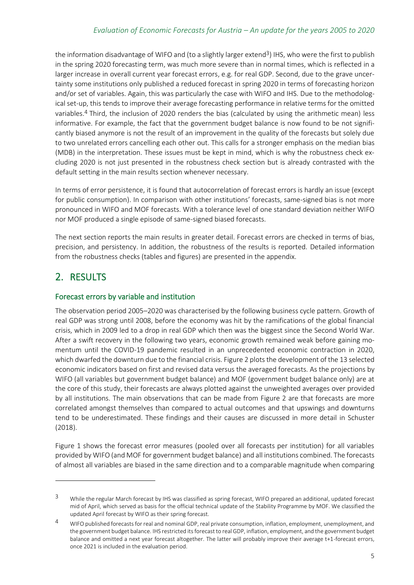the information disadvantage of WIFO and (to a slightly larger extend<sup>3</sup>) IHS, who were the first to publish in the spring 2020 forecasting term, was much more severe than in normal times, which is reflected in a larger increase in overall current year forecast errors, e.g. for real GDP. Second, due to the grave uncertainty some institutions only published a reduced forecast in spring 2020 in terms of forecasting horizon and/or set of variables. Again, this was particularly the case with WIFO and IHS. Due to the methodological set-up, this tends to improve their average forecasting performance in relative terms for the omitted variables.<sup>4</sup> Third, the inclusion of 2020 renders the bias (calculated by using the arithmetic mean) less informative. For example, the fact that the government budget balance is now found to be not significantly biased anymore is not the result of an improvement in the quality of the forecasts but solely due to two unrelated errors cancelling each other out. This calls for a stronger emphasis on the median bias (MDB) in the interpretation. These issues must be kept in mind, which is why the robustness check excluding 2020 is not just presented in the robustness check section but is already contrasted with the default setting in the main results section whenever necessary.

In terms of error persistence, it is found that autocorrelation of forecast errors is hardly an issue (except for public consumption). In comparison with other institutions' forecasts, same-signed bias is not more pronounced in WIFO and MOF forecasts. With a tolerance level of one standard deviation neither WIFO nor MOF produced a single episode of same-signed biased forecasts.

The next section reports the main results in greater detail. Forecast errors are checked in terms of bias, precision, and persistency. In addition, the robustness of the results is reported. Detailed information from the robustness checks (tables and figures) are presented in the appendix.

# <span id="page-8-0"></span>2. RESULTS

## Forecast errors by variable and institution

The observation period 2005–2020 was characterised by the following business cycle pattern. Growth of real GDP was strong until 2008, before the economy was hit by the ramifications of the global financial crisis, which in 2009 led to a drop in real GDP which then was the biggest since the Second World War. After a swift recovery in the following two years, economic growth remained weak before gaining momentum until the COVID-19 pandemic resulted in an unprecedented economic contraction in 2020, which dwarfed the downturn due to the financial crisis. [Figure 2](#page-10-0) plots the development of the 13 selected economic indicators based on first and revised data versus the averaged forecasts. As the projections by WIFO (all variables but government budget balance) and MOF (government budget balance only) are at the core of this study, their forecasts are always plotted against the unweighted averages over provided by all institutions. The main observations that can be made from [Figure 2](#page-10-0) are that forecasts are more correlated amongst themselves than compared to actual outcomes and that upswings and downturns tend to be underestimated. These findings and their causes are discussed in more detail in Schuster (2018).

[Figure 1](#page-9-0) shows the forecast error measures (pooled over all forecasts per institution) for all variables provided by WIFO (and MOF for government budget balance) and all institutions combined. The forecasts of almost all variables are biased in the same direction and to a comparable magnitude when comparing

<sup>&</sup>lt;sup>3</sup> While the regular March forecast by IHS was classified as spring forecast, WIFO prepared an additional, updated forecast mid of April, which served as basis for the official technical update of the Stability Programme by MOF. We classified the updated April forecast by WIFO as their spring forecast.

<sup>4</sup> WIFO published forecasts for real and nominal GDP, real private consumption, inflation, employment, unemployment, and the government budget balance. IHS restricted its forecast to real GDP, inflation, employment, and the government budget balance and omitted a next year forecast altogether. The latter will probably improve their average t+1-forecast errors, once 2021 is included in the evaluation period.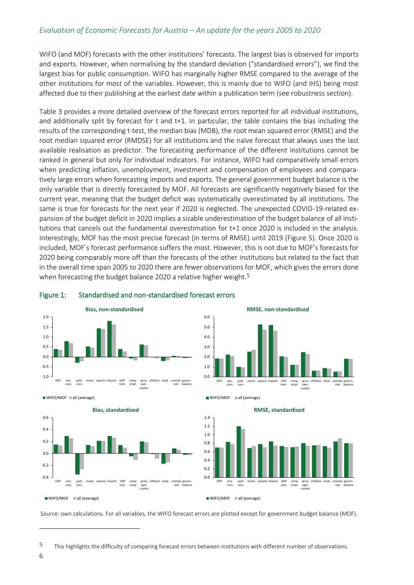WIFO (and MOF) forecasts with the other institutions' forecasts. The largest bias is observed for imports and exports. However, when normalising by the standard deviation ("standardised errors"), we find the largest bias for public consumption. WIFO has marginally higher RMSE compared to the average of the other institutions for most of the variables. However, this is mainly due to WIFO (and IHS) being most affected due to their publishing at the earliest date within a publication term (see robustness section).

[Table 3](#page-11-0) provides a more detailed overview of the forecast errors reported for all individual institutions, and additionally split by forecast for t and t+1. In particular, the table contains the bias including the results of the corresponding t-test, the median bias (MDB), the root mean squared error (RMSE) and the root median squared error (RMDSE) for all institutions and the naïve forecast that always uses the last available realisation as predictor. The forecasting performance of the different institutions cannot be ranked in general but only for individual indicators. For instance, WIFO had comparatively small errors when predicting inflation, unemployment, investment and compensation of employees and comparatively large errors when forecasting imports and exports. The general government budget balance is the only variable that is directly forecasted by MOF. All forecasts are significantly negatively biased for the current year, meaning that the budget deficit was systematically overestimated by all institutions. The same is true for forecasts for the next year if 2020 is neglected. The unexpected COVID-19-related expansion of the budget deficit in 2020 implies a sizable underestimation of the budget balance of all institutions that cancels out the fundamental overestimation for t+1 once 2020 is included in the analysis. Interestingly, MOF has the most precise forecast (in terms of RMSE) until 2019 [\(Figure 5\)](#page-23-0). Once 2020 is included, MOF's forecast performance suffers the most. However, this is not due to MOF's forecasts for 2020 being comparably more off than the forecasts of the other institutions but related to the fact that in the overall time span 2005 to 2020 there are fewer observations for MOF, which gives the errors done when forecasting the budget balance 2020 a relative higher weight.<sup>5</sup>



#### <span id="page-9-0"></span>Figure 1: Standardised and non-standardised forecast errors



publ. cons.

GDP priv. cons.

0.0 1.0 2.0 3.0 4.0 5.0 6.0



#### **RMSE, standardised**

GDP<br>nom. comp. empl. gross oper. surplus

**RMSE, non-standardised**

inflation empl. unempl. rate govern. balance

exports imports



Source: own calculations. For all variables, the WIFO forecast errors are plotted except for government budget balance (MOF).

 $W$ IFO/MOF all (average

<sup>5</sup> This highlights the difficulty of comparing forecast errors between institutions with different number of observations.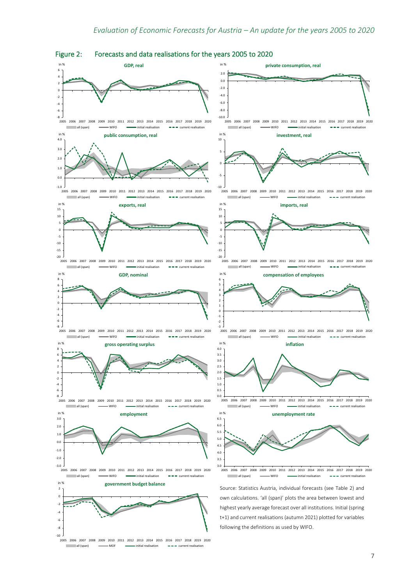

<span id="page-10-0"></span>Figure 2: Forecasts and data realisations for the years 2005 to 2020

2005 2006 2007 2008 2009 2010 2011 2012 2013 2014 2015 2016 2017 2018 2019 2020

all (span) **initial realisation** MOF **initial realisation**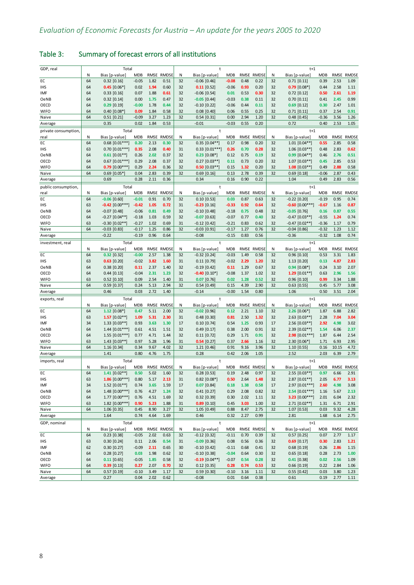| GDP, real            |         | Total                           |                       |              |                      |         | t                    |                       |              |                      |         | $t+1$                             |                    |              |                      |
|----------------------|---------|---------------------------------|-----------------------|--------------|----------------------|---------|----------------------|-----------------------|--------------|----------------------|---------|-----------------------------------|--------------------|--------------|----------------------|
|                      | N       | Bias [p-value]                  | <b>MDB</b>            |              | RMSE RMDSE           | Ν       | Bias [p-value]       | <b>MDB</b>            |              | RMSE RMDSE           | N       | Bias [p-value]                    | <b>MDB</b>         |              | RMSE RMDSE           |
| EC                   | 64      | $0.32$ $[0.16]$                 | $-0.05$               | 1.82         | 0.51                 | 32      | $-0.06$ [0.46]       | $-0.08$               | 0.48         | 0.22                 | 32      | $0.71$ $[0.11]$                   | 0.39               | 2.53         | 1.09                 |
| <b>IHS</b>           | 64      | $0.45$ [0.06*]                  | 0.02                  | 1.94         | 0.60                 | 32      | $0.11$ [0.52]        | $-0.06$               | 0.93         | 0.20                 | 32      | $0.79$ [0.08*]                    | 0.44               | 2.58         | 1.11                 |
| IMF                  | 64      | $0.33$ [0.16]                   | 0.07                  | 1.88         | 0.61                 | 32      | $-0.06$ [0.54]       | 0.01                  | 0.53         | 0.30                 | 32      | $0.72$ [0.12]                     | 0.50               | 2.61         | 1.19                 |
| OeNB                 | 64      | $0.32$ [0.14]                   | 0.00                  | 1.75         | 0.47                 | 32      | $-0.05$ [0.44]       | $-0.03$               | 0.38         | 0.11                 | 32      | $0.70$ [0.11]                     | 0.41               | 2.45         | 0.99                 |
| OECD                 | 64      | $0.29$ [0.19]                   | $-0.00$               | 1.78         | 0.44                 | 32      | $-0.10$ [0.22]       | $-0.06$               | 0.44         | 0.11                 | 32      | $0.69$ [0.12]                     | 0.30               | 2.47         | 1.01                 |
| <b>WIFO</b>          | 64      | $0.40$ $[0.08*$                 | 0.09                  | 1.84         | 0.58                 | 32      | $0.08$ [0.40]        | 0.06                  | 0.55         | 0.25                 | 32      | $0.71$ [0.11]                     | 0.37               | 2.54         | 0.91                 |
| Naive                | 64      | $0.51$ [0.21]                   | $-0.09$               | 3.27         | 1.23                 | 32      | $0.54$ [0.31]        | 0.00                  | 2.94         | 1.20                 | 32      | $0.48$ [0.45]                     | $-0.36$            | 3.56         | 1.26                 |
| Average              |         | 0.35                            | 0.02                  | 1.84         | 0.53                 |         | $-0.01$              | $-0.03$               | 0.55         | 0.20                 |         | 0.72                              | 0.40               | 2.53         | 1.05                 |
| private consumption, |         | Total                           |                       |              |                      |         | t                    |                       |              |                      |         | $t+1$                             |                    |              |                      |
| real                 | N       | Bias [p-value]                  | <b>MDB</b>            | RMSE         | <b>RMDSE</b>         | N       | Bias [p-value]       | <b>MDB</b>            | RMSE         | <b>RMDSE</b>         | N       | Bias [p-value]                    | <b>MDB</b>         | RMSE         | <b>RMDSE</b>         |
| EC                   | 64      | $0.68$ [ $0.01***$ ]            | 0.20                  | 2.13         | 0.30                 | 32      | $0.35$ [0.04**]      | 0.17                  | 0.98         | 0.20                 | 32      | $1.01$ $[0.04**]$                 | 0.55               | 2.85         | 0.58                 |
| IHS                  | 63      | $0.70$ [ $0.01***$ ]            | 0.35                  | 2.08         | 0.40                 | 31      | $0.33$ [ $0.01***$ ] | 0.26                  | 0.70         | 0.28                 | 32      | $1.06$ [0.03**]                   | 0.48               | 2.83         | 0.62                 |
| <b>OeNB</b>          | 64      | $0.61$ [0.01**]                 | 0.26                  | 2.02         | 0.37                 | 32      | $0.23$ [0.08*]       | 0.12                  | 0.75         | 0.19                 | 32      | $0.99$ [0.04**]                   | 0.46               | 2.76         | 0.51                 |
| OECD                 | 64      | $0.67$ [0.01***]                | 0.29                  | 2.08         | 0.37                 | 32      | $0.27$ [0.03**]      | 0.11                  | 0.73         | 0.20                 | 32      | $1.07$ [0.03**]                   | 0.45               | 2.85         | 0.53                 |
| <b>WIFO</b>          | 64      | $0.79$ $[0.00***]$              | 0.29                  | 2.24         | 0.36                 | 32      | $0.50$ [0.03**]      | 0.15                  | 1.32         | 0.20                 | 32      | $1.08$ [0.03**]                   | 0.49               | 2.88         | 0.58                 |
| Naive                | 64      | $0.69$ [0.05*]                  | 0.04                  | 2.83         | 0.39                 | 32      | $0.69$ [0.16]        | 0.13                  | 2.78         | 0.39                 | 32      | $0.69$ [0.18]                     | $-0.06$            | 2.87         | 0.43                 |
| Average              |         | 0.69                            | 0.28                  | 2.11         | 0.36                 |         | 0.34                 | 0.16                  | 0.90         | 0.22                 |         | 1.04                              | 0.49               | 2.83         | 0.56                 |
| public consumption,  |         | Total                           |                       |              |                      |         | t                    |                       |              |                      |         | $t+1$                             |                    |              |                      |
| real                 | N       | Bias [p-value]                  | <b>MDB</b>            | RMSE         | <b>RMDSE</b>         | Ν       | Bias [p-value]       | <b>MDB</b>            | RMSE         | <b>RMDSE</b>         | Ν       | Bias [p-value]                    | <b>MDB</b>         | RMSE         | <b>RMDSE</b>         |
| ЕC                   | 64      | $-0.06$ [0.60]                  | $-0.01$               | 0.91         | 0.70                 | 32      | $0.10$ [0.53]        | 0.03                  | 0.87         | 0.63                 | 32      | $-0.22$ [0.20]                    | $-0.19$            | 0.95         | 0.74                 |
| <b>IHS</b>           | 63      | $-0.42$ [0.00***]               | $-0.42$               | 1.05         | 0.72                 | 31      | $-0.23$ [0.16]       | $-0.33$               | 0.92         | 0.64                 | 32      | $-0.60$ [0.00***]                 | $-0.67$            | 1.16         | 0.87                 |
| OeNB                 | 64      | $-0.07$ $[0.48]$                | $-0.06$               | 0.81         | 0.49                 | 32      | $-0.10$ $[0.48]$     | $-0.18$               | 0.75         | 0.48                 | 32      | $-0.05$ [0.76]                    | 0.16               | 0.87         | 0.55                 |
| OECD                 | 64      | $-0.27$ [0.04**]                | $-0.18$               | 1.03         | 0.59                 | 32      | $-0.07$ [0.63]       | $-0.07$               | 0.77         | 0.40                 | 32      | $-0.47$ [0.03**]                  | $-0.55$            | 1.24         | 0.74                 |
| <b>WIFO</b>          | 63      | $-0.30$ $[0.02**]$              | $-0.27$               | 1.02         | 0.69                 | 31      | $-0.12$ [0.42]       | $-0.21$               | 0.83         | 0.62                 | 32      | $-0.47$ [0.02**]                  | $-0.36$            | 1.17         | 0.79                 |
| Naive                | 64      | $-0.03$ [0.83]                  | $-0.17$               | 1.25         | 0.86                 | 32      | $-0.03$ [0.91]       | $-0.17$               | 1.27         | 0.76                 | 32      | $-0.04$ [0.86]                    | $-0.32$            | 1.23         | 1.12                 |
| Average              |         | $-0.22$                         | $-0.19$               | 0.96         | 0.64                 |         | $-0.08$              | $-0.15$               | 0.83         | 0.56                 |         | $-0.36$                           | $-0.32$            | 1.08         | 0.74                 |
|                      |         |                                 |                       |              |                      |         |                      |                       |              |                      |         |                                   |                    |              |                      |
| investment, real     |         | Total                           |                       |              |                      |         | $\ddagger$           |                       |              |                      |         | $t+1$                             |                    |              |                      |
| EC                   | N<br>64 | Bias [p-value]<br>$0.32$ [0.32] | <b>MDB</b><br>$-0.00$ | RMSE<br>2.57 | <b>RMDSE</b><br>1.38 | Ν<br>32 | Bias [p-value]       | <b>MDB</b><br>$-0.03$ | RMSE<br>1.49 | <b>RMDSE</b><br>0.58 | N<br>32 | Bias [p-value]<br>$0.96$ $[0.10]$ | <b>MDB</b><br>0.53 | RMSE<br>3.31 | <b>RMDSE</b><br>1.83 |
|                      |         |                                 |                       |              |                      |         | $-0.32$ [0.24]       |                       |              |                      |         |                                   |                    |              |                      |
| <b>IHS</b>           | 63      | $0.63$ [0.20]                   | $-0.02$               | 3.82         | 1.60                 | 31      | $0.11$ [0.79]        | $-0.02$               | 2.29         | 1.20                 | 32      | $1.13$ [0.20]                     | 0.13               | 4.87         | 2.83                 |
| OeNB                 | 64      | $0.38$ [0.20]                   | 0.11                  | 2.37         | 1.40                 | 32      | $-0.19$ [0.42]       | 0.11                  | 1.29         | 0.67                 | 32      | $0.94$ [0.08*]                    | 0.24               | 3.10         | 2.07                 |
| OECD                 | 64      | $0.44$ [0.13]                   | $-0.04$               | 2.31         | 1.23                 | 32      | $-0.40$ $[0.10*]$    | $-0.08$               | 1.37         | 1.02                 | 32      | 1.29 $[0.01**]$                   | 0.63               | 2.96         | 1.56                 |
| <b>WIFO</b>          | 63      | $0.52$ [0.10]                   | 0.09                  | 2.54         | 1.40                 | 31      | $0.07$ [0.76]        | 0.02                  | 1.28         | 0.52                 | 32      | $0.96$ [0.10]                     | 0.99               | 3.34         | 1.88                 |
| Naive                | 64      | $0.59$ [0.37]                   | 0.24                  | 5.13         | 2.94                 | 32      | $0.54$ [0.49]        | 0.15                  | 4.39         | 2.90                 | 32      | $0.63$ [0.55]                     | 0.45               | 5.77         | 3.08                 |
| Average              |         | 0.46                            | 0.03                  | 2.72         | 1.40                 |         | $-0.14$              | $-0.00$               | 1.54         | 0.80                 |         | 1.06                              | 0.50               | 3.51         | 2.04                 |
| exports, real        |         | Total                           |                       |              |                      |         | t                    |                       |              |                      |         | $t+1$                             |                    |              |                      |
|                      | N       | Bias [p-value]                  | MDB                   |              | RMSE RMDSE           | Ν       | Bias [p-value]       | <b>MDB</b>            |              | RMSE RMDSE           | Ν       | Bias [p-value]                    | <b>MDB</b>         | RMSE         | <b>RMDSE</b>         |
| EC                   | 64      | $1.12$ [0.08*]                  | 0.47                  | 5.11         | 2.00                 | 32      | $-0.02$ [0.96]       | 0.12                  | 2.21         | 1.10                 | 32      | $2.26$ [0.06*]                    | 1.87               | 6.88         | 2.82                 |
| <b>IHS</b>           | 63      | 1.57 $[0.02**]$                 | 1.09                  | 5.31         | 2.30                 | 31      | $0.48$ [0.30]        | 0.81                  | 2.50         | 1.32                 | 32      | $2.63$ [0.03**]                   | 2.28               | 7.04         | 3.04                 |
| IMF                  | 34      | $1.33$ [0.03**]                 | 0.93                  | 3.63         | 1.30                 | 17      | $0.10$ [0.74]        | 0.54                  | 1.25         | 0.93                 | 17      | $2.56$ [0.03**]                   | 2.92               | 4.98         | 3.02                 |
| <b>OeNB</b>          | 64      | $1.44$ [0.01***]                | 0.61                  | 4.51         | 1.51                 | 32      | $0.49$ [0.17]        | 0.38                  | 2.00         | 0.91                 | 32      | $2.39$ [0.02**]                   | 1.54               | 6.06         | 2.37                 |
| OECD                 | 64      | $1.55$ [0.01***]                | 0.77                  | 4.71         | 1.44                 | 32      | $0.11$ [0.72]        | 0.29                  | 1.71         | 0.91                 | 32      | $2.98$ [0.01***]                  | 1.87               | 6.44         | 2.54                 |
| <b>WIFO</b>          | 63      | $1.43$ [0.03**]                 | 0.97                  | 5.28         | 1.96                 | 31      | $0.54$ [0.27]        | 0.37                  | 2.66         | 1.16                 | 32      | $2.30$ [0.06*]                    | 1.71               | 6.93         | 2.95                 |
| Naive                | 64      | 1.16 [0.34]                     | 0.34                  | 9.67         | 4.02                 | 32      | $1.21$ [0.46]        | 0.91                  | 9.16         | 3.96                 | 32      | 1.10 [0.55]                       | 0.16               | 10.15        | 4.72                 |
| Average              |         | 1.41                            | 0.80                  | 4.76         | 1.75                 |         | 0.28                 | 0.42                  | 2.06         | 1.05                 |         | 2.52                              | 2.03               | 6.39         | 2.79                 |
| imports, real        |         | Total                           |                       |              |                      |         | $\ddagger$           |                       |              |                      |         | $t+1$                             |                    |              |                      |
|                      | N       | Bias [p-value]                  | <b>MDB</b>            | RMSE         | <b>RMDSE</b>         | Ν       | Bias [p-value]       | <b>MDB</b>            |              | RMSE RMDSE           | Ν       | Bias [p-value]                    | <b>MDB</b>         |              | RMSE RMDSE           |
| EC                   | 64      | $1.41$ [0.02**]                 | 0.50                  | 5.02         | 1.60                 | 32      | $0.28$ [0.53]        | 0.19                  | 2.48         | 0.97                 | 32      | $2.55$ [0.03**]                   | 0.97               | 6.66         | 2.91                 |
| ihs                  | 63      | $1.86$ [0.00***]                | 0.80                  | 5.17         | 2.13                 | 31      | $0.82$ [0.08*]       | 0.50                  | 2.64         | 1.48                 | 32      | $2.87$ [0.01**]                   | 2.05               | 6.77         | 3.13                 |
| IMF                  | 34      | $1.52$ [0.01**]                 | 0.74                  | 3.65         | 1.59                 | 17      | $0.07$ [0.84]        | 0.18                  | 1.38         | 0.58                 | 17      | 2.97 [0.01***]                    | 2.60               | 4.98         | 3.08                 |
| OeNB                 | 64      | $1.48$ [0.00***]                | 0.76                  | 4.27         | 1.24                 | 32      | $0.41$ [0.27]        | 0.29                  | 2.08         | 0.82                 | 32      | $2.54$ [0.01***]                  | 1.16               | 5.67         | 2.13                 |
| OECD                 | 64      | $1.77$ [0.00***]                | 0.76                  | 4.51         | 1.69                 | 32      | $0.32$ [0.39]        | 0.30                  | 2.02         | 1.11                 | 32      | 3.23 $[0.00***]$                  | 2.01               | 6.04         | 2.32                 |
| <b>WIFO</b>          | 63      | $1.82$ [0.00***]                | 0.90                  | 5.23         | 1.88                 | 31      | $0.89$ [0.10]        | 0.45                  | 3.03         | 1.00                 | 32      | 2.71 [0.02**]                     | 1.31               | 6.71         | 2.91                 |
| Naive                | 64      | $1.06$ [0.35]                   | 0.45                  | 8.90         | 3.27                 | 32      | $1.05$ [0.49]        | 0.88                  | 8.47         | 2.75                 | 32      | $1.07$ [0.53]                     | 0.03               | 9.32         | 4.28                 |
| Average              |         | 1.64                            | 0.74                  | 4.64         | 1.69                 |         | 0.46                 | 0.32                  | 2.27         | 0.99                 |         | 2.81                              | 1.68               | 6.14         | 2.75                 |
| GDP, nominal         |         | Total                           |                       |              |                      |         | t                    |                       |              |                      |         | $t+1$                             |                    |              |                      |
|                      | N       | Bias [p-value]                  | MDB                   |              | RMSE RMDSE           | Ν       | Bias [p-value]       | <b>MDB</b>            |              | RMSE RMDSE           | Ν       | Bias [p-value]                    | <b>MDB</b>         |              | RMSE RMDSE           |
| EC                   | 64      | $0.23$ $[0.38]$                 | $-0.05$               | 2.02         | 0.63                 | 32      | $-0.12$ [0.32]       | $-0.11$               | 0.70         | 0.39                 | 32      | $0.57$ [0.25]                     | 0.07               | 2.77         | 1.17                 |
| <b>IHS</b>           | 63      | 0.30 [0.24]                     | 0.11                  | 2.06         | 0.54                 | 31      | $-0.09$ [0.36]       | 0.08                  | 0.56         | 0.36                 | 32      | $0.69$ [0.17]                     | 0.30               | 2.83         | 1.21                 |
| IMF                  | 62      | $0.30$ $[0.27]$                 | $-0.09$               | 2.11         | 0.65                 | 30      | $-0.10$ [0.42]       | $-0.11$               | 0.68         | 0.41                 | 32      | $0.68$ [0.19]                     | 0.26               | 2.86         | 1.15                 |
| OeNB                 | 64      | $0.28$ [0.27]                   | 0.03                  | 1.98         | 0.62                 | 32      | $-0.10$ $[0.38]$     | $-0.04$               | 0.64         | 0.30                 | 32      | $0.65$ [0.18]                     | 0.28               | 2.73         | 1.00                 |
| OECD                 | 64      | $0.11$ [0.65]                   | $-0.05$               | 1.85         | 0.58                 | 32      | $-0.19$ [0.04**]     | $-0.07$               | 0.54         | 0.28                 | 32      | $0.41$ [0.38]                     | 0.02               | 2.56         | 1.09                 |
| <b>WIFO</b>          | 64      | $0.39$ [0.13]                   | 0.27                  | 2.07         | 0.70                 | 32      | $0.12$ [0.35]        | 0.28                  | 0.74         | 0.53                 | 32      | $0.66$ [0.19]                     | 0.22               | 2.84         | 1.06                 |
| Naive                | 64      | $0.57$ [0.19]                   | $-0.10$               | 3.49         | 1.17                 | 32      | $0.59$ [0.30]        | $-0.10$               | 3.16         | 1.11                 | 32      | $0.55$ [0.42]                     | 0.03               | 3.80         | 1.23                 |
| Average              |         | 0.27                            | 0.04                  | 2.02         | 0.62                 |         | $-0.08$              | 0.01                  | 0.64         | 0.38                 |         | 0.61                              | 0.19               | 2.77         | 1.11                 |
|                      |         |                                 |                       |              |                      |         |                      |                       |              |                      |         |                                   |                    |              |                      |

# <span id="page-11-0"></span>Table 3: Summary of forecast errors of all institutions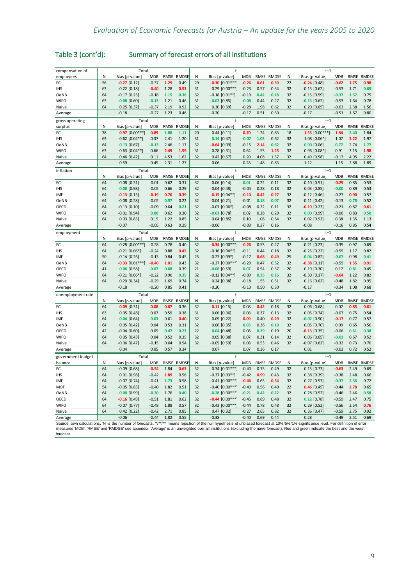| Table 3 (cont'd): | Summary of forecast errors of all institutions |
|-------------------|------------------------------------------------|
|                   |                                                |

| compensation of                                                                                                                                                                         |    | Total               |            |             |              |    | $\ddagger$           |            |             |              |    | $t+1$            |            |      |              |
|-----------------------------------------------------------------------------------------------------------------------------------------------------------------------------------------|----|---------------------|------------|-------------|--------------|----|----------------------|------------|-------------|--------------|----|------------------|------------|------|--------------|
| employees                                                                                                                                                                               | Ν  | Bias [p-value]      | <b>MDB</b> |             | RMSE RMDSE   | N  | Bias [p-value]       | <b>MDB</b> |             | RMSE RMDSE   | N  | Bias [p-value]   | <b>MDB</b> |      | RMSE RMDSE   |
| EC                                                                                                                                                                                      | 56 | $-0.27$ [0.12]      | $-0.37$    | 1.29        | 0.49         | 29 | $-0.30$ $[0.01***]$  | $-0.26$    | 0.61        | 0.39         | 27 | $-0.24$ [0.48]   | $-0.62$    | 1.75 | 0.98         |
| <b>IHS</b>                                                                                                                                                                              | 63 | $-0.22$ [0.18]      | $-0.40$    | 1.28        | 0.53         | 31 | $-0.29$ [0.00***]    | $-0.23$    | 0.57        | 0.34         | 32 | $-0.15$ [0.62]   | $-0.53$    | 1.71 | 0.69         |
| OeNB                                                                                                                                                                                    | 64 | $-0.17$ [0.25]      | $-0.18$    | 1.15        | 0.36         | 32 | $-0.18$ $[0.01**]$   | $-0.10$    | 0.42        | 0.18         | 32 | $-0.15$ [0.59]   | $-0.37$    | 1.57 | 0.75         |
| <b>WIFO</b>                                                                                                                                                                             | 63 | $-0.08$ [0.60]      | $-0.13$    | 1.21        | 0.46         | 31 | $-0.02$ [0.85]       | $-0.08$    | 0.44        | 0.27         | 32 | $-0.15$ [0.62]   | $-0.53$    | 1.64 | 0.78         |
| Naive                                                                                                                                                                                   | 64 | $0.25$ [0.37]       | $-0.37$    | 2.19        | 0.92         | 32 | $0.30$ $[0.39]$      | $-0.28$    | 1.98        | 0.62         | 32 | $0.20$ $[0.65]$  | $-0.63$    | 2.38 | 1.56         |
| Average                                                                                                                                                                                 |    | $-0.18$             | $-0.27$    | 1.23        | 0.46         |    | $-0.20$              | $-0.17$    | 0.51        | 0.30         |    | $-0.17$          | $-0.51$    | 1.67 | 0.80         |
| gross operating                                                                                                                                                                         |    | Total               |            |             |              |    | t                    |            |             |              |    | $t+1$            |            |      |              |
| surplus                                                                                                                                                                                 | N  | Bias [p-value]      | <b>MDB</b> | <b>RMSE</b> | <b>RMDSE</b> | N  | Bias [p-value]       | <b>MDB</b> | <b>RMSE</b> | <b>RMDSE</b> | N  | Bias [p-value]   | <b>MDB</b> | RMSE | <b>RMDSE</b> |
| EC                                                                                                                                                                                      | 38 | $0.97$ [0.00***]    | 0.89       | 1.88        | 1.11         | 20 | $0.44$ [0.11]        | 0.70       | 1.24        | 0.83         | 18 | 1.55 $[0.00***]$ | 1.84       | 2.40 | 1.84         |
| <b>IHS</b>                                                                                                                                                                              | 63 | $0.62$ [0.04**]     | 0.37       | 2.41        | 1.20         | 31 | $0.14$ [0.47]        | $-0.07$    | 1.03        | 0.62         | 32 | $1.08$ [0.06*]   | 1.07       | 3.22 | 1.97         |
| OeNB                                                                                                                                                                                    | 64 | $0.13$ [0.67]       | $-0.13$    | 2.46        | 1.17         | 32 | $-0.64$ [0.09]       | $-0.15$    | 2.14        | 0.62         | 32 | $0.90$ [0.06]    | 0.77       | 2.74 | 1.77         |
| <b>WIFO</b>                                                                                                                                                                             | 63 | $0.63$ [0.04**      | 0.66       | 2.49        | 1.59         | 31 | $0.28$ [0.31]        | 0.64       | 1.53        | 1.25         | 32 | $0.96$ [0.08*    | 0.91       | 3.15 | 1.98         |
| Naive                                                                                                                                                                                   | 64 | $0.46$ [0.42]       | 0.11       | 4.53        | 1.62         | 32 | $0.42$ [0.57]        | 0.20       | 4.08        | 1.57         | 32 | $0.49$ [0.58]    | $-0.17$    | 4.95 | 2.22         |
| Average                                                                                                                                                                                 |    | 0.59                | 0.45       | 2.31        | 1.27         |    | 0.06                 | 0.28       | 1.48        | 0.83         |    | 1.12             | 1.15       | 2.88 | 1.89         |
| inflation                                                                                                                                                                               |    | Total               |            |             |              |    | $\ddagger$           |            |             |              |    | $t+1$            |            |      |              |
|                                                                                                                                                                                         | N  | Bias [p-value]      | <b>MDB</b> | <b>RMSE</b> | <b>RMDSE</b> | N  | Bias [p-value]       | <b>MDB</b> | <b>RMSE</b> | <b>RMDSE</b> | N  | Bias [p-value]   | <b>MDB</b> | RMSE | <b>RMDSE</b> |
| EC                                                                                                                                                                                      | 64 | $-0.08$ [0.31]      | $-0.01$    | 0.62        | 0.31         | 32 | $-0.06$ $[0.14]$     | 0.01       | 0.22        | 0.11         | 32 | $-0.10$ [0.51]   | $-0.29$    | 0.85 | 0.53         |
| <b>IHS</b>                                                                                                                                                                              | 64 | $0.00$ [0.98]       | $-0.02$    | 0.66        | 0.29         | 32 | $-0.04$ [0.48]       | $-0.04$    | 0.28        | 0.18         | 32 | $0.03$ [0.85]    | $-0.00$    | 0.89 | 0.53         |
| IMF                                                                                                                                                                                     | 64 | $-0.13$ [0.13]      | $-0.19$    | 0.70        | 0.39         | 32 | $-0.15$ [0.04**]     | $-0.10$    | 0.42        | 0.27         | 32 | $-0.12$ [0.46]   | $-0.27$    | 0.90 | 0.57         |
| OeNB                                                                                                                                                                                    | 64 | $-0.08$ [0.28]      | $-0.02$    | 0.57        | 0.22         | 32 | $-0.04$ [0.21]       | $-0.01$    | 0.18        | 0.07         | 32 | $-0.11$ [0.42]   | $-0.13$    | 0.78 | 0.52         |
| OECD                                                                                                                                                                                    | 64 | $-0.13$ [0.10]      | $-0.09$    | 0.64        | 0.21         | 32 | $-0.07$ [0.06*]      | $-0.08$    | 0.22        | 0.11         | 32 | $-0.19$ [0.23]   | $-0.21$    | 0.87 | 0.61         |
| <b>WIFO</b>                                                                                                                                                                             | 64 | $-0.01$ [0.94]      | 0.00       | 0.62        | 0.30         | 32 | $-0.01$ [0.78]       | 0.02       | 0.28        | 0.20         | 32 | $0.00$ [0.99]    | $-0.06$    | 0.83 | 0.50         |
| Naive                                                                                                                                                                                   | 64 | $0.03$ [0.85]       | 0.19       | 1.22        | 0.85         | 32 | $0.04$ [0.85]        | 0.10       | 1.08        | 0.64         | 32 | $0.02$ [0.92]    | 0.38       | 1.35 | 1.13         |
| Average                                                                                                                                                                                 |    | $-0.07$             | $-0.05$    | 0.63        | 0.29         |    | $-0.06$              | $-0.03$    | 0.27        | 0.16         |    | $-0.08$          | $-0.16$    | 0.85 | 0.54         |
|                                                                                                                                                                                         |    |                     |            |             |              |    | $\ddot{\phantom{1}}$ |            |             |              |    |                  |            |      |              |
| employment                                                                                                                                                                              |    | Total               |            |             |              |    |                      |            |             |              |    | $t+1$            |            |      |              |
|                                                                                                                                                                                         | Ν  | Bias [p-value]      | <b>MDB</b> | <b>RMSE</b> | <b>RMDSE</b> | N  | Bias [p-value]       | <b>MDB</b> | <b>RMSE</b> | <b>RMDSE</b> | N  | Bias [p-value]   | <b>MDB</b> | RMSE | <b>RMDSE</b> |
| EC                                                                                                                                                                                      | 64 | $-0.28$ [0.00***]   | $-0.28$    | 0.78        | 0.40         | 32 | $-0.34$ [0.00***]    | $-0.26$    | 0.53        | 0.27         | 32 | $-0.21$ $[0.23]$ | $-0.35$    | 0.97 | 0.69         |
| <b>IHS</b>                                                                                                                                                                              | 64 | $-0.21$ [0.06*]     | $-0.24$    | 0.88        | 0.45         | 32 | $-0.16$ [0.04**]     | $-0.11$    | 0.44        | 0.18         | 32 | $-0.25$ [0.22]   | $-0.59$    | 1.17 | 0.82         |
| IMF                                                                                                                                                                                     | 50 | $-0.14$ [0.26]      | $-0.13$    | 0.84        | 0.45         | 25 | $-0.23$ [0.09*]      | $-0.17$    | 0.68        | 0.49         | 25 | $-0.04$ [0.82]   | $-0.07$    | 0.98 | 0.41         |
| OeNB                                                                                                                                                                                    | 64 | $-0.33$ $[0.01***]$ | $-0.40$    | 1.01        | 0.43         | 32 | $-0.27$ [0.00***]    | $-0.20$    | 0.47        | 0.32         | 32 | $-0.38$ [0.11]   | $-0.59$    | 1.35 | 0.91         |
| OECD                                                                                                                                                                                    | 41 | $0.06$ [0.58]       | 0.07       | 0.68        | 0.39         | 21 | $-0.06$ [0.59]       | 0.07       | 0.54        | 0.37         | 20 | $0.19$ [0.30]    | 0.17       | 0.81 | 0.45         |
| <b>WIFO</b>                                                                                                                                                                             | 64 | $-0.21$ [0.06*]     | $-0.22$    | 0.90        | 0.35         | 32 | $-0.12$ [0.04**]     | $-0.09$    | 0.35        | 0.16         | 32 | $-0.30$ [0.17]   | $-0.64$    | 1.22 | 0.82         |
| Naive                                                                                                                                                                                   | 64 | $0.20$ [0.34]       | $-0.29$    | 1.69        | 0.74         | 32 | $0.24$ [0.38]        | $-0.18$    | 1.55        | 0.51         | 32 | $0.16$ [0.62]    | $-0.48$    | 1.82 | 0.95         |
| Average                                                                                                                                                                                 |    | $-0.18$             | $-0.20$    | 0.85        | 0.41         |    | $-0.20$              | $-0.13$    | 0.50        | 0.30         |    | $-0.17$          | $-0.34$    | 1.08 | 0.68         |
| unemployment rate                                                                                                                                                                       |    | Total               |            |             |              |    | $\ddot{\phantom{1}}$ |            |             |              |    | $t+1$            |            |      |              |
|                                                                                                                                                                                         | Ν  | Bias [p-value]      | <b>MDB</b> | <b>RMSE</b> | <b>RMDSE</b> | N  | Bias [p-value]       | <b>MDB</b> | <b>RMSE</b> | <b>RMDSE</b> | N  | Bias [p-value]   | <b>MDB</b> | RMSE | <b>RMDSE</b> |
| EC                                                                                                                                                                                      | 64 | $0.09$ [0.31]       | 0.08       | 0.67        | 0.36         | 32 | $0.11$ [0.15]        | 0.08       | 0.42        | 0.18         | 32 | $0.06$ [0.68]    | 0.07       | 0.85 | 0.61         |
| <b>IHS</b>                                                                                                                                                                              | 63 | $0.05$ $[0.48]$     | 0.07       | 0.59        | 0.38         | 31 | $0.06$ [0.36]        | 0.08       | 0.37        | 0.13         | 32 | $0.05$ $[0.74]$  | $-0.07$    | 0.75 | 0.54         |
| IMF                                                                                                                                                                                     | 64 | $0.04$ [0.64]       | 0.03       | 0.61        | 0.40         | 32 | $0.09$ [0.22]        | 0.09       | 0.40        | 0.29         | 32 | $-0.02$ [0.90]   | $-0.17$    | 0.77 | 0.57         |
| OeNB                                                                                                                                                                                    | 64 | $0.05$ [0.42]       | 0.04       | 0.53        | 0.31         | 32 | $0.06$ [0.35]        | 0.03       | 0.36        | 0.10         | 32 | $0.05$ [0.70]    | 0.09       | 0.65 | 0.50         |
| OECD                                                                                                                                                                                    | 42 | $-0.04$ [0.60]      | 0.05       | 0.47        | 0.23         | 22 | $0.04$ [0.48]        | 0.08       | 0.29        | 0.19         | 20 | $-0.13$ [0.35]   | $-0.06$    | 0.61 | 0.38         |
| <b>WIFO</b>                                                                                                                                                                             | 64 | $0.05$ [0.43]       | 0.04       | 0.52        | 0.35         | 32 | $0.05$ [0.38]        | 0.07       | 0.31        | 0.14         | 32 | $0.06$ [0.65]    | $-0.01$    | 0.67 | 0.52         |
| Naive                                                                                                                                                                                   | 64 | $-0.06$ [0.47]      | $-0.15$    | 0.64        | 0.54         | 32 | $-0.05$ [0.59]       | 0.08       | 0.53        | 0.46         | 32 | $-0.07$ [0.62]   | $-0.32$    | 0.73 | 0.70         |
| Average                                                                                                                                                                                 |    | 0.04                | 0.05       | 0.57        | 0.34         |    | 0.07                 | 0.07       | 0.36        | 0.17         |    | 0.01             | $-0.03$    | 0.72 | 0.52         |
| government budget                                                                                                                                                                       |    | Total               |            |             |              |    | $\ddagger$           |            |             |              |    | $t+1$            |            |      |              |
| balance                                                                                                                                                                                 | N  | Bias [p-value]      | <b>MDB</b> | RMSE        | <b>RMDSE</b> | N  | Bias [p-value]       | <b>MDB</b> | <b>RMSE</b> | <b>RMDSE</b> | Ν  | Bias [p-value]   | <b>MDB</b> | RMSE | <b>RMDSE</b> |
| EC                                                                                                                                                                                      | 64 | $-0.09$ [0.68]      | $-0.54$    | 1.84        | 0.63         | 32 | $-0.34$ [0.01***]    | $-0.40$    | 0.75        | 0.49         | 32 | $0.15$ [0.73]    | $-0.63$    | 2.49 | 0.69         |
| <b>IHS</b>                                                                                                                                                                              | 64 | $0.01$ [0.98]       | $-0.42$    | 1.89        | 0.56         | 32 | $-0.37$ [0.03**]     | $-0.42$    | 0.99        | 0.43         | 32 | $0.38$ [0.39]    | $-0.38$    | 2.48 | 0.66         |
| IMF                                                                                                                                                                                     | 64 | $-0.07$ [0.74]      | $-0.41$    | 1.73        | 0.58         | 32 | $-0.41$ [0.00***]    | $-0.46$    | 0.65        | 0.54         | 32 | $0.27$ [0.53]    | $-0.37$    | 2.36 | 0.72         |
| <b>MOF</b>                                                                                                                                                                              | 54 | $-0.05$ [0.85]      | $-0.40$    | 1.82        | 0.51         | 32 | $-0.40$ [0.00***]    | $-0.40$    | 0.56        | 0.40         | 22 | $0.46$ [0.45]    | $-0.44$    | 2.78 | 0.65         |
| OeNB                                                                                                                                                                                    | 64 | $0.00$ [0.99]       | $-0.30$    | 1.76        | 0.40         | 32 | $-0.28$ [0.00***]    | $-0.21$    | 0.42        | 0.22         | 32 | $0.28$ [0.52]    | $-0.46$    | 2.46 | 0.58         |
| OECD                                                                                                                                                                                    | 64 | $-0.16$ [0.49]      | $-0.51$    | 1.81        | 0.62         | 32 | $-0.44$ [0.00***]    | $-0.45$    | 0.69        | 0.48         | 32 | $0.12$ [0.78]    | $-0.59$    | 2.47 | 0.75         |
| <b>WIFO</b>                                                                                                                                                                             | 64 | $-0.07$ [0.77]      | $-0.48$    | 1.88        | 0.57         | 32 | $-0.43$ [0.00***]    | $-0.44$    | 0.78        | 0.48         | 32 | $0.29$ [0.52]    | $-0.56$    | 2.54 | 0.76         |
| Naive                                                                                                                                                                                   | 64 | $0.42$ [0.22]       | $-0.42$    | 2.71        | 0.85         | 32 | $0.47$ [0.32]        | $-0.27$    | 2.65        | 0.82         | 32 | $0.36$ [0.47]    | $-0.59$    | 2.75 | 0.92         |
| Average                                                                                                                                                                                 |    | $-0.06$             | $-0.44$    | 1.82        | 0.55         |    | $-0.38$              | $-0.40$    | 0.69        | 0.44         |    | 0.28             | $-0.49$    | 2.51 | 0.69         |
| Source: own calculations. 'N' is the number of forecasts. "/**/**" means rejection of the null hypothesis of unbiased forecast at 10%/5%/1%-significance level. For definition of error |    |                     |            |             |              |    |                      |            |             |              |    |                  |            |      |              |

Source: own calculations. 'N' is the number of forecasts, "\*\*\*\*" means rejection of the null hypothesis of unbiased forecast at 10%/5%/1%-significance level. For definition of error<br>measures 'MDB', 'RMSE' and 'RMDSE' see a forecast.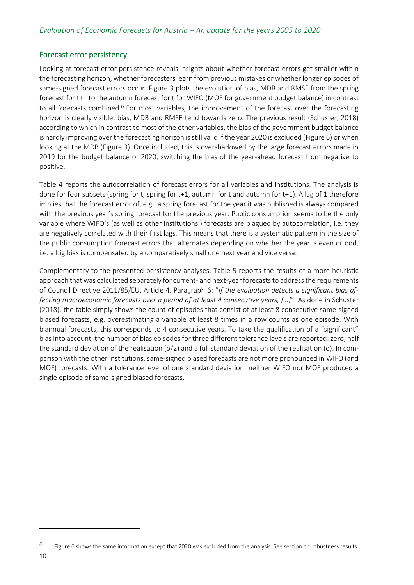#### Forecast error persistency

Looking at forecast error persistence reveals insights about whether forecast errors get smaller within the forecasting horizon, whether forecasters learn from previous mistakes or whether longer episodes of same-signed forecast errors occur. [Figure 3](#page-14-0) plots the evolution of bias, MDB and RMSE from the spring forecast for t+1 to the autumn forecast for t for WIFO (MOF for government budget balance) in contrast to all forecasts combined.<sup>6</sup> For most variables, the improvement of the forecast over the forecasting horizon is clearly visible; bias, MDB and RMSE tend towards zero. The previous result (Schuster, 2018) according to which in contrast to most of the other variables, the bias of the government budget balance is hardly improving over the forecasting horizon is still valid if the year 2020 is excluded [\(Figure 6\)](#page-30-0) or when looking at the MDB [\(Figure 3\)](#page-14-0). Once included, this is overshadowed by the large forecast errors made in 2019 for the budget balance of 2020, switching the bias of the year-ahead forecast from negative to positive.

[Table 4](#page-16-0) reports the autocorrelation of forecast errors for all variables and institutions. The analysis is done for four subsets (spring for t, spring for t+1, autumn for t and autumn for t+1). A lag of 1 therefore implies that the forecast error of, e.g., a spring forecast for the year it was published is always compared with the previous year's spring forecast for the previous year. Public consumption seems to be the only variable where WIFO's (as well as other institutions') forecasts are plagued by autocorrelation, i.e. they are negatively correlated with their first lags. This means that there is a systematic pattern in the size of the public consumption forecast errors that alternates depending on whether the year is even or odd, i.e. a big bias is compensated by a comparatively small one next year and vice versa.

Complementary to the presented persistency analyses, [Table 5](#page-17-0) reports the results of a more heuristic approach that was calculated separately for current- and next-year forecasts to address the requirements of Council Directive 2011/85/EU, Article 4, Paragraph 6: "*If the evaluation detects a significant bias affecting macroeconomic forecasts over a period of at least 4 consecutive years, […]*". As done in Schuster (2018), the table simply shows the count of episodes that consist of at least 8 consecutive same-signed biased forecasts, e.g. overestimating a variable at least 8 times in a row counts as one episode. With biannual forecasts, this corresponds to 4 consecutive years. To take the qualification of a "significant" bias into account, the number of bias episodes for three different tolerance levels are reported: zero, half the standard deviation of the realisation (σ/2) and a full standard deviation of the realisation (σ). In comparison with the other institutions, same-signed biased forecasts are not more pronounced in WIFO (and MOF) forecasts. With a tolerance level of one standard deviation, neither WIFO nor MOF produced a single episode of same-signed biased forecasts.

 $6$  [Figure 6](#page-30-0) shows the same information except that 2020 was excluded from the analysis. See section on robustness results.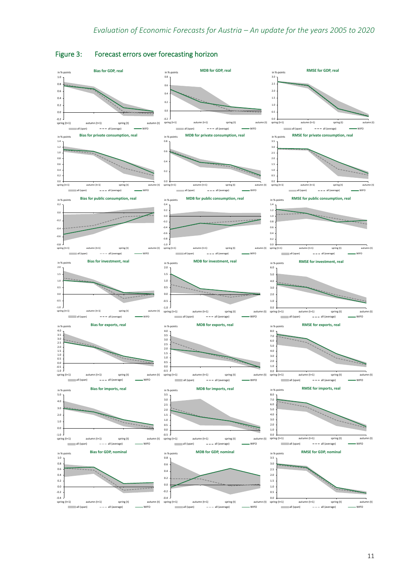

#### <span id="page-14-0"></span>Figure 3: Forecast errors over forecasting horizon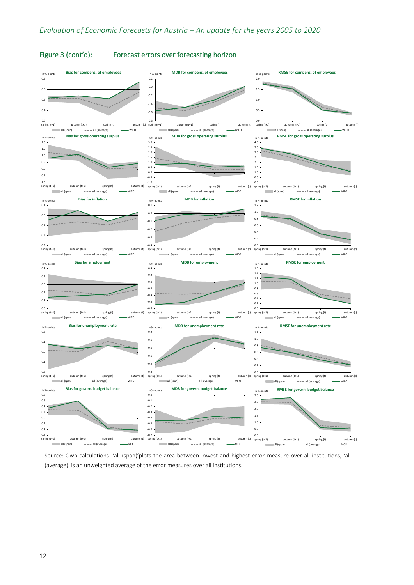

#### [Figure 3](#page-14-0) (cont'd): Forecast errors over forecasting horizon

Source: Own calculations. 'all (span)'plots the area between lowest and highest error measure over all institutions, 'all (average)' is an unweighted average of the error measures over all institutions.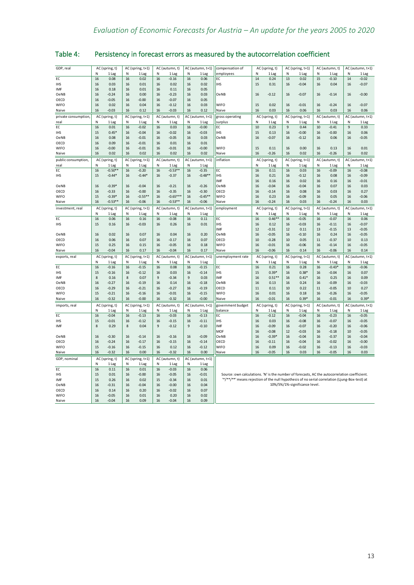| GDP, real                   |          | AC (spring, t)     |          | AC (spring, t+1)    |          | AC (autumn, t)     |          | AC (autumn, t+1)     | compensation of                                                                               |          | AC (spring, t) |          | AC (spring, t+1)              |                | AC (autumn, t)  |                | AC (autumn, t+1)   |
|-----------------------------|----------|--------------------|----------|---------------------|----------|--------------------|----------|----------------------|-----------------------------------------------------------------------------------------------|----------|----------------|----------|-------------------------------|----------------|-----------------|----------------|--------------------|
|                             | N        | 1 Lag              | N        | 1 Lag               | N        | 1 Lag              | N        | 1 Lag                | employees                                                                                     | N        | 1 Lag          | N        | 1 Lag                         | N              | 1 Lag           | N              | 1 Lag              |
| EC                          | 16       | 0.08               | 16       | 0.02                | 16       | $-0.16$            | 16       | 0.06                 | ЕC                                                                                            | 14       | 0.24           | 13       | 0.02                          | 15             | $-0.10$         | 14             | $-0.02$            |
| <b>IHS</b>                  | 16       | 0.03               | 16       | 0.01                | 16       | 0.02               | 16       | 0.02                 | <b>IHS</b>                                                                                    | 15       | 0.31           | 16       | $-0.04$                       | 16             | 0.04            | 16             | $-0.07$            |
| IMF                         | 16       | 0.18               | 16       | 0.01                | 16       | 0.11               | 16       | 0.05                 |                                                                                               |          |                |          |                               |                |                 |                |                    |
| OeNB                        | 16       | $-0.24$            | 16       | 0.00                | 16       | $-0.23$            | 16       | 0.03                 | OeNB                                                                                          | 16       | $-0.12$        | 16       | $-0.07$                       | 16             | $-0.14$         | 16             | $-0.00$            |
| OECD                        | 16       | $-0.05$            | 16       | $-0.00$             | 16       | $-0.07$            | 16       | 0.05                 |                                                                                               |          |                |          |                               |                |                 |                |                    |
| <b>WIFO</b>                 | 16       | 0.02               | 16       | 0.04                | 16       | $-0.12$            | 16       | 0.03                 | <b>WIFO</b>                                                                                   | 15       | 0.02           | 16       | $-0.01$                       | 16             | $-0.24$         | 16             | $-0.07$            |
| Naive                       | 16       | $-0.03$            | 16       | 0.12                | 16       | $-0.03$            | 16       | 0.12                 | Naive                                                                                         | 16       | 0.03           | 16       | 0.06                          | 16             | 0.03            | 16             | 0.06               |
| private consumption,        |          | AC (spring, t)     |          | AC (spring, t+1)    |          | AC (autumn, t)     |          | AC (autumn, t+1)     | gross operating                                                                               |          | AC (spring, t) |          | AC (spring, t+1)              | AC (autumn, t) |                 |                | AC (autumn, t+1)   |
| real                        | N        | 1 Lag              | N        | 1 Lag               | N        | 1 Lag              | N        | 1 Lag                | surplus                                                                                       | N        | 1 Lag          | N        | 1 Lag                         | N              | 1 Lag           | N              | 1 Lag              |
| EC                          | 16       | 0.01               | 16       | $-0.02$             | 16       | 0.03               | 16       | $-0.00$              | EC                                                                                            | 10       | 0.23           | 9        | 0.44                          | 10             | $-0.41$         | $\overline{9}$ | 0.33               |
| <b>IHS</b>                  | 15       | $0.45*$            | 16       | $-0.04$             | 16       | $-0.02$            | 16       | $-0.03$              | <b>IHS</b>                                                                                    | 15       | 0.13           | 16       | $-0.00$                       | 16             | $-0.00$         | 16             | 0.06               |
| <b>OeNB</b>                 | 16       | 0.08               | 16       | $-0.01$             | 16       | $-0.05$            | 16       | 0.03                 | OeNB                                                                                          | 16       | $-0.07$        | 16       | $-0.12$                       | 16             | 0.06            | 16             | $-0.05$            |
| OECD                        | 16       | 0.09               | 16       | $-0.01$             | 16       | 0.01               | 16       | 0.01                 |                                                                                               |          |                |          |                               |                |                 |                |                    |
| <b>WIFO</b>                 | 16       | $-0.00$            | 16       | $-0.01$             | 16       | $-0.01$            | 16       | $-0.00$              | <b>WIFO</b>                                                                                   | 15       | 0.11           | 16       | 0.00                          | 16             | 0.13            | 16             | 0.01               |
| Naive                       | 16       | 0.02               | 16       | 0.02                | 16       | 0.02               | 16       | 0.02                 | Naive                                                                                         | 16       | $-0.26$        | 16       | 0.02                          | 16             | $-0.26$         | 16             | 0.02               |
|                             |          |                    |          | AC (spring, t+1)    |          | AC (autumn, t)     |          | AC (autumn, t+1)     | inflation                                                                                     |          |                |          | AC (spring, t+1)              |                | AC (autumn, t)  |                | AC (autumn, t+1)   |
| public consumption,<br>real | N        | AC (spring, t)     | N        |                     | N        |                    |          |                      |                                                                                               | N        | AC (spring, t) | N        |                               | N              | 1 Lag           | N              | 1 Lag              |
| EC                          |          | 1 Lag<br>$-0.50**$ |          | 1 Lag               |          | 1 Lag<br>$-0.53**$ | 16       | 1 Lag                | EC                                                                                            | 16       | 1 Lag<br>0.11  |          | 1 Lag                         |                |                 |                |                    |
| <b>IHS</b>                  | 16<br>15 | $-0.44*$           | 16<br>16 | $-0.20$<br>$-0.44*$ | 16<br>16 | $-0.37$            | 16       | $-0.35$<br>$-0.48**$ | <b>IHS</b>                                                                                    | 16       | 0.21           | 16<br>16 | 0.03<br>$-0.12$               | 16<br>16       | $-0.09$<br>0.08 | 16<br>16       | $-0.08$<br>$-0.09$ |
|                             |          |                    |          |                     |          |                    |          |                      | IMF                                                                                           | 16       | 0.16           | 16       | 0.02                          | 16             | 0.16            | 16             | $-0.01$            |
| OeNB                        | 16       | $-0.39*$           | 16       | $-0.04$             | 16       | $-0.21$            | 16       | $-0.26$              | OeNB                                                                                          | 16       | $-0.04$        | 16       | $-0.04$                       | 16             | 0.07            | 16             | 0.03               |
| OECD                        | 16       | $-0.33$            | 16       | $-0.00$             | 16       | $-0.35$            | 16       | $-0.30$              | OECD                                                                                          | 16       | $-0.14$        | 16       | 0.08                          | 16             | 0.03            | 16             | 0.27               |
| <b>WIFO</b>                 | 15       | $-0.39*$           | 16       | $-0.55***$          | 16       | $-0.65**$          | 16       | $-0.45**$            | <b>WIFO</b>                                                                                   | 16       | 0.23           | 16       | $-0.09$                       | 16             | 0.05            | 16             | $-0.06$            |
| Naive                       | 16       | $-0.53**$          | 16       | $-0.06$             | 16       | $-0.53**$          | 16       | $-0.06$              | Naive                                                                                         | 16       | $-0.24$        | 16       | 0.03                          | 16             | $-0.24$         | 16             | 0.03               |
|                             |          |                    |          |                     |          |                    |          |                      |                                                                                               |          |                |          |                               |                |                 |                |                    |
| investment, real            |          | AC (spring, t)     |          | AC (spring, t+1)    |          | AC (autumn, t)     |          | AC (autumn, t+1)     | employment                                                                                    |          | AC (spring, t) |          | AC (spring, t+1)              |                | AC (autumn, t)  |                | AC (autumn, t+1)   |
|                             | N        | 1 Lag              | N        | 1 Lag               | N        | 1 Lag              |          | 1 Lag                |                                                                                               |          | 1 Lag          | N        | 1 Lag                         | N              | 1 Lag           | N              | 1 Lag              |
| EC                          | 16       | 0.06               | 16       | 0.16                | 16       | $-0.08$            | 16       | 0.11                 | EC                                                                                            | 16       | $0.46**$       | 16       | $-0.05$                       | 16             | $-0.07$         | 16             | 0.06               |
| <b>IHS</b>                  | 15       | 0.16               | 16       | $-0.03$             | 16       | 0.26               | 16       | 0.01                 | <b>IHS</b>                                                                                    | 16       | 0.12           | 16       | $-0.03$                       | 16             | $-0.11$         | 16             | $-0.07$            |
|                             |          |                    |          |                     |          |                    |          |                      | <b>IMF</b>                                                                                    | 12       | $-0.31$        | 12       | 0.11                          | 13             | $-0.15$         | 13             | $-0.05$            |
| OeNB                        | 16       | 0.02               | 16       | 0.07                | 16       | 0.04               | 16       | 0.20                 | OeNB                                                                                          | 16       | $-0.05$        | 16       | $-0.10$                       | 16             | 0.24            | 16             | $-0.05$            |
| OECD                        | 16       | 0.06               | 16       | 0.07                | 16       | $-0.17$            | 16       | 0.07                 | OECD                                                                                          | 10       | $-0.28$        | 10       | 0.05                          | 11             | $-0.37$         | 10             | 0.13               |
| <b>WIFO</b>                 | 15       | 0.25               | 16<br>16 | 0.15                | 16<br>16 | $-0.05$            | 16<br>16 | 0.18                 | <b>WIFO</b>                                                                                   | 16<br>16 | $-0.01$        | 16       | $-0.06$                       | 16             | $-0.14$         | 16<br>16       | $-0.05$            |
| Naive                       | 16       | $-0.04$            |          | 0.17                |          | $-0.04$            |          | 0.17                 | Naive                                                                                         |          | $-0.06$        | 16       | 0.14                          | 16             | $-0.06$         |                | 0.14               |
| exports, real               |          | AC (spring, t)     |          | AC (spring, t+1)    |          | AC (autumn, t)     |          | AC (autumn, t+1)     | unemployment rate                                                                             |          | AC (spring, t) |          | AC (spring, t+1)              |                | AC (autumn, t)  |                | AC (autumn, t+1)   |
|                             | N        | 1 Lag              | N        | 1 Lag               | N        | 1 Lag              | N        | 1 Lag                |                                                                                               | N        | 1 Lag          | N        | 1 Lag                         | N              | 1 Lag           | N              | 1 Lag              |
| EC                          | 16       | $-0.16$            | 16       | $-0.15$             | 16       | 0.08               | 16       | $-0.15$              | EC                                                                                            | 16       | 0.21           | 16       | 0.28                          | 16             | $-0.43*$        | 16             | $-0.06$            |
| <b>IHS</b>                  | 15       | $-0.16$            | 16       | $-0.12$             | 16       | 0.03               | 16       | $-0.14$              | <b>IHS</b>                                                                                    | 15       | $0.39*$        | 16       | $0.38*$                       | 16             | $-0.04$         | 16             | 0.07               |
| IMF                         | 8        | 0.16               | 8        | 0.07                | 9        | $-0.34$            | 9        | 0.03                 | IMF                                                                                           | 16       | $0.51**$       | 16       | $0.41*$                       | 16             | 0.25            | 16             | 0.09               |
| OeNB                        | 16       | $-0.27$            | 16       | $-0.19$             | 16       | 0.14               | 16       | $-0.18$              | OeNB                                                                                          | 16       | 0.13           | 16       | 0.24                          | 16             | $-0.09$         | 16             | $-0.03$            |
| OECD                        | 16       | $-0.29$            | 16       | $-0.21$             | 16       | $-0.27$            | 16       | $-0.19$              | OECD                                                                                          | 11       | 0.11           | 10       | 0.22                          | 11             | $-0.05$         | 10             | 0.27               |
| WIFO                        | 15       | $-0.21$            | 16       | $-0.16$             | 16       | $-0.01$            | 16       | $-0.15$              | <b>WIFO</b>                                                                                   | 16       | 0.01           | 16       | 0.18                          | 16             | $-0.26$         | 16             | $-0.05$            |
| Naive                       | 16       | $-0.32$            | 16       | $-0.00$             | 16       | $-0.32$            | 16       | $-0.00$              | Naive                                                                                         | 16       | $-0.01$        | 16       | $0.39*$                       | 16             | $-0.01$         | 16             | $0.39*$            |
| imports, real               |          | AC (spring, t)     |          | AC (spring, t+1)    |          | AC (autumn, t)     |          | AC (autumn, t+1)     | government budget                                                                             |          | AC (spring, t) |          | AC (spring, t+1)              |                | AC (autumn, t)  |                | AC (autumn, t+1)   |
|                             | N        | 1 Lag              | N        | 1 Lag               | N        | 1 Lag              | N        | 1 Lag                | balance                                                                                       | N        | 1 Lag          | N        | 1 Lag                         | N              | 1 Lag           | N              | 1 Lag              |
| EC                          | 16       | $-0.04$            | 16       | $-0.13$             | 16       | $-0.03$            | 16       | $-0.13$              | EC                                                                                            | 16       | $-0.12$        | 16       | $-0.04$                       | 16             | $-0.23$         | 16             | $-0.05$            |
| <b>IHS</b>                  | 15       | $-0.01$            | 16       | $-0.12$             | 16       | $-0.15$            | 16       | $-0.11$              | <b>IHS</b>                                                                                    | 16       | 0.03           | 16       | $-0.08$                       | 16             | $-0.07$         | 16             | $-0.05$            |
| IMF                         | 8        | 0.29               | 8        | 0.04                | 9        | $-0.12$            | 9        | $-0.10$              | <b>IMF</b>                                                                                    | 16       | $-0.09$        | 16       | $-0.07$                       | 16             | $-0.20$         | 16             | $-0.06$            |
|                             |          |                    |          |                     |          |                    |          |                      | <b>MOF</b>                                                                                    | 16       | $-0.08$        | 12       | $-0.03$                       | 16             | $-0.18$         | 10             | $-0.05$            |
| OeNB                        | 16       | $-0.30$            | 16       | $-0.14$             | 16       | $-0.16$            | 16       | $-0.09$              | OeNB                                                                                          | 16       | $-0.39*$       | 16       | $-0.04$                       | 16             | $-0.37$         | 16             | $-0.04$            |
| OECD                        | 16       | $-0.24$            | 16       | $-0.17$             | 16       | $-0.15$            | 16       | $-0.14$              | OECD                                                                                          | 16       | $-0.11$        | 16       | $-0.04$                       | 16             | $-0.02$         | 16             | $-0.00$            |
| WIFO                        | 15       | $-0.16$            | 16       | $-0.15$             | 16       | 0.12               | 16       | $-0.12$              | <b>WIFO</b>                                                                                   | 16       | 0.09           | 16       | $-0.02$                       | 16             | $-0.13$         | 16             | $-0.03$            |
| Naive                       | 16       | $-0.32$            | 16       | 0.00                | 16       | $-0.32$            | 16       | 0.00                 | Naive                                                                                         | 16       | $-0.05$        | 16       | 0.03                          | 16             | $-0.05$         | 16             | 0.03               |
| GDP, nominal                |          | AC (spring, t)     |          | AC (spring, t+1)    |          | AC (autumn, t)     |          | AC (autumn, t+1)     |                                                                                               |          |                |          |                               |                |                 |                |                    |
|                             | N        | 1 Lag              | N        | 1 Lag               | N        | 1 Lag              | N        | 1 Lag                |                                                                                               |          |                |          |                               |                |                 |                |                    |
| EC                          | 16       | 0.11               | 16       | 0.01                | 16       | $-0.03$            | 16       | 0.06                 |                                                                                               |          |                |          |                               |                |                 |                |                    |
| <b>IHS</b>                  | 15       | 0.01               | 16       | $-0.00$             | 16       | $-0.05$            | 16       | $-0.01$              | Source: own calculations. 'N' is the number of forecasts, AC the autocorrelation coefficient. |          |                |          |                               |                |                 |                |                    |
| <b>IMF</b>                  | 15       | 0.26               | 16       | 0.02                | 15       | $-0.34$            | 16       | 0.01                 | "*/**/**" means rejection of the null hypothesis of no serial correlation (Ljung-Box-test) at |          |                |          |                               |                |                 |                |                    |
| OeNB                        |          |                    |          | $-0.04$             | 16       | $-0.00$            | 16       | 0.04                 |                                                                                               |          |                |          | 10%/5%/1%-significance level. |                |                 |                |                    |
|                             | 16       | $-0.31$            | 16       |                     |          |                    |          |                      |                                                                                               |          |                |          |                               |                |                 |                |                    |
| OECD                        | 16       | 0.14               | 16       | 0.20                | 16       | $-0.02$            | 16       | 0.07                 |                                                                                               |          |                |          |                               |                |                 |                |                    |
| WIFO                        | 16       | $-0.05$            | 16       | 0.01                | 16       | 0.20               | 16       | 0.02                 |                                                                                               |          |                |          |                               |                |                 |                |                    |

<span id="page-16-0"></span>Table 4: Persistency in forecast errors as measured by the autocorrelation coefficient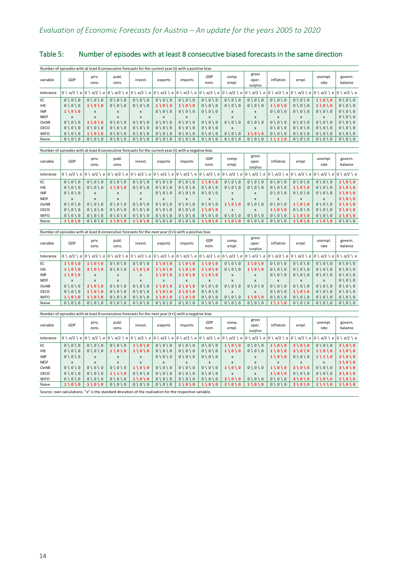<span id="page-17-0"></span>

|                                                                                                        | Table 5:<br>Number of episodes with at least 8 consecutive biased forecasts in the same direction |  |  |  |  |  |  |  |  |  |  |  |  |
|--------------------------------------------------------------------------------------------------------|---------------------------------------------------------------------------------------------------|--|--|--|--|--|--|--|--|--|--|--|--|
| Number of episodes with at least 8 consecutive forecasts for the current year (t) with a positive bias |                                                                                                   |  |  |  |  |  |  |  |  |  |  |  |  |
|                                                                                                        |                                                                                                   |  |  |  |  |  |  |  |  |  |  |  |  |

| variable                   | GDP                                                                                                    | priv.<br>cons.                                                                          | publ.<br>cons.                                                  | invest.                                                                                                                | exports                                                                                     | imports                                                                                     | GDP<br>nom.                                                                               | comp.<br>empl.                                                                        | gross<br>oper.<br>surplus                                       | inflation                                                                                   | empl.                                                                                     | unempl.<br>rate                                                                               | govern.<br>balance                                                                        |
|----------------------------|--------------------------------------------------------------------------------------------------------|-----------------------------------------------------------------------------------------|-----------------------------------------------------------------|------------------------------------------------------------------------------------------------------------------------|---------------------------------------------------------------------------------------------|---------------------------------------------------------------------------------------------|-------------------------------------------------------------------------------------------|---------------------------------------------------------------------------------------|-----------------------------------------------------------------|---------------------------------------------------------------------------------------------|-------------------------------------------------------------------------------------------|-----------------------------------------------------------------------------------------------|-------------------------------------------------------------------------------------------|
| tolerance                  | $0 \setminus σ/2 \setminus σ$                                                                          | $0 \setminus σ/2 \setminus σ$ $0 \setminus σ/2 \setminus σ$                             |                                                                 | $ 0 \setminus \sigma/2 \setminus \sigma  0 \setminus \sigma/2 \setminus \sigma  0 \setminus \sigma/2 \setminus \sigma$ |                                                                                             |                                                                                             | $0 \setminus σ/2 \setminus σ$                                                             | $0 \setminus σ/2 \setminus σ$ $0 \setminus σ/2 \setminus σ$                           |                                                                 | $0 \setminus σ/2 \setminus σ$                                                               | $0 \setminus σ/2 \setminus σ$ $0 \setminus σ/2 \setminus σ$                               |                                                                                               | $0 \setminus σ/2 \setminus σ$                                                             |
| EC<br><b>IHS</b><br>IMF    | $0 \setminus 0 \setminus 0$<br>$0 \setminus 0 \setminus 0$<br>$1 \setminus 0 \setminus 0$              | $0 \setminus 0 \setminus 0$<br>$1 \setminus 0 \setminus 0$<br>X                         | $0 \setminus 0 \setminus 0$<br>$0 \setminus 0 \setminus 0$<br>X | $0 \setminus 0 \setminus 0$<br>$0 \setminus 0 \setminus 0$<br>X                                                        | $0 \setminus 0 \setminus 0$<br>$1 \backslash 0 \backslash 0$<br>$0 \setminus 0 \setminus 0$ | $0 \setminus 0 \setminus 0$<br>$1 \backslash 0 \backslash 0$<br>$0 \setminus 0 \setminus 0$ | $0 \setminus 0 \setminus 0$<br>$0 \setminus 0 \setminus 0$<br>$0 \setminus 0 \setminus 0$ | $0 \setminus 0 \setminus 0$<br>$0 \setminus 0 \setminus 0$<br>X                       | $0 \setminus 0 \setminus 0$<br>$0 \setminus 0 \setminus 0$<br>X | $0 \setminus 0 \setminus 0$<br>$1 \backslash 0 \backslash 0$<br>$0 \setminus 0 \setminus 0$ | $0 \setminus 0 \setminus 0$<br>$0 \setminus 0 \setminus 0$<br>$0 \setminus 0 \setminus 0$ | $1 \backslash 0 \backslash 0$<br>$1 \backslash 0 \backslash 0$<br>$0 \setminus 0 \setminus 0$ | $0 \setminus 0 \setminus 0$<br>$0 \setminus 0 \setminus 0$<br>$0 \setminus 0 \setminus 0$ |
| <b>MOF</b><br>OeNB<br>OECD | $\boldsymbol{\mathsf{x}}$<br>$0 \setminus 0 \setminus 0$<br>$0 \setminus 0 \setminus 0$                | $\overline{\mathsf{x}}$<br>$1 \backslash 0 \backslash 0$<br>$0 \setminus 0 \setminus 0$ | X<br>$0 \setminus 0 \setminus 0$<br>$0 \setminus 0 \setminus 0$ | $\boldsymbol{\mathsf{x}}$<br>$0 \setminus 0 \setminus 0$<br>$0 \setminus 0 \setminus 0$                                | $\boldsymbol{\mathsf{x}}$<br>$0 \setminus 0 \setminus 0$<br>$0 \setminus 0 \setminus 0$     | $\mathsf{x}$<br>$0 \setminus 0 \setminus 0$<br>$0 \setminus 0 \setminus 0$                  | $\mathsf{x}$<br>$0 \setminus 0 \setminus 0$<br>$0 \setminus 0 \setminus 0$                | $\boldsymbol{\mathsf{x}}$<br>$0 \setminus 0 \setminus 0$<br>$\boldsymbol{\mathsf{x}}$ | x<br>$0 \setminus 0 \setminus 0$<br>$\mathbf{x}$                | $\overline{\mathsf{x}}$<br>$0 \setminus 0 \setminus 0$<br>$0 \setminus 0 \setminus 0$       | $\overline{\mathsf{x}}$<br>$0 \setminus 0 \setminus 0$<br>$0 \setminus 0 \setminus 0$     | X<br>$0 \setminus 0 \setminus 0$<br>$0 \setminus 0 \setminus 0$                               | $0 \setminus 0 \setminus 0$<br>$0 \setminus 0 \setminus 0$<br>$0 \setminus 0 \setminus 0$ |
| <b>WIFO</b>                | $0 \setminus 0 \setminus 0$                                                                            | $1 \setminus 0 \setminus 0$                                                             | $0 \setminus 0 \setminus 0$                                     | $0 \setminus 0 \setminus 0$                                                                                            | $0 \setminus 0 \setminus 0$                                                                 | $0 \setminus 0 \setminus 0$                                                                 | $0 \setminus 0 \setminus 0$                                                               | $0 \setminus 0 \setminus 0$                                                           | $1 \setminus 0 \setminus 0$                                     | $0 \setminus 0 \setminus 0$                                                                 | $0 \setminus 0 \setminus 0$                                                               | $0 \setminus 0 \setminus 0$                                                                   | $0 \setminus 0 \setminus 0$                                                               |
| Naive                      | $0 \setminus 0 \setminus 0$                                                                            | $0 \setminus 0 \setminus 0$                                                             | $0 \setminus 0 \setminus 0$                                     | $0 \setminus 0 \setminus 0$                                                                                            | $0 \setminus 0 \setminus 0$                                                                 | $0 \setminus 0 \setminus 0$                                                                 | $0 \setminus 0 \setminus 0$                                                               | $0 \setminus 0 \setminus 0$                                                           | $0 \setminus 0 \setminus 0$                                     | $1 \backslash 1 \backslash 0$                                                               | $0 \setminus 0 \setminus 0$                                                               | $0 \setminus 0 \setminus 0$                                                                   | $0 \setminus 0 \setminus 0$                                                               |
|                            | Number of episodes with at least 8 consecutive forecasts for the current year (t) with a negative bias |                                                                                         |                                                                 |                                                                                                                        |                                                                                             |                                                                                             |                                                                                           |                                                                                       |                                                                 |                                                                                             |                                                                                           |                                                                                               |                                                                                           |
| variable                   | GDP                                                                                                    | priv.<br>cons.                                                                          | publ.<br>cons.                                                  | invest.                                                                                                                | exports                                                                                     | imports                                                                                     | GDP<br>nom.                                                                               | comp.<br>empl.                                                                        | gross<br>oper.<br>surplus                                       | inflation                                                                                   | empl.                                                                                     | unempl.<br>rate                                                                               | govern.<br>balance                                                                        |
| tolerance                  | $0 \setminus σ/2 \setminus σ$                                                                          | $0 \setminus σ/2 \setminus σ$                                                           | $0 \setminus σ/2 \setminus σ$                                   | $0 \setminus σ/2 \setminus σ$                                                                                          | $0 \setminus σ/2 \setminus σ$                                                               | $0 \setminus σ/2 \setminus σ$                                                               | $0 \setminus σ/2 \setminus σ$                                                             | $0 \setminus σ/2 \setminus σ$                                                         | $0 \setminus σ/2 \setminus σ$                                   | $0 \setminus σ/2 \setminus σ$                                                               | $0 \setminus σ/2 \setminus σ$   0 \ σ/2 \ σ                                               |                                                                                               | $0 \setminus σ/2 \setminus σ$                                                             |
| EC                         | $0 \setminus 0 \setminus 0$                                                                            | $0 \setminus 0 \setminus 0$                                                             | $0 \setminus 0 \setminus 0$                                     | $0 \setminus 0 \setminus 0$                                                                                            | $0 \setminus 0 \setminus 0$                                                                 | $0 \setminus 0 \setminus 0$                                                                 | $1 \setminus 0 \setminus 0$                                                               | $0 \setminus 0 \setminus 0$                                                           | $0 \setminus 0 \setminus 0$                                     | $0 \setminus 0 \setminus 0$                                                                 | $0 \setminus 0 \setminus 0$                                                               | $0 \setminus 0 \setminus 0$                                                                   | 1\0\0                                                                                     |
| <b>IHS</b><br>IMF          | $0 \setminus 0 \setminus 0$<br>$0 \setminus 0 \setminus 0$                                             | $0 \setminus 0 \setminus 0$                                                             | $1 \setminus 0 \setminus 0$                                     | $0 \setminus 0 \setminus 0$<br>$\pmb{\mathsf{x}}$                                                                      | $0 \setminus 0 \setminus 0$<br>$0 \setminus 0 \setminus 0$                                  | $0 \setminus 0 \setminus 0$<br>$0 \setminus 0 \setminus 0$                                  | $0 \setminus 0 \setminus 0$<br>$0 \setminus 0 \setminus 0$                                | $0 \setminus 0 \setminus 0$                                                           | $0 \setminus 0 \setminus 0$<br>X                                | $0 \setminus 0 \setminus 0$<br>$0 \setminus 0 \setminus 0$                                  | $1 \setminus 0 \setminus 0$<br>$0 \setminus 0 \setminus 0$                                | $0 \setminus 0 \setminus 0$<br>$0 \setminus 0 \setminus 0$                                    | $2 \setminus 0 \setminus 0$<br>$1 \backslash 0 \backslash 0$                              |
| <b>MOF</b>                 | X                                                                                                      | X<br>$\mathsf{x}$                                                                       | X<br>x                                                          | $\boldsymbol{\mathsf{x}}$                                                                                              | X                                                                                           | x                                                                                           | x                                                                                         | X<br>$\boldsymbol{\mathsf{x}}$                                                        | X                                                               | X                                                                                           | X                                                                                         | X                                                                                             | $2 \setminus 0 \setminus 0$                                                               |
| OeNB                       | $0 \setminus 0 \setminus 0$                                                                            | $0 \setminus 0 \setminus 0$                                                             | $0 \setminus 0 \setminus 0$                                     | $0 \setminus 0 \setminus 0$                                                                                            | $0 \setminus 0 \setminus 0$                                                                 | $0 \setminus 0 \setminus 0$                                                                 | $0 \setminus 0 \setminus 0$                                                               | 1 \ 0 \ 0                                                                             | $0 \setminus 0 \setminus 0$                                     | $0 \setminus 0 \setminus 0$                                                                 | $1 \backslash 0 \backslash 0$                                                             | $0 \setminus 0 \setminus 0$                                                                   | $2 \cup 0 \cup 0$                                                                         |
| OECD                       | $0 \setminus 0 \setminus 0$                                                                            | $0 \setminus 0 \setminus 0$                                                             | $0 \setminus 0 \setminus 0$                                     | $0 \setminus 0 \setminus 0$                                                                                            | $0 \setminus 0 \setminus 0$                                                                 | $0 \setminus 0 \setminus 0$                                                                 | $1 \setminus 0 \setminus 0$                                                               | $\boldsymbol{\mathsf{x}}$                                                             | $\mathbf{x}$                                                    | $1 \backslash 0 \backslash 0$                                                               | $0 \setminus 0 \setminus 0$                                                               | $0 \setminus 0 \setminus 0$                                                                   | $2 \backslash 0 \backslash 0$                                                             |
| <b>WIFO</b>                | $0 \setminus 0 \setminus 0$                                                                            | $0 \setminus 0 \setminus 0$                                                             | $0 \setminus 0 \setminus 0$                                     | $0 \setminus 0 \setminus 0$                                                                                            | $0 \setminus 0 \setminus 0$                                                                 | $0 \setminus 0 \setminus 0$                                                                 | $0 \setminus 0 \setminus 0$                                                               | $0 \setminus 0 \setminus 0$                                                           | $0 \setminus 0 \setminus 0$                                     | $0 \setminus 0 \setminus 0$                                                                 | $1 \backslash 0 \backslash 0$                                                             | $0 \setminus 0 \setminus 0$                                                                   | $1 \setminus 0 \setminus 0$                                                               |
| Naive                      | $1 \setminus 0 \setminus 0$                                                                            | $0 \setminus 0 \setminus 0$                                                             | $1 \backslash 0 \backslash 0$                                   | $1 \backslash 0 \backslash 0$                                                                                          | $0 \setminus 0 \setminus 0$                                                                 | $0 \setminus 0 \setminus 0$                                                                 | $1 \setminus 0 \setminus 0$                                                               | $1 \setminus 0 \setminus 0$                                                           | $0 \setminus 0 \setminus 0$                                     | $0 \setminus 0 \setminus 0$                                                                 | $1 \backslash 0 \backslash 0$                                                             | $1 \setminus 0 \setminus 0$                                                                   | $0 \setminus 0 \setminus 0$                                                               |
|                            | Number of episodes with at least 8 consecutive forecasts for the next year (t+1) with a positive bias  |                                                                                         |                                                                 |                                                                                                                        |                                                                                             |                                                                                             |                                                                                           |                                                                                       |                                                                 |                                                                                             |                                                                                           |                                                                                               |                                                                                           |
| variable                   | GDP                                                                                                    | priv.<br>cons.                                                                          | publ.<br>cons.                                                  | invest.                                                                                                                | exports                                                                                     | imports                                                                                     | GDP<br>nom.                                                                               | comp.<br>empl.                                                                        | gross<br>oper.<br>surplus                                       | inflation                                                                                   | empl.                                                                                     | unempl.<br>rate                                                                               | govern.<br>balance                                                                        |
| tolerance                  | $0 \setminus σ/2 \setminus σ$                                                                          | $0 \setminus σ/2 \setminus σ$                                                           | $0 \setminus σ/2 \setminus σ$                                   | $0 \setminus σ/2 \setminus σ$                                                                                          | $0 \setminus σ/2 \setminus σ$ $0 \setminus σ/2 \setminus σ$                                 |                                                                                             | $0 \setminus σ/2 \setminus σ$                                                             | $0 \setminus σ/2 \setminus σ$                                                         | $0 \setminus σ/2 \setminus σ$                                   | $0 \setminus σ/2 \setminus σ$                                                               | $0 \setminus σ/2 \setminus σ$   0 \ σ/2 \ σ                                               |                                                                                               | $0 \setminus σ/2 \setminus σ$                                                             |
| EC                         | $1 \setminus 0 \setminus 0$                                                                            | $1 \setminus 0 \setminus 0$                                                             | $0 \setminus 0 \setminus 0$                                     | $0 \setminus 0 \setminus 0$                                                                                            | $1 \setminus 0 \setminus 0$                                                                 | $1 \setminus 0 \setminus 0$                                                                 | $1 \setminus 0 \setminus 0$                                                               | $0 \setminus 0 \setminus 0$                                                           | $1 \backslash 0 \backslash 0$                                   | $0 \setminus 0 \setminus 0$                                                                 | $0 \setminus 0 \setminus 0$                                                               | $0 \setminus 0 \setminus 0$                                                                   | $0 \setminus 0 \setminus 0$                                                               |
| <b>IHS</b>                 | $1 \backslash 0 \backslash 0$                                                                          | 2\0\0                                                                                   | $0 \setminus 0 \setminus 0$                                     | $1 \setminus 0 \setminus 0$                                                                                            | 1\0\0                                                                                       | $1 \backslash 0 \backslash 0$                                                               | $1 \setminus 0 \setminus 0$                                                               | $0 \setminus 0 \setminus 0$                                                           | $1 \setminus 0 \setminus 0$                                     | $0 \setminus 0 \setminus 0$                                                                 | $0 \setminus 0 \setminus 0$                                                               | $0 \setminus 0 \setminus 0$                                                                   | $0 \setminus 0 \setminus 0$                                                               |
| IMF<br><b>MOF</b>          | $1 \setminus 0 \setminus 0$                                                                            | $\pmb{\mathsf{x}}$                                                                      | X                                                               | $\pmb{\mathsf{x}}$                                                                                                     | $1 \setminus 0 \setminus 0$                                                                 | $1 \setminus 0 \setminus 0$                                                                 | $1 \setminus 0 \setminus 0$                                                               | $\pmb{\mathsf{x}}$                                                                    | X                                                               | $0 \setminus 0 \setminus 0$                                                                 | $0 \setminus 0 \setminus 0$                                                               | $0 \setminus 0 \setminus 0$                                                                   | $0 \setminus 0 \setminus 0$<br>$0 \setminus 0 \setminus 0$                                |
| OeNB                       | X<br>$0 \setminus 0 \setminus 0$                                                                       | X<br>$2 \cup 0 \cup 0$                                                                  | X<br>$0 \setminus 0 \setminus 0$                                | $\pmb{\mathsf{x}}$<br>$0 \setminus 0 \setminus 0$                                                                      | X<br>$1 \backslash 0 \backslash 0$                                                          | x<br>$2 \backslash 0 \backslash 0$                                                          | $\boldsymbol{\mathsf{x}}$<br>$0 \setminus 0 \setminus 0$                                  | X<br>$0 \setminus 0 \setminus 0$                                                      | x<br>$0 \setminus 0 \setminus 0$                                | X<br>$0 \setminus 0 \setminus 0$                                                            | X<br>$0 \setminus 0 \setminus 0$                                                          | X<br>$0 \setminus 0 \setminus 0$                                                              | $0 \setminus 0 \setminus 0$                                                               |
| OECD                       | $0 \setminus 0 \setminus 0$                                                                            | $1 \backslash 0 \backslash 0$                                                           | $0 \setminus 0 \setminus 0$                                     | $0 \setminus 0 \setminus 0$                                                                                            | $1 \backslash 0 \backslash 0$                                                               | $2 \backslash 0 \backslash 0$                                                               | $0 \setminus 0 \setminus 0$                                                               | X                                                                                     | $\mathsf{x}$                                                    | $0 \setminus 0 \setminus 0$                                                                 | $1 \backslash 0 \backslash 0$                                                             | $0 \setminus 0 \setminus 0$                                                                   | $0 \setminus 0 \setminus 0$                                                               |
| <b>WIFO</b>                | $1 \backslash 0 \backslash 0$                                                                          | $1 \setminus 0 \setminus 0$                                                             | $0 \setminus 0 \setminus 0$                                     | $0 \setminus 0 \setminus 0$                                                                                            | $1 \backslash 0 \backslash 0$                                                               | $1 \backslash 0 \backslash 0$                                                               | $0 \setminus 0 \setminus 0$                                                               | $0 \setminus 0 \setminus 0$                                                           | $1 \backslash 0 \backslash 0$                                   | $0 \setminus 0 \setminus 0$                                                                 | $0 \setminus 0 \setminus 0$                                                               | $0 \setminus 0 \setminus 0$                                                                   | $0 \setminus 0 \setminus 0$                                                               |
| Naive                      | $0 \setminus 0 \setminus 0$                                                                            | $0 \setminus 0 \setminus 0$                                                             | $0 \setminus 0 \setminus 0$                                     | $0 \setminus 0 \setminus 0$                                                                                            | $0 \setminus 0 \setminus 0$                                                                 | $0 \setminus 0 \setminus 0$                                                                 | $0 \setminus 0 \setminus 0$                                                               | $0 \setminus 0 \setminus 0$                                                           | $0 \setminus 0 \setminus 0$                                     | $1 \backslash 1 \backslash 0$                                                               | $0 \setminus 0 \setminus 0$                                                               | $0 \setminus 0 \setminus 0$                                                                   | $0 \setminus 0 \setminus 0$                                                               |
|                            | Number of episodes with at least 8 consecutive forecasts for the next year (t+1) with a negative bias  |                                                                                         |                                                                 |                                                                                                                        |                                                                                             |                                                                                             |                                                                                           |                                                                                       |                                                                 |                                                                                             |                                                                                           |                                                                                               |                                                                                           |
|                            |                                                                                                        |                                                                                         |                                                                 |                                                                                                                        |                                                                                             |                                                                                             |                                                                                           |                                                                                       | gross                                                           |                                                                                             |                                                                                           |                                                                                               |                                                                                           |
| variable                   | GDP                                                                                                    | priv.<br>cons.                                                                          | publ.<br>cons.                                                  | invest.                                                                                                                | exports                                                                                     | imports                                                                                     | GDP<br>nom.                                                                               | comp.<br>empl.                                                                        | oper.<br>surplus                                                | inflation                                                                                   | empl.                                                                                     | unempl.<br>rate                                                                               | govern.<br>balance                                                                        |
| tolerance                  | $0 \setminus σ/2 \setminus σ$                                                                          | $0 \setminus σ/2 \setminus σ$                                                           | $0 \setminus σ/2 \setminus σ$                                   | $0 \setminus σ/2 \setminus σ$                                                                                          | $0 \setminus σ/2 \setminus σ$                                                               | $0 \setminus σ/2 \setminus σ$                                                               | $0 \setminus σ/2 \setminus σ$                                                             | $0 \setminus σ/2 \setminus σ$                                                         | $0 \setminus σ/2 \setminus σ$                                   | $0 \setminus σ/2 \setminus σ$                                                               | $0 \setminus σ/2 \setminus σ$                                                             | $0 \setminus σ/2 \setminus σ$                                                                 | $0 \setminus σ/2 \setminus σ$                                                             |
| EC                         | $0 \setminus 0 \setminus 0$                                                                            | $0 \setminus 0 \setminus 0$                                                             | $0 \setminus 0 \setminus 0$                                     | $1 \backslash 0 \backslash 0$                                                                                          | $0 \setminus 0 \setminus 0$                                                                 | $0 \setminus 0 \setminus 0$                                                                 | $0 \setminus 0 \setminus 0$                                                               | $1 \backslash 0 \backslash 0$                                                         | $0 \setminus 0 \setminus 0$                                     | $1 \backslash 0 \backslash 0$                                                               | $2\backslash0\backslash0$                                                                 | $0 \setminus 0 \setminus 0$                                                                   | $3\backslash0\backslash0$                                                                 |
| <b>IHS</b>                 |                                                                                                        | $0 \setminus 0 \setminus 0$                                                             | $1 \setminus 0 \setminus 0$                                     | $1 \setminus 0 \setminus 0$                                                                                            | $0 \setminus 0 \setminus 0$                                                                 | $0 \setminus 0 \setminus 0$                                                                 | $0 \setminus 0 \setminus 0$                                                               | $1 \setminus 0 \setminus 0$                                                           | $0 \setminus 0 \setminus 0$                                     | $1 \setminus 0 \setminus 0$                                                                 | $2 \setminus 0 \setminus 0$                                                               | $1 \setminus 0 \setminus 0$                                                                   | $1 \setminus 0 \setminus 0$                                                               |
|                            | $0 \setminus 0 \setminus 0$                                                                            |                                                                                         |                                                                 |                                                                                                                        |                                                                                             |                                                                                             |                                                                                           |                                                                                       |                                                                 |                                                                                             |                                                                                           |                                                                                               |                                                                                           |
| <b>IMF</b>                 | $0 \setminus 0 \setminus 0$                                                                            | X                                                                                       | X                                                               | $\mathbf{x}$                                                                                                           | $0 \setminus 0 \setminus 0$                                                                 | $0 \setminus 0 \setminus 0$                                                                 | $0 \setminus 0 \setminus 0$                                                               | X                                                                                     | x                                                               | $1 \setminus 0 \setminus 0$                                                                 | $0 \setminus 0 \setminus 0$                                                               | $1 \backslash 1 \backslash 0$                                                                 | $2 \setminus 0 \setminus 0$                                                               |
| <b>MOF</b>                 | $\boldsymbol{\mathsf{x}}$                                                                              | X                                                                                       | X                                                               | $\pmb{\mathsf{x}}$                                                                                                     | $\mathsf{x}$                                                                                | x                                                                                           | $\boldsymbol{\mathsf{x}}$                                                                 | $\boldsymbol{\mathsf{x}}$                                                             | X                                                               | $\pmb{\mathsf{x}}$                                                                          | $\boldsymbol{\mathsf{x}}$                                                                 | $\mathsf{x}$                                                                                  | $1 \setminus 0 \setminus 0$                                                               |
| OeNB<br>OECD               | $0 \setminus 0 \setminus 0$<br>$0 \setminus 0 \setminus 0$                                             | $0 \setminus 0 \setminus 0$<br>$0 \setminus 0 \setminus 0$                              | $0 \setminus 0 \setminus 0$<br>$1 \backslash 1 \backslash 0$    | $1 \backslash 0 \backslash 0$<br>$0 \setminus 0 \setminus 0$                                                           | $0 \setminus 0 \setminus 0$<br>$0 \setminus 0 \setminus 0$                                  | $0 \setminus 0 \setminus 0$<br>$0 \setminus 0 \setminus 0$                                  | $0 \setminus 0 \setminus 0$<br>$0 \setminus 0 \setminus 0$                                | $1 \backslash 0 \backslash 0$                                                         | $0 \setminus 0 \setminus 0$<br>$\mathbf{x}$                     | $1 \setminus 0 \setminus 0$<br>$1 \backslash 0 \backslash 0$                                | $2 \setminus 0 \setminus 0$<br>$0 \setminus 0 \setminus 0$                                | $0 \setminus 0 \setminus 0$<br>$0 \setminus 0 \setminus 0$                                    | 3\0\0<br>3\0\0                                                                            |
| <b>WIFO</b>                | $0 \setminus 0 \setminus 0$                                                                            | $0 \setminus 0 \setminus 0$                                                             | $0 \setminus 0 \setminus 0$                                     | $1 \backslash 0 \backslash 0$                                                                                          | $0 \setminus 0 \setminus 0$                                                                 | $0 \setminus 0 \setminus 0$                                                                 | $0 \setminus 0 \setminus 0$                                                               | $2\backslash0\backslash0$                                                             | $0 \setminus 0 \setminus 0$                                     | $0 \setminus 0 \setminus 0$                                                                 | $3\backslash0\backslash0$                                                                 | 1\0\0                                                                                         | $1 \setminus 0 \setminus 0$                                                               |

Source: own calculations. "σ" is the standard deviation of the realisation for the respective variable.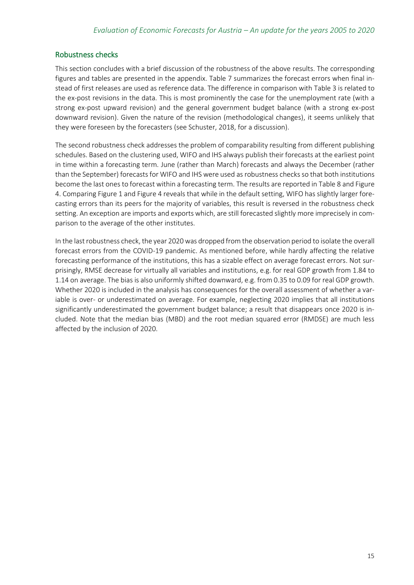#### Robustness checks

This section concludes with a brief discussion of the robustness of the above results. The corresponding figures and tables are presented in the appendix. [Table 7](#page-24-0) summarizes the forecast errors when final instead of first releases are used as reference data. The difference in comparison wit[h Table 3](#page-11-0) is related to the ex-post revisions in the data. This is most prominently the case for the unemployment rate (with a strong ex-post upward revision) and the general government budget balance (with a strong ex-post downward revision). Given the nature of the revision (methodological changes), it seems unlikely that they were foreseen by the forecasters (see Schuster, 2018, for a discussion).

The second robustness check addresses the problem of comparability resulting from different publishing schedules. Based on the clustering used, WIFO and IHS always publish their forecasts at the earliest point in time within a forecasting term. June (rather than March) forecasts and always the December (rather than the September) forecasts for WIFO and IHS were used as robustness checksso that both institutions become the last ones to forecast within a forecasting term. The results are reported i[n Table 8](#page-26-0) an[d Figure](#page-23-1)  [4.](#page-23-1) Comparin[g Figure 1](#page-9-0) an[d Figure 4](#page-23-1) reveals that while in the default setting, WIFO has slightly larger forecasting errors than its peers for the majority of variables, this result is reversed in the robustness check setting. An exception are imports and exports which, are still forecasted slightly more imprecisely in comparison to the average of the other institutes.

In the last robustness check, the year 2020 was dropped from the observation period to isolate the overall forecast errors from the COVID-19 pandemic. As mentioned before, while hardly affecting the relative forecasting performance of the institutions, this has a sizable effect on average forecast errors. Not surprisingly, RMSE decrease for virtually all variables and institutions, e.g. for real GDP growth from 1.84 to 1.14 on average. The bias is also uniformly shifted downward, e.g. from 0.35 to 0.09 for real GDP growth. Whether 2020 is included in the analysis has consequences for the overall assessment of whether a variable is over- or underestimated on average. For example, neglecting 2020 implies that all institutions significantly underestimated the government budget balance; a result that disappears once 2020 is included. Note that the median bias (MBD) and the root median squared error (RMDSE) are much less affected by the inclusion of 2020.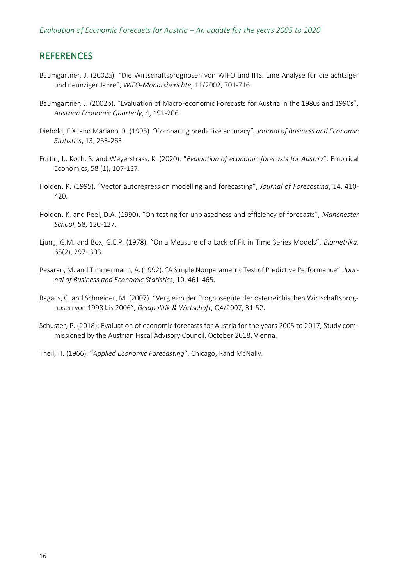## <span id="page-19-0"></span>REFERENCES

- Baumgartner, J. (2002a). "Die Wirtschaftsprognosen von WIFO und IHS. Eine Analyse für die achtziger und neunziger Jahre", *WIFO-Monatsberichte*, 11/2002, 701-716.
- Baumgartner, J. (2002b). "Evaluation of Macro-economic Forecasts for Austria in the 1980s and 1990s", *Austrian Economic Quarterly*, 4, 191-206.
- Diebold, F.X. and Mariano, R. (1995). "Comparing predictive accuracy", *Journal of Business and Economic Statistics*, 13, 253-263.
- Fortin, I., Koch, S. and Weyerstrass, K. (2020). "*Evaluation of economic forecasts for Austria"*, Empirical Economics, 58 (1), 107-137.
- Holden, K. (1995). "Vector autoregression modelling and forecasting", *Journal of Forecasting*, 14, 410- 420.
- Holden, K. and Peel, D.A. (1990). "On testing for unbiasedness and efficiency of forecasts", *Manchester School*, 58, 120-127.
- Ljung, G.M. and Box, G.E.P. (1978). "On a Measure of a Lack of Fit in Time Series Models", *Biometrika*, 65(2), 297–303.
- Pesaran, M. and Timmermann, A. (1992). "A Simple Nonparametric Test of Predictive Performance", *Journal of Business and Economic Statistics*, 10, 461-465.
- Ragacs, C. and Schneider, M. (2007). "Vergleich der Prognosegüte der österreichischen Wirtschaftsprognosen von 1998 bis 2006", *Geldpolitik & Wirtschaft*, Q4/2007, 31-52.
- Schuster, P. (2018): Evaluation of economic forecasts for Austria for the years 2005 to 2017, Study commissioned by the Austrian Fiscal Advisory Council, October 2018, Vienna.
- Theil, H. (1966). "*Applied Economic Forecasting*", Chicago, Rand McNally.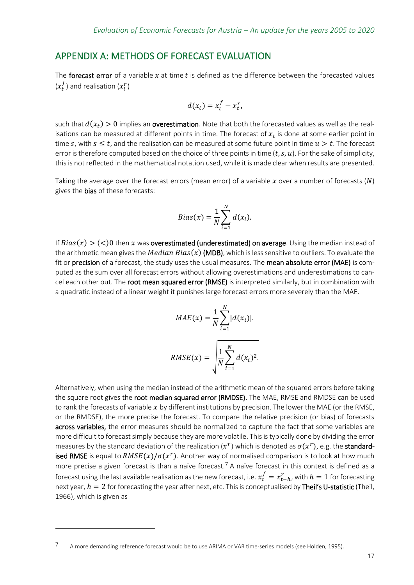## <span id="page-20-0"></span>APPENDIX A: METHODS OF FORECAST EVALUATION

The forecast error of a variable  $x$  at time  $t$  is defined as the difference between the forecasted values  $(x_t^f)$  and realisation  $(x_t^r)$ 

$$
d(x_t) = x_t^f - x_t^r,
$$

such that  $d(x_t) > 0$  implies an **overestimation**. Note that both the forecasted values as well as the realisations can be measured at different points in time. The forecast of  $x_t$  is done at some earlier point in time s, with  $s \leq t$ , and the realisation can be measured at some future point in time  $u > t$ . The forecast error is therefore computed based on the choice of three points in time  $(t, s, u)$ . For the sake of simplicity, this is not reflected in the mathematical notation used, while it is made clear when results are presented.

Taking the average over the forecast errors (mean error) of a variable  $x$  over a number of forecasts (N) gives the **bias** of these forecasts:

$$
Bias(x) = \frac{1}{N} \sum_{i=1}^{N} d(x_i).
$$

If  $Bias(x) > (<0)$  then x was **overestimated (underestimated) on average**. Using the median instead of the arithmetic mean gives the *Median Bias(x)* (MDB), which is less sensitive to outliers. To evaluate the fit or precision of a forecast, the study uses the usual measures. The mean absolute error (MAE) is computed as the sum over all forecast errors without allowing overestimations and underestimations to cancel each other out. The root mean squared error (RMSE) is interpreted similarly, but in combination with a quadratic instead of a linear weight it punishes large forecast errors more severely than the MAE.

$$
MAE(x) = \frac{1}{N} \sum_{i=1}^{N} |d(x_i)|.
$$

$$
RMSE(x) = \sqrt{\frac{1}{N} \sum_{i=1}^{N} d(x_i)^2}.
$$

Alternatively, when using the median instead of the arithmetic mean of the squared errors before taking the square root gives the **root median squared error (RMDSE)**. The MAE, RMSE and RMDSE can be used to rank the forecasts of variable  $x$  by different institutions by precision. The lower the MAE (or the RMSE, or the RMDSE), the more precise the forecast. To compare the relative precision (or bias) of forecasts across variables, the error measures should be normalized to capture the fact that some variables are more difficult to forecast simply because they are more volatile. This is typically done by dividing the error measures by the standard deviation of the realization  $(x^r)$  which is denoted as  $\sigma(x^r)$ , e.g. the standardised RMSE is equal to  $RMSE(x)/\sigma(x^r)$ . Another way of normalised comparison is to look at how much more precise a given forecast is than a naïve forecast.<sup>7</sup> A naïve forecast in this context is defined as a forecast using the last available realisation as the new forecast, i.e.  $x_t^f = x_{t-h}^r$ , with  $h=1$  for forecasting next year,  $h = 2$  for forecasting the year after next, etc. This is conceptualised by Theil's U-statistic (Theil, 1966), which is given as

<sup>7</sup> A more demanding reference forecast would be to use ARIMA or VAR time-series models (see Holden, 1995).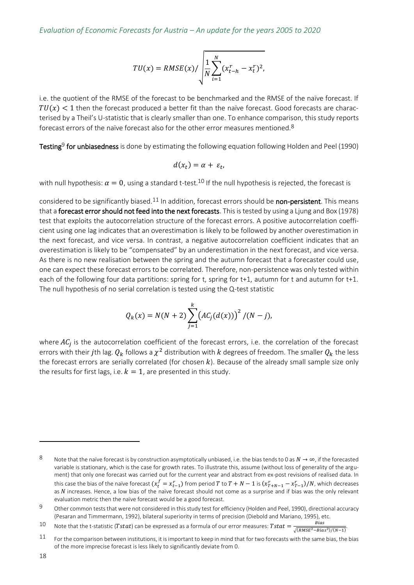$$
TU(x) = RMSE(x) / \sqrt{\frac{1}{N} \sum_{i=1}^{N} (x_{t-h}^{r} - x_{t}^{r})^{2}},
$$

i.e. the quotient of the RMSE of the forecast to be benchmarked and the RMSE of the naïve forecast. If  $TU(x)$  < 1 then the forecast produced a better fit than the naïve forecast. Good forecasts are characterised by a Theil's U-statistic that is clearly smaller than one. To enhance comparison, this study reports forecast errors of the naïve forecast also for the other error measures mentioned.8

Testing<sup>9</sup> for unbiasedness is done by estimating the following equation following Holden and Peel (1990)

$$
d(x_t) = \alpha + \varepsilon_t,
$$

with null hypothesis:  $\alpha = 0$ , using a standard t-test.<sup>10</sup> If the null hypothesis is rejected, the forecast is

considered to be significantly biased.<sup>11</sup> In addition, forecast errors should be **non-persistent**. This means that a forecast error should not feed into the next forecasts. This is tested by using a Ljung and Box (1978) test that exploits the autocorrelation structure of the forecast errors. A positive autocorrelation coefficient using one lag indicates that an overestimation is likely to be followed by another overestimation in the next forecast, and vice versa. In contrast, a negative autocorrelation coefficient indicates that an overestimation is likely to be "compensated" by an underestimation in the next forecast, and vice versa. As there is no new realisation between the spring and the autumn forecast that a forecaster could use, one can expect these forecast errors to be correlated. Therefore, non-persistence was only tested within each of the following four data partitions: spring for t, spring for t+1, autumn for t and autumn for t+1. The null hypothesis of no serial correlation is tested using the Q-test statistic

$$
Q_k(x) = N(N+2) \sum_{j=1}^{k} (AC_j(d(x)))^2 / (N-j),
$$

where  $AC_j$  is the autocorrelation coefficient of the forecast errors, i.e. the correlation of the forecast errors with their  $j$ th lag.  $Q_k$  follows a  $\chi^2$  distribution with  $k$  degrees of freedom. The smaller  $Q_k$  the less the forecast errors are serially correlated (for chosen  $k$ ). Because of the already small sample size only the results for first lags, i.e.  $k = 1$ , are presented in this study.

<sup>8</sup> Note that the naïve forecast is by construction asymptotically unbiased, i.e. the bias tends to 0 as  $N \to \infty$ , if the forecasted variable is stationary, which is the case for growth rates. To illustrate this, assume (without loss of generality of the argument) that only one forecast was carried out for the current year and abstract from ex-post revisions of realised data. In this case the bias of the naïve forecast  $(x_t^f=x_{t-1}^r)$  from period  $T$  to  $T+N-1$  is  $(x_{T+N-1}^r-x_{T-1}^r)/N$ , which decreases as  $N$  increases. Hence, a low bias of the naïve forecast should not come as a surprise and if bias was the only relevant evaluation metric then the naïve forecast would be a good forecast.

<sup>9</sup> Other common tests that were not considered in this study test for efficiency (Holden and Peel, 1990), directional accuracy (Pesaran and Timmermann, 1992), bilateral superiority in terms of precision (Diebold and Mariano, 1995), etc.

<sup>10</sup> Note that the t-statistic (Tstat) can be expressed as a formula of our error measures: Tstat =  $\frac{Bias}{(Data = 1 + 1)}$  $\frac{Bu}{\sqrt{(RMSE^2 - Bias^2)/(N-1)}}$ .

<sup>11</sup> For the comparison between institutions, it is important to keep in mind that for two forecasts with the same bias, the bias of the more imprecise forecast is less likely to significantly deviate from 0.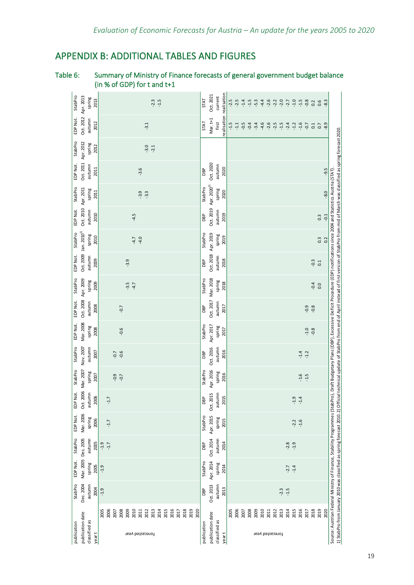# <span id="page-22-0"></span>APPENDIX B: ADDITIONAL TABLES AND FIGURES

| StabPro<br>spring<br>2013                                      | $-1.5$<br>$-2.3$                                                                                                                                | <b>STAT</b> | Oct. 2021                         | current                          | $-2.5$ | $-2.5$ | $-1.4$ | $-1.5$ | $-5.3$ | $-4.4$ | $-2.6$ | $-2.2$                  | $-2.0$ | $-2.7$ | $-1.0$ | $-1.5$ | $-0.8$ | 0.2    | 0.6              | $-8.3$ |
|----------------------------------------------------------------|-------------------------------------------------------------------------------------------------------------------------------------------------|-------------|-----------------------------------|----------------------------------|--------|--------|--------|--------|--------|--------|--------|-------------------------|--------|--------|--------|--------|--------|--------|------------------|--------|
| Oct. 2012 Apr. 2013<br>EDP Not.<br>autumn<br>2012              | $-3.1$                                                                                                                                          | <b>STAT</b> | Mar. t+1                          | realisation realisation<br>first | $-1.5$ | $-1.1$ | $-0.5$ | $-0.4$ | $-3.4$ | $-4.6$ | $-2.6$ | $-2.5$                  | $-1.5$ | $-2.4$ | $-1.2$ | $-1.6$ | $-0.7$ | 0.1    | $\overline{0}$   | $-8.9$ |
| StabPro<br>Oct. 2011 Apr. 2012<br>spring<br>2012               | $-3.0$<br>$-2.1$                                                                                                                                |             |                                   |                                  |        |        |        |        |        |        |        |                         |        |        |        |        |        |        |                  |        |
| EDP Not.<br>autumn<br>2011                                     | $-3.6$                                                                                                                                          | DBP         | Oct. 2020                         | autumn<br>2020                   |        |        |        |        |        |        |        |                         |        |        |        |        |        |        |                  | $-9.5$ |
| StabPro<br>spring<br>2011                                      | $-3.9$<br>$-3.3$                                                                                                                                | StabPro     | Oct. 2019 Apr. 2020 <sup>2)</sup> | spring<br>2020                   |        |        |        |        |        |        |        |                         |        |        |        |        |        |        |                  | $-8.0$ |
| Oct. 2010 Apr. 2011<br>EDP Not.<br>autumn<br>2010              | $-4.5$                                                                                                                                          | DBP         |                                   | autumn<br>2019                   |        |        |        |        |        |        |        |                         |        |        |        |        |        |        | $0.\overline{3}$ | $-0.1$ |
| Oct. 2009 Jan. 2010 <sup>1)</sup><br>StabPro<br>spring<br>2010 | $-4.0$<br>$-4.7$                                                                                                                                | StabPro     | Oct. 2018 Apr. 2019               | spring<br>2019                   |        |        |        |        |        |        |        |                         |        |        |        |        |        |        | $0.\overline{3}$ | 0.2    |
| EDP Not.<br>autumn<br>2009                                     | $-3.9$                                                                                                                                          | DBP         |                                   | autumn<br>2018                   |        |        |        |        |        |        |        |                         |        |        |        |        |        | $-0.3$ | 0.1              |        |
| StabPro<br>spring<br>2009                                      | $-3.5$<br>$-4.7$                                                                                                                                | StabPro     | Oct. 2017 Mar. 2018               | spring<br>2018                   |        |        |        |        |        |        |        |                         |        |        |        |        |        | $-0.4$ | 0.0              |        |
| Oct. 2008 Apr. 2009<br>EDP Not.<br>autumn<br>2008              | $-0.7$                                                                                                                                          | DBP         |                                   | autumn<br>2017                   |        |        |        |        |        |        |        |                         |        |        |        |        | $-0.9$ | $-0.8$ |                  |        |
| Mar. 2008<br>EDP Not.<br>spring<br>2008                        | $-0.6$                                                                                                                                          | StabPro     | Apr. 2017                         | spring<br>2017                   |        |        |        |        |        |        |        |                         |        |        |        |        | $-1.0$ | $-0.8$ |                  |        |
| Nov. 2007<br>autumn<br>StabPro<br>2007                         | $-0.6$<br>$-0.7$                                                                                                                                | DBP         | Oct. 2016                         | autumn<br>2016                   |        |        |        |        |        |        |        |                         |        |        |        | $-1.4$ | $-1.2$ |        |                  |        |
| Oct. 2006 Mar. 2007<br>StabPro<br>spring<br>2007               | $-0.9$<br>$-0.7$                                                                                                                                | StabPro     | Apr. 2016                         | spring<br>2016                   |        |        |        |        |        |        |        |                         |        |        |        | $-1.6$ | $-1.5$ |        |                  |        |
| EDP Not.<br>autumn<br>2006                                     | $-1.7$                                                                                                                                          | DBP         | Oct. 2015                         | autumn<br>2015                   |        |        |        |        |        |        |        |                         |        |        | $-1.9$ | $-1.4$ |        |        |                  |        |
| Mar. 2006<br>EDP Not.<br>spring<br>2006                        | $-1.7$                                                                                                                                          | StabPro     | Apr. 2015                         | spring<br>2015                   |        |        |        |        |        |        |        |                         |        |        | $-2.2$ | $-1.6$ |        |        |                  |        |
| StabPro<br>autumn<br>2005                                      | $-1.9$<br>$-1.7$                                                                                                                                | DBP         | Oct. 2014                         | autumn<br>2014                   |        |        |        |        |        |        |        |                         |        | $-2.8$ | $-1.9$ |        |        |        |                  |        |
| Mar. 2005 Dec. 2005<br>EDP Not.<br>spring<br>2005              | $-1.9$                                                                                                                                          | StabPro     | Apr. 2014                         | spring<br>2014                   |        |        |        |        |        |        |        |                         |        | $-2.7$ | $-1.4$ |        |        |        |                  |        |
| Dec. 2004<br>autumn<br>StabPro<br>2004                         | $-1.9$                                                                                                                                          | DBP         | Oct. 2013                         | autumn<br>2013                   |        |        |        |        |        |        |        |                         | $-2.3$ | $-1.5$ |        |        |        |        |                  |        |
| publication date<br>classified as<br>publication<br>yeart      | 2010<br>2016<br>2019<br>2006<br>2011<br>2012<br>2013<br>2014<br>2015<br>2018<br>2020<br>2005<br>2007<br>2008<br>2009<br>2017<br>forecasted year | publication | publication date                  | classified as<br>year t          | 2005   | 2006   | 2007   | 2008   | 2009   | 2010   | 2011   | 2012<br>forecasted year | 2013   | 2014   | 2015   | 2016   | 2017   | 2018   | 2019             | 2020   |

## Table 6: Summary of Ministry of Finance forecasts of general government budget balance (in % of GDP) for t and t+1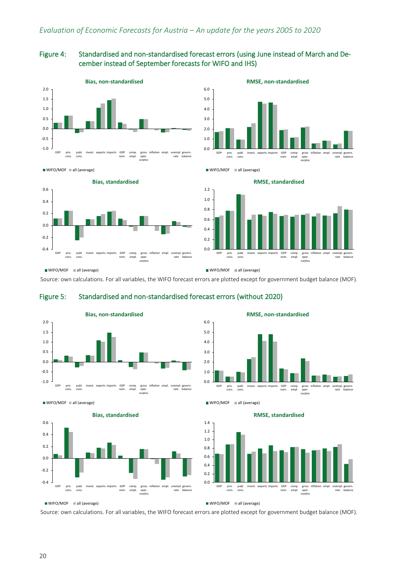#### <span id="page-23-1"></span>Figure 4: Standardised and non-standardised forecast errors (using June instead of March and December instead of September forecasts for WIFO and IHS)





 $W$ IFO/MOF all (average)



**RMSE, standardised**



WIFO/MOF all (average)

WIFO/MOF all (average)

WIFO/MOF all (average)

Source: own calculations. For all variables, the WIFO forecast errors are plotted except for government budget balance (MOF).

#### <span id="page-23-0"></span>Figure 5: Standardised and non-standardised forecast errors (without 2020)



WIFO/MOF all (average)



**RMSE, non-standardised**



WIFO/MOF all (average)

0.0 0.2 0.4 0.6 0.8 1.0 1.2 1.4 GDP priv. cons. publ. cons. exports imports GDP<br>nom. comp. empl. gross oper. surplus inflation empl. unempl. rate govern. balance **RMSE, standardised**

WIFO/MOF all (average)

Source: own calculations. For all variables, the WIFO forecast errors are plotted except for government budget balance (MOF).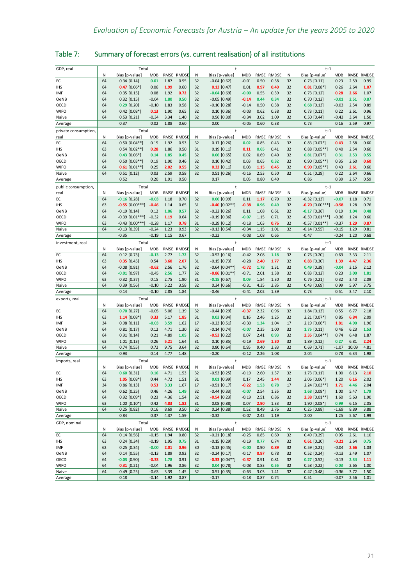| GDP, real            | Total |                                   |            |      |              |          | t                                  |                    |              |              |          | $t+1$                            |                    |       |              |  |  |  |
|----------------------|-------|-----------------------------------|------------|------|--------------|----------|------------------------------------|--------------------|--------------|--------------|----------|----------------------------------|--------------------|-------|--------------|--|--|--|
|                      | N     | Bias [p-value]                    | <b>MDB</b> |      | RMSE RMDSE   | Ν        | Bias [p-value]                     | MDB                |              | RMSE RMDSE   | N        | Bias [p-value]                   | <b>MDB</b>         |       | RMSE RMDSE   |  |  |  |
| EC                   | 64    | $0.34$ [0.14]                     | 0.01       | 1.87 | 0.55         | 32       | $-0.04$ [0.62]                     | $-0.01$            | 0.50         | 0.38         | 32       | $0.73$ $[0.11]$                  | 0.23               | 2.59  | 0.99         |  |  |  |
| <b>IHS</b>           | 64    | $0.47$ [0.06*]                    | 0.06       | 1.99 | 0.60         | 32       | $0.13$ [0.47]                      | 0.01               | 0.97         | 0.40         | 32       | $0.81$ [0.08*]                   | 0.26               | 2.64  | 1.07         |  |  |  |
| IMF                  | 64    | $0.35$ [0.15]                     | 0.08       | 1.92 | 0.72         | 32       | $-0.04$ [0.69]                     | $-0.00$            | 0.55         | 0.39         | 32       | $0.73$ $[0.12]$                  | 0.28               | 2.66  | 1.07         |  |  |  |
| OeNB                 | 64    | $0.32$ [0.15]                     | $-0.04$    | 1.80 | 0.50         | 32       | $-0.05$ [0.49]                     | $-0.14$            | 0.44         | 0.34         | 32       | $0.70$ $[0.12]$                  | $-0.01$            | 2.51  | 0.87         |  |  |  |
| OECD                 | 64    | $0.29$ [0.20]                     | $-0.10$    | 1.83 | 0.58         | 32       | $-0.10$ [0.28]                     | $-0.14$            | 0.50         | 0.38         | 32       | $0.68$ [0.13]                    | $-0.03$            | 2.54  | 0.89         |  |  |  |
| <b>WIFO</b>          | 64    | $0.42$ [0.08*]                    | 0.13       | 1.90 | 0.65         | 32       | $0.10$ [0.36]                      | $-0.03$            | 0.62         | 0.38         | 32       | $0.73$ [0.11]                    | 0.22               | 2.61  | 0.96         |  |  |  |
| Naive                | 64    | $0.53$ [0.21]                     | $-0.34$    | 3.34 | 1.40         | 32       | $0.56$ [0.30]                      | $-0.34$            | 3.02         | 1.09         | 32       | $0.50$ [0.44]                    | $-0.43$            | 3.64  | 1.50         |  |  |  |
| Average              |       | 0.37                              | 0.02       | 1.88 | 0.60         |          | 0.00                               | $-0.05$            | 0.60         | 0.38         |          | 0.73                             | 0.16               | 2.59  | 0.97         |  |  |  |
| private consumption, |       | Total                             |            |      |              |          | $\ddagger$                         |                    |              |              |          | $t+1$                            |                    |       |              |  |  |  |
| real                 | N     | Bias [p-value]                    | <b>MDB</b> |      | RMSE RMDSE   | Ν        | Bias [p-value]                     | MDB                |              | RMSE RMDSE   | N        | Bias [p-value]                   | <b>MDB</b>         | RMSE  | <b>RMDSE</b> |  |  |  |
| EС                   | 64    | $0.50$ [0.04**]                   | 0.15       | 1.92 | 0.53         | 32       | $0.17$ [0.26]                      | 0.02               | 0.85         | 0.43         | 32       | $0.83$ [0.07*]                   | 0.43               | 2.58  | 0.60         |  |  |  |
| ihs                  | 63    | $0.54$ [0.02**]                   | 0.28       | 1.86 | 0.50         | 31       | $0.19$ [0.11]                      | 0.11               | 0.65         | 0.41         | 32       | $0.88$ [0.05**]                  | 0.40               | 2.54  | 0.60         |  |  |  |
| OeNB                 | 64    | $0.43$ $[0.06*]$                  | 0.14       | 1.85 | 0.45         | 32       | $0.06$ [0.65]                      | 0.02               | 0.69         | 0.40         | 32       | $0.81$ [0.07*]                   | 0.31               | 2.53  | 0.55         |  |  |  |
| OECD                 | 64    | $0.50$ [0.03**]                   | 0.19       | 1.90 | 0.46         | 32       | $0.10$ [0.42]                      | 0.03               | 0.65         | 0.32         | 32       | $0.90$ [0.05**]                  | 0.35               | 2.60  | 0.60         |  |  |  |
| <b>WIFO</b>          | 64    | $0.61$ [0.01**]                   | 0.25       | 2.02 | 0.55         | 32       | $0.32$ [0.11]                      | 0.08               | 1.15         | 0.45         | 32       | $0.90$ [0.05**]                  | 0.43               | 2.61  | 0.60         |  |  |  |
| Naive                | 64    | $0.51$ [0.12]                     | 0.03       | 2.59 | 0.58         | 32       | $0.51$ [0.26]                      | $-0.16$            | 2.53         | 0.50         | 32       | $0.51$ [0.29]                    | 0.22               | 2.64  | 0.66         |  |  |  |
| Average              |       | 0.52                              | 0.20       | 1.91 | 0.50         |          | 0.17                               | 0.05               | 0.80         | 0.40         |          | 0.86                             | 0.39               | 2.57  | 0.59         |  |  |  |
| public consumption,  |       | Total                             |            |      |              |          | $\ddagger$                         |                    |              |              |          | $t+1$                            |                    |       |              |  |  |  |
| real                 | N     | Bias [p-value]                    | <b>MDB</b> | RMSE | <b>RMDSE</b> | Ν        | Bias [p-value]                     | <b>MDB</b>         | RMSE         | <b>RMDSE</b> | N        | Bias [p-value]                   | <b>MDB</b>         | RMSE  | <b>RMDSE</b> |  |  |  |
| EC                   | 64    | $-0.16$ [0.28]                    | $-0.03$    | 1.18 | 0.70         | 32       | $0.00$ [0.99]                      | 0.11               | 1.17         | 0.70         | 32       | $-0.32$ [0.13]                   | $-0.07$            | 1.18  | 0.71         |  |  |  |
| IHS                  | 63    | $-0.55$ $[0.00***]$               | $-0.46$    | 1.14 | 0.65         | 31       | $-0.40$ [0.02**]                   | $-0.38$            | 0.96         | 0.49         | 32       | $-0.70$ $[0.00***]$              | $-0.58$            | 1.28  | 0.76         |  |  |  |
| OeNB                 | 64    | $-0.19$ [0.14]                    | 0.12       | 1.06 | 0.57         | 32       | $-0.22$ [0.26]                     | 0.11               | 1.08         | 0.61         | 32       | $-0.17$ [0.36]                   | 0.19               | 1.04  | 0.48         |  |  |  |
| OECD                 | 64    | $-0.39$ [0.01***]                 | $-0.32$    | 1.19 | 0.64         | 32       | $-0.19$ [0.36]                     | $-0.07$            | 1.15         | 0.71         | 32       | $-0.59$ $[0.01***]$              | $-0.36$            | 1.24  | 0.60         |  |  |  |
| <b>WIFO</b>          | 63    | $-0.43$ [0.00***]                 | $-0.28$    | 1.17 | 0.78         | 31       | $-0.29$ [0.12]                     | $-0.18$            | 1.03         | 0.76         | 32       | $-0.57$ $[0.01**]$               | $-0.37$            | 1.29  | 0.87         |  |  |  |
| Naive                | 64    | $-0.13$ [0.39]                    | $-0.24$    | 1.23 | 0.93         | 32       | $-0.13$ [0.54]                     | $-0.34$            | 1.15         | 1.01         | 32       | $-0.14$ [0.55]                   | $-0.15$            | 1.29  | 0.81         |  |  |  |
| Average              |       | $-0.35$                           | $-0.19$    | 1.15 | 0.67         |          | $-0.22$                            | $-0.08$            | 1.08         | 0.65         |          | $-0.47$                          | $-0.24$            | 1.20  | 0.68         |  |  |  |
| investment, real     |       | Total                             |            |      |              |          | t                                  |                    |              |              |          | $t+1$                            |                    |       |              |  |  |  |
|                      | N     | Bias [p-value]                    | <b>MDB</b> | RMSE | <b>RMDSE</b> | Ν        | Bias [p-value]                     | <b>MDB</b>         | RMSE         | RMDSE        | N        | Bias [p-value]                   | <b>MDB</b>         | RMSE  | <b>RMDSE</b> |  |  |  |
| EC                   | 64    | $0.12$ [0.73]                     | $-0.13$    | 2.77 | 1.72         | 32       | $-0.52$ [0.16]                     | $-0.42$            | 2.08         | 1.18         | 32       | $0.76$ [0.20]                    | 0.69               | 3.33  | 2.11         |  |  |  |
| <b>IHS</b>           | 63    | $0.35$ [0.45]                     | 0.54       | 3.60 | 2.07         | 31       | $-0.15$ [0.73]                     | $-0.28$            | 2.40         | 1.77         | 32       | $0.83$ [0.30]                    | 1.39               | 4.47  | 2.36         |  |  |  |
| OeNB                 | 64    | $-0.08$ [0.81]                    | $-0.62$    | 2.56 | 1.76         | 32       | $-0.64$ [0.04**]                   | $-0.72$            | 1.78         | 1.31         | 32       | $0.49$ [0.39]                    | $-0.04$            | 3.15  | 2.12         |  |  |  |
| OECD                 | 64    | $-0.01$ [0.97]                    | $-0.45$    | 2.56 | 1.77         | 32       | $-0.86$ [0.01**]                   | $-0.71$            | 2.01         | 1.38         | 32       | $0.83$ [0.12]                    | 0.23               | 3.00  | 1.81         |  |  |  |
| <b>WIFO</b>          | 63    | $0.32$ [0.37]                     | 0.15       | 2.75 | 1.90         | 31       | $-0.15$ [0.67]                     | 0.09               | 1.84         | 1.30         | 32       | $0.76$ [0.21]                    | 0.32               | 3.40  | 2.09         |  |  |  |
| Naive                | 64    | $0.39$ [0.56]                     | $-0.10$    | 5.22 | 3.58         | 32       | $0.34$ [0.66]                      | $-0.31$            | 4.35         | 2.85         | 32       | $0.43$ [0.69]                    | 0.99               | 5.97  | 3.75         |  |  |  |
| Average              |       | 0.14                              | $-0.10$    | 2.85 | 1.84         |          | $-0.46$                            | $-0.41$            | 2.02         | 1.39         |          | 0.73                             | 0.51               | 3.47  | 2.10         |  |  |  |
|                      |       |                                   |            |      |              |          |                                    |                    |              |              |          |                                  |                    |       |              |  |  |  |
| exports, real        | N     | Total                             | <b>MDB</b> | RMSE | <b>RMDSE</b> | Ν        | t                                  | <b>MDB</b>         | RMSE         | RMDSE        | N        | $t+1$<br>Bias [p-value]          | <b>MDB</b>         | RMSE  | <b>RMDSE</b> |  |  |  |
| EC                   | 64    | Bias [p-value]<br>$0.70$ [0.27]   | $-0.05$    | 5.06 | 1.39         | 32       | Bias [p-value]<br>$-0.44$ [0.29]   | $-0.37$            | 2.32         | 0.96         | 32       | $1.84$ [0.13]                    | 0.55               | 6.77  | 2.18         |  |  |  |
|                      | 63    |                                   | 0.33       | 5.17 | 1.85         | 31       |                                    |                    | 2.46         | 1.25         | 32       |                                  |                    | 6.84  | 2.09         |  |  |  |
| IHS<br>IMF           | 34    | $1.14$ [0.08*]<br>$0.98$ $[0.11]$ | $-0.03$    | 3.59 | 1.62         | 17       | $0.03$ [0.94]<br>$-0.23$ [0.51]    | 0.16<br>$-0.30$    | 1.34         | 1.04         | 17       | $2.21$ [0.07*]<br>$2.19$ [0.06*] | 0.85<br>1.81       | 4.90  | 1.96         |  |  |  |
| OeNB                 | 64    | $0.81$ [0.17]                     | 0.12       | 4.71 | 1.30         | 32       | $-0.14$ [0.74]                     | $-0.07$            | 2.35         | 1.00         | 32       | $1.75$ [0.11]                    | 0.46               | 6.23  | 1.53         |  |  |  |
| OECD                 | 64    | $0.91$ $[0.14]$                   | 0.21       | 4.89 | 1.05         | 32       | $-0.53$ [0.22]                     | 0.07               | 2.41         | 0.93         | 32       | $2.35$ [0.04**]                  | 0.74               | 6.48  | 1.87         |  |  |  |
| <b>WIFO</b>          | 63    | $1.01$ [0.13]                     | 0.26       | 5.21 | 1.64         | 31       | $0.10$ [0.85]                      | $-0.19$            | 2.69         | 1.30         | 32       | $1.89$ [0.12]                    | 0.27               | 6.81  | 2.24         |  |  |  |
| Naive                | 64    | $0.74$ [0.55]                     | 0.72       | 9.75 | 3.64         | 32       | $0.80$ [0.64]                      | 0.95               | 9.40         | 2.83         | 32       | $0.69$ [0.71]                    | $-1.07$            | 10.09 | 4.81         |  |  |  |
| Average              |       | 0.93                              | 0.14       | 4.77 | 1.48         |          | $-0.20$                            | $-0.12$            | 2.26         | 1.08         |          | 2.04                             | 0.78               | 6.34  | 1.98         |  |  |  |
|                      |       |                                   |            |      |              |          |                                    |                    |              |              |          |                                  |                    |       |              |  |  |  |
| imports, real        |       | Total                             |            |      |              |          |                                    |                    |              |              |          | $t+1$                            |                    |       |              |  |  |  |
|                      | N     | Bias [p-value]                    | <b>MDB</b> | RMSE | <b>RMDSE</b> | Ν        | Bias [p-value]                     | <b>MDB</b>         |              | RMSE RMDSE   | N        | Bias [p-value]                   | <b>MDB</b>         |       | RMSE RMDSE   |  |  |  |
| ЕC                   | 64    | $0.60$ [0.31]                     | 0.16       | 4.71 | 1.53         | 32       | $-0.53$ [0.25]                     | $-0.19$            | 2.60         | 1.37         | 32       | $1.73$ [0.11]                    | 1.00               | 6.13  | 2.10         |  |  |  |
| <b>IHS</b>           | 63    | $1.05$ [0.08*]                    | 0.44       | 4.72 | 1.51         | 31       | $0.01$ [0.99]                      | 0.17               | 2.45         | 1.44         | 32       | $2.06$ [0.06*]                   | 1.20               | 6.16  | 2.02         |  |  |  |
| <b>IMF</b>           | 34    | $0.86$ [0.13]                     | 0.53       | 3.33 | 1.67         | 17       | $-0.51$ [0.17]                     | $-0.22$            | 1.53         | 0.78         | 17       | $2.24$ [0.03**]                  | 1.71               | 4.46  | 2.04         |  |  |  |
| OeNB                 | 64    | $0.62$ [0.25]                     | 0.46       | 4.26 | 1.49         | 32       | $-0.44$ [0.33]                     | $-0.07$            | 2.54         | 1.35         | 32       | $1.68$ [0.08*]                   | 1.00               | 5.47  | 1.79         |  |  |  |
| OECD                 | 64    | $0.92$ $[0.09*]$                  | 0.23       | 4.36 | 1.54         | 32       | $-0.54$ [0.23]                     | $-0.19$            | 2.51         | 0.86         | 32       | $2.38$ [0.01**]                  | 1.60               | 5.63  | 1.90         |  |  |  |
| WIFO                 | 63    | $1.00$ [0.10*]                    | 0.42       | 4.83 | 1.82         | 31       | $0.08$ [0.88]                      | 0.07               | 2.90         | 1.33         | 32       | 1.90 [0.08*]                     | 0.99               | 6.15  | 2.05         |  |  |  |
| Naive                | 64    | $0.25$ [0.82]                     | 0.16       | 8.69 | 3.50         | 32       | $0.24$ [0.88]                      | 0.52               | 8.49         | 2.76         | 32       | $0.25$ [0.88]                    | $-1.69$            | 8.89  | 3.88         |  |  |  |
| Average              |       | 0.84                              | 0.37       | 4.37 | 1.59         |          | $-0.32$                            | $-0.07$            | 2.42         | 1.19         |          | 2.00                             | 1.25               | 5.67  | 1.99         |  |  |  |
| GDP, nominal         | N     | Total<br>Bias [p-value]           | MDB        |      | RMSE RMDSE   | Ν        | $^\mathrm{t}$<br>Bias [p-value]    | <b>MDB</b>         |              | RMSE RMDSE   | Ν        | $t+1$<br>Bias [p-value]          | MDB                |       | RMSE RMDSE   |  |  |  |
| EC                   | 64    | $0.14$ [0.56]                     | $-0.15$    | 1.94 | 0.80         | 32       | $-0.21$ [0.18]                     | $-0.25$            | 0.85         | 0.69         | 32       | $0.49$ $[0.29]$                  | 0.05               | 2.61  | 1.10         |  |  |  |
| IHS                  | 63    |                                   | $-0.19$    | 1.95 | 0.75         | 31       | $-0.15$ [0.29]                     | $-0.19$            | 0.77         | 0.74         | 32       |                                  |                    | 2.64  | 0.75         |  |  |  |
| IMF                  | 62    | $0.24$ [0.34]                     | $-0.00$    | 2.01 | 0.96         | 30       |                                    | $-0.00$            | 0.90         | 0.89         | 32       | $0.61$ [0.20]                    | $-0.21$<br>$-0.04$ | 2.66  |              |  |  |  |
|                      | 64    | $0.25$ [0.34]<br>$0.14$ [0.55]    | $-0.13$    | 1.89 |              |          | $-0.13$ [0.45]                     |                    |              |              |          | $0.59$ [0.21]<br>$0.52$ [0.24]   |                    | 2.49  | 1.03         |  |  |  |
| OeNB<br>OECD         | 64    | $-0.03$ [0.90]                    | $-0.33$    | 1.78 | 0.92<br>0.91 | 32<br>32 | $-0.24$ [0.17]<br>$-0.33$ [0.04**] | $-0.17$<br>$-0.37$ | 0.97<br>0.91 | 0.78<br>0.81 | 32<br>32 | $0.27$ [0.52]                    | $-0.13$<br>$-0.13$ | 2.34  | 1.07<br>1.11 |  |  |  |
| <b>WIFO</b>          | 64    | $0.31$ [0.21]                     | $-0.04$    | 1.96 | 0.86         | 32       | $0.04$ [0.78]                      | $-0.08$            | 0.83         | 0.55         | 32       | $0.58$ [0.22]                    | 0.03               | 2.65  | 1.00         |  |  |  |
| Naive                | 64    | $0.49$ [0.25]                     | $-0.63$    | 3.39 | 1.45         | 32       | $0.51$ [0.35]                      | $-0.63$            | 3.03         | 1.41         | 32       | $0.47$ [0.48]                    | $-0.36$            | 3.72  | 1.50         |  |  |  |
| Average              |       | 0.18                              | $-0.14$    | 1.92 | 0.87         |          | $-0.17$                            | $-0.18$            | 0.87         | 0.74         |          | 0.51                             | $-0.07$            | 2.56  | 1.01         |  |  |  |
|                      |       |                                   |            |      |              |          |                                    |                    |              |              |          |                                  |                    |       |              |  |  |  |

<span id="page-24-0"></span>Table 7: Summary of forecast errors (vs. current realisation) of all institutions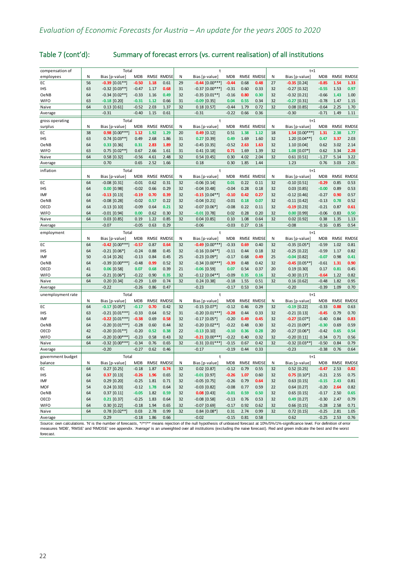| compensation of   |       | Total               |            |             |              |    |                     |            |      |              |       | $t+1$              |            |             |              |
|-------------------|-------|---------------------|------------|-------------|--------------|----|---------------------|------------|------|--------------|-------|--------------------|------------|-------------|--------------|
| employees         | Ν     | Bias [p-value]      | <b>MDB</b> |             | RMSE RMDSE   | N  | Bias [p-value]      | MDB        |      | RMSE RMDSE   | Ν     | Bias [p-value]     | <b>MDB</b> |             | RMSE RMDSE   |
| EC                | 56    | $-0.39$ [0.01**]    | $-0.50$    | 1.18        | 0.61         | 29 | $-0.44$ $[0.00***]$ | $-0.44$    | 0.68 | 0.48         | 27    | $-0.35$ [0.24]     | $-0.85$    | 1.54        | 1.33         |
| <b>IHS</b>        | 63    | $-0.32$ [0.03**]    | $-0.47$    | 1.17        | 0.68         | 31 | $-0.37$ [0.00***]   | $-0.31$    | 0.60 | 0.33         | 32    | $-0.27$ [0.32]     | $-0.55$    | 1.53        | 0.97         |
| OeNB              | 64    | $-0.34$ [0.02**]    | $-0.33$    | 1.16        | 0.49         | 32 | $-0.35$ [0.01**]    | $-0.16$    | 0.80 | 0.30         | 32    | $-0.32$ [0.21]     | $-0.66$    | 1.43        | 1.00         |
| <b>WIFO</b>       | 63    | $-0.18$ [0.20]      | $-0.31$    | 1.12        | 0.66         | 31 | $-0.09$ [0.35]      | 0.04       | 0.55 | 0.34         | 32    | $-0.27$ [0.31]     | $-0.78$    | 1.47        | 1.15         |
| Naive             | 64    | $0.13$ [0.61]       | $-0.52$    | 2.03        | 1.37         | 32 | $0.18$ [0.57]       | $-0.44$    | 1.79 | 0.72         | 32    | $0.08$ [0.85]      | $-0.64$    | 2.25        | 1.70         |
| Average           |       | $-0.31$             | $-0.40$    | 1.15        | 0.61         |    | $-0.31$             | $-0.22$    | 0.66 | 0.36         |       | $-0.30$            | $-0.71$    | 1.49        | 1.11         |
| gross operating   |       | Total               |            |             |              |    | $\ddagger$          |            |      |              |       | $t+1$              |            |             |              |
| surplus           | Ν     | Bias [p-value]      | <b>MDB</b> | RMSE        | RMDSE        | Ν  | Bias [p-value]      | <b>MDB</b> | RMSE | RMDSE        | N     | Bias [p-value]     | <b>MDB</b> | RMSE        | <b>RMDSE</b> |
| EC                | 38    | $0.98$ [0.00***]    | 1.12       | 1.92        | 1.29         | 20 | $0.49$ [0.12]       | 0.51       | 1.38 | 1.12         | 18    | $1.54$ [0.00***]   | 1.31       | 2.38        | 1.77         |
| <b>IHS</b>        | 63    | $0.74$ [0.03**]     | 0.49       | 2.68        | 1.86         | 31 | $0.27$ [0.39]       | 0.49       | 1.69 | 1.60         | 32    | 1.20 [0.04**]      | 0.47       | 3.37        | 2.03         |
| OeNB              | 64    | $0.33$ [0.36]       | 0.31       | 2.83        | 1.89         | 32 | $-0.45$ [0.35]      | $-0.52$    | 2.63 | 1.63         | 32    | 1.10 [0.04]        | 0.62       | 3.02        | 2.14         |
| <b>WIFO</b>       | 63    | $0.75$ $[0.02**$    | 0.67       | 2.66        | 1.61         | 31 | $0.41$ [0.18]       | 0.71       | 1.69 | 1.39         | 32    | $1.08$ $[0.07*$    | 0.62       | 3.34        | 2.28         |
| Naive             | 64    | $0.58$ [0.32]       | $-0.56$    | 4.61        | 2.48         | 32 | $0.54$ [0.45]       | 0.30       | 4.02 | 2.04         | 32    | $0.61$ [0.51]      | $-1.27$    | 5.14        | 3.22         |
| Average           |       | 0.70                | 0.65       | 2.52        | 1.66         |    | 0.18                | 0.30       | 1.85 | 1.44         |       | 1.23               | 0.76       | 3.03        | 2.05         |
| inflation         |       | Total               |            |             |              |    | $\ddagger$          |            |      |              |       | $t+1$              |            |             |              |
|                   | N     | Bias [p-value]      | <b>MDB</b> | RMSE        | <b>RMDSE</b> | N  | Bias [p-value]      | <b>MDB</b> | RMSE | <b>RMDSE</b> | N     | Bias [p-value]     | <b>MDB</b> | <b>RMSE</b> | <b>RMDSE</b> |
| EC                | 64    | $-0.08$ [0.31]      | $-0.01$    | 0.62        | 0.31         | 32 | $-0.06$ [0.14]      | 0.01       | 0.22 | 0.11         | 32    | $-0.10$ [0.51]     | $-0.29$    | 0.85        | 0.53         |
| <b>IHS</b>        | 64    | $0.00$ [0.98]       | $-0.02$    | 0.66        | 0.29         | 32 | $-0.04$ [0.48]      | $-0.04$    | 0.28 | 0.18         | 32    | $0.03$ [0.85]      | $-0.00$    | 0.89        | 0.53         |
| IMF               | 64    | $-0.13$ [0.13]      | $-0.19$    | 0.70        | 0.39         | 32 | $-0.15$ $[0.04**]$  | $-0.10$    | 0.42 | 0.27         | 32    | $-0.12$ [0.46]     | $-0.27$    | 0.90        | 0.57         |
| <b>OeNB</b>       | 64    | $-0.08$ [0.28]      | $-0.02$    | 0.57        | 0.22         | 32 | $-0.04$ [0.21]      | $-0.01$    | 0.18 | 0.07         | 32    | $-0.11$ [0.42]     | $-0.13$    | 0.78        | 0.52         |
| OECD              | 64    | $-0.13$ $[0.10]$    | $-0.09$    | 0.64        | 0.21         | 32 | $-0.07$ $[0.06*]$   | $-0.08$    | 0.22 | 0.11         | 32    | $-0.19$ [0.23]     | $-0.21$    | 0.87        | 0.61         |
| <b>WIFO</b>       | 64    | $-0.01$ [0.94]      | 0.00       | 0.62        | 0.30         | 32 | $-0.01$ [0.78]      | 0.02       | 0.28 | 0.20         | 32    | $0.00$ [0.99]      | $-0.06$    | 0.83        | 0.50         |
| Naive             | 64    | $0.03$ [0.85]       | 0.19       | 1.22        | 0.85         | 32 | $0.04$ [0.85]       | 0.10       | 1.08 | 0.64         | 32    | $0.02$ [0.92]      | 0.38       | 1.35        | 1.13         |
| Average           |       | $-0.07$             | $-0.05$    | 0.63        | 0.29         |    | $-0.06$             | $-0.03$    | 0.27 | 0.16         |       | $-0.08$            | $-0.16$    | 0.85        | 0.54         |
| employment        | Total |                     |            |             |              |    |                     |            |      |              | $t+1$ |                    |            |             |              |
|                   | N     | Bias [p-value]      | <b>MDB</b> | RMSE        | <b>RMDSE</b> | N  | Bias [p-value]      | <b>MDB</b> |      | RMSE RMDSE   | N     | Bias [p-value]     | <b>MDB</b> | RMSE        | <b>RMDSE</b> |
| EC                | 64    | $-0.42$ [0.00***]   | $-0.57$    | 0.87        | 0.64         | 32 | $-0.49$ [0.00***]   | $-0.33$    | 0.69 | 0.40         | 32    | $-0.35$ [0.05*]    | $-0.59$    | 1.02        | 0.81         |
| <b>IHS</b>        | 64    | $-0.21$ [0.06*]     | $-0.24$    | 0.88        | 0.45         | 32 | $-0.16$ [0.04**]    | $-0.11$    | 0.44 | 0.18         | 32    | $-0.25$ [0.22]     | $-0.59$    | 1.17        | 0.82         |
| IMF               | 50    | $-0.14$ [0.26]      | $-0.13$    | 0.84        | 0.45         | 25 | $-0.23$ [0.09*]     | $-0.17$    | 0.68 | 0.49         | 25    | $-0.04$ [0.82]     | $-0.07$    | 0.98        | 0.41         |
| OeNB              | 64    | $-0.39$ $[0.00***]$ | $-0.48$    | 0.99        | 0.52         | 32 | $-0.34$ $[0.00***]$ | $-0.39$    | 0.48 | 0.42         | 32    | $-0.45$ $[0.05**]$ | $-0.61$    | 1.31        | 0.90         |
| OECD              | 41    | $0.06$ [0.58]       | 0.07       | 0.68        | 0.39         | 21 | $-0.06$ [0.59]      | 0.07       | 0.54 | 0.37         | 20    | $0.19$ [0.30]      | 0.17       | 0.81        | 0.45         |
| <b>WIFO</b>       | 64    | $-0.21$ $[0.06*]$   | $-0.22$    | 0.90        | 0.35         | 32 | $-0.12$ [0.04**     | $-0.09$    | 0.35 | 0.16         | 32    | $-0.30$ [0.17]     | $-0.64$    | 1.22        | 0.82         |
| Naive             | 64    | $0.20$ [0.34]       | $-0.29$    | 1.69        | 0.74         | 32 | $0.24$ [0.38]       | $-0.18$    | 1.55 | 0.51         | 32    | $0.16$ [0.62]      | $-0.48$    | 1.82        | 0.95         |
| Average           |       | $-0.22$             | $-0.26$    | 0.86        | 0.47         |    | $-0.23$             | $-0.17$    | 0.53 | 0.34         |       | $-0.20$            | $-0.39$    | 1.09        | 0.70         |
| unemployment rate |       | Total               |            |             |              |    | $\ddagger$          |            |      |              |       | $t+1$              |            |             |              |
|                   | N     | Bias [p-value]      | <b>MDB</b> | <b>RMSE</b> | <b>RMDSE</b> | Ν  | Bias [p-value]      | <b>MDB</b> |      | RMSE RMDSE   | N     | Bias [p-value]     | <b>MDB</b> | RMSE        | <b>RMDSE</b> |
| EC                | 64    | $-0.17$ [0.05*]     | $-0.17$    | 0.70        | 0.42         | 32 | $-0.15$ [0.07*]     | $-0.12$    | 0.46 | 0.29         | 32    | $-0.19$ [0.22]     | $-0.33$    | 0.88        | 0.63         |
| <b>IHS</b>        | 63    | $-0.21$ [0.01***]   | $-0.33$    | 0.64        | 0.52         | 31 | $-0.20$ [0.01***]   | $-0.28$    | 0.44 | 0.33         | 32    | $-0.21$ [0.13]     | $-0.45$    | 0.79        | 0.70         |
| IMF               | 64    | $-0.22$ [0.01***]   | $-0.38$    | 0.69        | 0.58         | 32 | $-0.17$ [0.05*]     | $-0.20$    | 0.49 | 0.45         | 32    | $-0.27$ [0.07*]    | $-0.40$    | 0.84        | 0.83         |
| OeNB              | 64    | $-0.20$ [0.01***]   | $-0.28$    | 0.60        | 0.44         | 32 | $-0.20$ [0.02**]    | $-0.22$    | 0.48 | 0.30         | 32    | $-0.21$ [0.09*]    | $-0.30$    | 0.69        | 0.59         |
| OECD              | 42    | $-0.20$ [0.01**]    | $-0.20$    | 0.52        | 0.38         | 22 | $-0.13$ [0.10]      | $-0.10$    | 0.36 | 0.28         | 20    | $-0.27$ [0.06*]    | $-0.42$    | 0.65        | 0.54         |
| <b>WIFO</b>       | 64    | $-0.20$ [0.00***]   | $-0.23$    | 0.58        | 0.43         | 32 | $-0.21$ $[0.00***]$ | $-0.22$    | 0.40 | 0.32         | 32    | $-0.20$ [0.11]     | $-0.34$    | 0.71        | 0.56         |
| Naive             | 64    | $-0.32$ [0.00***]   | $-0.34$    | 0.76        | 0.65         | 32 | $-0.31$ [0.01***]   | $-0.15$    | 0.67 | 0.42         | 32    | $-0.32$ [0.03**]   | $-0.50$    | 0.84        | 0.79         |
| Average           |       | $-0.20$             | $-0.27$    | 0.62        | 0.46         |    | $-0.17$             | $-0.19$    | 0.44 | 0.33         |       | $-0.23$            | $-0.38$    | 0.76        | 0.64         |
| government budget |       | Total               |            |             |              |    |                     |            |      |              |       | $t+1$              |            |             |              |
| balance           | N     | Bias [p-value]      | <b>MDB</b> | RMSE        | <b>RMDSE</b> | N  | Bias [p-value]      | <b>MDB</b> | RMSE | <b>RMDSE</b> | N     | Bias [p-value]     | <b>MDB</b> | RMSE        | RMDSE        |
| EC                | 64    | $0.27$ [0.25]       | $-0.18$    | 1.87        | 0.74         | 32 | $0.02$ [0.87]       | $-0.12$    | 0.79 | 0.55         | 32    | $0.52$ [0.25]      | $-0.47$    | 2.53        | 0.82         |
| <b>IHS</b>        | 64    | $0.37$ [0.13]       | $-0.26$    | 1.96        | 0.65         | 32 | $-0.01$ [0.97]      | $-0.26$    | 1.07 | 0.60         | 32    | $0.75$ [0.10*]     | $-0.21$    | 2.55        | 0.75         |
| IMF               | 64    | $0.29$ [0.20]       | $-0.25$    | 1.81        | 0.71         | 32 | $-0.05$ [0.75]      | $-0.26$    | 0.79 | 0.64         | 32    | $0.63$ [0.15]      | $-0.15$    | 2.43        | 0.81         |
| <b>MOF</b>        | 54    | $0.24$ [0.33]       | $-0.12$    | 1.78        | 0.64         | 32 | $-0.03$ [0.82]      | $-0.08$    | 0.77 | 0.59         | 22    | $0.64$ [0.27]      | $-0.20$    | 2.64        | 0.82         |
| <b>OeNB</b>       | 64    | $0.37$ $[0.11]$     | $-0.05$    | 1.82        | 0.59         | 32 | $0.08$ [0.43]       | $-0.01$    | 0.59 | 0.50         | 32    | $0.65$ [0.15]      | $-0.17$    | 2.50        | 0.65         |
| OECD              | 64    | $0.21$ [0.37]       | $-0.25$    | 1.83        | 0.64         | 32 | $-0.08$ [0.58]      | $-0.13$    | 0.76 | 0.53         | 32    | $0.49$ [0.27]      | $-0.30$    | 2.47        | 0.79         |
| <b>WIFO</b>       | 64    | $0.30$ [0.22]       | $-0.18$    | 1.94        | 0.65         | 32 | $-0.07$ [0.69]      | $-0.17$    | 0.92 | 0.62         | 32    | $0.66$ [0.15]      | $-0.28$    | 2.58        | 0.71         |
| Naive             | 64    | $0.78$ [0.02**      | 0.03       | 2.78        | 0.99         | 32 | $0.84$ [0.08*       | 0.31       | 2.74 | 0.99         | 32    | $0.72$ [0.15]      | $-0.25$    | 2.81        | 1.05         |
| Average           |       | 0.29                | $-0.18$    | 1.86        | 0.66         |    | $-0.02$             | $-0.15$    | 0.81 | 0.58         |       | 0.62               | $-0.25$    | 2.53        | 0.76         |

## [Table 7](#page-24-0) (cont'd): Summary of forecast errors (vs. current realisation) of all institutions

Source: own calculations. 'N' is the number of forecasts, "/\*\*/\*\*' means rejection of the null hypothesis of unbiased forecast at 10%/5%/1%-significance level. For definition of error measures 'MDB', 'RMSE' and 'RMDSE' see appendix. 'Average' is an unweighted over all institutions (excluding the naive forecast). Red and green indicate the best and the worst forecast.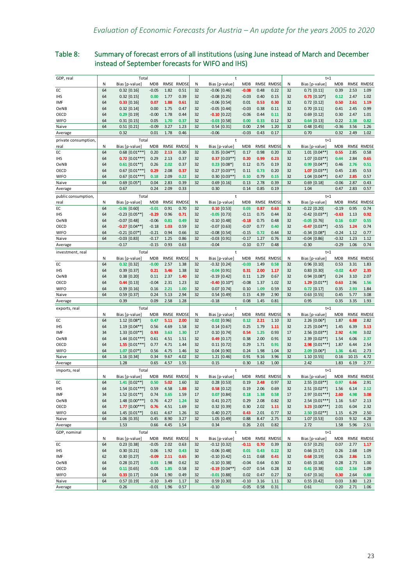## <span id="page-26-0"></span>Table 8: Summary of forecast errors of all institutions (using June instead of March and December instead of September forecasts for WIFO and IHS)

| GDP, real           |          | Total                                |                 |              |              |          | t                                  |              |              |              |          | $t+1$                                |                 |              |              |
|---------------------|----------|--------------------------------------|-----------------|--------------|--------------|----------|------------------------------------|--------------|--------------|--------------|----------|--------------------------------------|-----------------|--------------|--------------|
|                     | N        | Bias [p-value]                       | <b>MDB</b>      |              | RMSE RMDSE   | Ν        | Bias [p-value]                     | <b>MDB</b>   | RMSE         | <b>RMDSE</b> | N        | Bias [p-value]                       | <b>MDB</b>      | RMSE         | <b>RMDSE</b> |
| EC                  | 64       | $0.32$ $[0.16]$                      | $-0.05$         | 1.82         | 0.51         | 32       | $-0.06$ [0.46]                     | $-0.08$      | 0.48         | 0.22         | 32       | $0.71$ $[0.11]$                      | 0.39            | 2.53         | 1.09         |
| <b>IHS</b>          | 64       | $0.32$ [0.15]                        | 0.00            | 1.77         | 0.39         | 32       | $-0.08$ [0.25]                     | $-0.03$      | 0.40         | 0.15         | 32       | $0.73$ [0.10*]                       | 0.12            | 2.47         | 1.02         |
| IMF                 | 64       | $0.33$ [0.16]                        | 0.07            | 1.88         | 0.61         | 32       | $-0.06$ [0.54]                     | 0.01         | 0.53         | 0.30         | 32       | $0.72$ [0.12]                        | 0.50            | 2.61         | 1.19         |
| OeNB                | 64       | $0.32$ [0.14]                        | 0.00            | 1.75         | 0.47         | 32       | $-0.05$ [0.44]                     | $-0.03$      | 0.38         | 0.11         | 32       | $0.70$ $[0.11]$                      | 0.41            | 2.45         | 0.99         |
| OECD                | 64       | $0.29$ [0.19]                        | $-0.00$         | 1.78         | 0.44         | 32       | $-0.10$ [0.22]                     | $-0.06$      | 0.44         | 0.11         | 32       | $0.69$ [0.12]                        | 0.30            | 2.47         | 1.01         |
| <b>WIFO</b>         | 64<br>64 | $0.31$ [0.15]                        | 0.05<br>$-0.09$ | 1.70<br>3.27 | 0.37<br>1.23 | 32<br>32 | $-0.03$ [0.58]                     | 0.00<br>0.00 | 0.33<br>2.94 | 0.12<br>1.20 | 32<br>32 | $0.64$ [0.13]                        | 0.22<br>$-0.36$ | 2.38<br>3.56 | 0.82<br>1.26 |
| Naive               |          | $0.51$ [0.21]<br>0.32                | 0.01            | 1.78         | 0.46         |          | $0.54$ [0.31]<br>$-0.06$           | $-0.03$      | 0.43         | 0.17         |          | $0.48$ [0.45]<br>0.70                | 0.32            | 2.49         | 1.02         |
| Average             |          |                                      |                 |              |              |          |                                    |              |              |              |          |                                      |                 |              |              |
| private consumption |          | Total                                |                 |              |              |          | t                                  |              |              |              |          | $t+1$                                |                 |              |              |
| real                | N        | Bias [p-value]                       | <b>MDB</b>      |              | RMSE RMDSE   | Ν        | Bias [p-value]                     | <b>MDB</b>   | RMSE         | RMDSE        | N        | Bias [p-value]                       | <b>MDB</b>      | RMSE         | <b>RMDSE</b> |
| EC<br><b>IHS</b>    | 64<br>64 | $0.68$ [0.01***]<br>$0.72$ [0.01***] | 0.20<br>0.29    | 2.13<br>2.13 | 0.30<br>0.37 | 32<br>32 | $0.35$ [0.04**]<br>$0.37$ [0.03**] | 0.17<br>0.20 | 0.98<br>0.99 | 0.20<br>0.23 | 32<br>32 | $1.01$ $[0.04**]$<br>$1.07$ [0.03**] | 0.55<br>0.44    | 2.85<br>2.84 | 0.58<br>0.65 |
| OeNB                | 64       | $0.61$ [0.01**]                      | 0.26            | 2.02         | 0.37         | 32       | $0.23$ [0.08*]                     | 0.12         | 0.75         | 0.19         | 32       | $0.99$ $[0.04**]$                    | 0.46            | 2.76         | 0.51         |
| OECD                | 64       | $0.67$ [0.01***]                     | 0.29            | 2.08         | 0.37         | 32       | $0.27$ [0.03**]                    | 0.11         | 0.73         | 0.20         | 32       | $1.07$ [0.03**]                      | 0.45            | 2.85         | 0.53         |
| <b>WIFO</b>         | 64       | $0.67$ [0.01***]                     | 0.18            | 2.09         | 0.22         | 32       | $0.30$ $[0.03**]$                  | 0.10         | 0.79         | 0.15         | 32       | $1.04$ [0.04**]                      | 0.47            | 2.85         | 0.57         |
| Naive               | 64       | $0.69$ [0.05*]                       | 0.04            | 2.83         | 0.39         | 32       | $0.69$ [0.16]                      | 0.13         | 2.78         | 0.39         | 32       | $0.69$ [0.18]                        | $-0.06$         | 2.87         | 0.43         |
| Average             |          | 0.67                                 | 0.24            | 2.09         | 0.33         |          | 0.30                               | 0.14         | 0.85         | 0.19         |          | 1.04                                 | 0.47            | 2.83         | 0.57         |
| public consumption, |          | Total                                |                 |              |              |          | $\ddagger$                         |              |              |              |          | $t+1$                                |                 |              |              |
|                     | Ν        | Bias [p-value]                       | <b>MDB</b>      |              | RMSE RMDSE   | Ν        | Bias [p-value]                     | <b>MDB</b>   |              | RMSE RMDSE   | Ν        | Bias [p-value]                       | <b>MDB</b>      |              | RMSE RMDSE   |
| real<br>ЕC          | 64       | $-0.06$ [0.60]                       | $-0.01$         | 0.91         | 0.70         | 32       | $0.10$ [0.53]                      | 0.03         | 0.87         | 0.63         | 32       | $-0.22$ [0.20]                       | $-0.19$         | 0.95         | 0.74         |
| IHS                 | 64       | $-0.23$ [0.05**]                     | $-0.29$         | 0.96         | 0.71         | 32       | $-0.05$ [0.73]                     | $-0.11$      | 0.75         | 0.44         | 32       | $-0.42$ [0.03**]                     | $-0.63$         | 1.13         | 0.92         |
| OeNB                | 64       | $-0.07$ [0.48]                       | $-0.06$         | 0.81         | 0.49         | 32       | $-0.10$ [0.48]                     | $-0.18$      | 0.75         | 0.48         | 32       | $-0.05$ [0.76]                       | 0.16            | 0.87         | 0.55         |
| OECD                | 64       | $-0.27$ [0.04**]                     | $-0.18$         | 1.03         | 0.59         | 32       | $-0.07$ [0.63]                     | $-0.07$      | 0.77         | 0.40         | 32       | $-0.47$ [0.03**]                     | $-0.55$         | 1.24         | 0.74         |
| <b>WIFO</b>         | 64       | $-0.21$ [0.07*]                      | $-0.21$         | 0.94         | 0.66         | 32       | $-0.08$ [0.54]                     | $-0.15$      | 0.72         | 0.44         | 32       | $-0.34$ [0.08*]                      | $-0.24$         | 1.12         | 0.77         |
| Naive               | 64       | $-0.03$ [0.83]                       | $-0.17$         | 1.25         | 0.86         | 32       | $-0.03$ [0.91]                     | $-0.17$      | 1.27         | 0.76         | 32       | $-0.04$ [0.86]                       | $-0.32$         | 1.23         | 1.12         |
| Average             |          | $-0.17$                              | $-0.15$         | 0.93         | 0.63         |          | $-0.04$                            | $-0.10$      | 0.77         | 0.48         |          | $-0.30$                              | $-0.29$         | 1.06         | 0.74         |
| investment, real    |          | Total                                |                 |              |              |          | $\ddagger$                         |              |              |              |          | $t+1$                                |                 |              |              |
|                     | N        | Bias [p-value]                       | <b>MDB</b>      |              | RMSE RMDSE   | Ν        | Bias [p-value]                     | <b>MDB</b>   |              | RMSE RMDSE   | Ν        | Bias [p-value]                       | <b>MDB</b>      | RMSE         | <b>RMDSE</b> |
| EC                  | 64       | $0.32$ [0.32]                        | $-0.00$         | 2.57         | 1.38         | 32       | $-0.32$ [0.24]                     | $-0.03$      | 1.49         | 0.58         | 32       | 0.96 [0.10]                          | 0.53            | 3.31         | 1.83         |
| <b>IHS</b>          | 64       | $0.39$ [0.37]                        | 0.21            | 3.46         | 1.38         | 32       | $-0.04$ [0.91]                     | 0.31         | 2.00         | 1.17         | 32       | $0.83$ [0.30]                        | $-0.02$         | 4.47         | 2.35         |
| OeNB                | 64       | $0.38$ [0.20]                        | 0.11            | 2.37         | 1.40         | 32       | $-0.19$ [0.42]                     | 0.11         | 1.29         | 0.67         | 32       | $0.94$ [0.08*]                       | 0.24            | 3.10         | 2.07         |
| OECD                | 64       | $0.44$ [0.13]                        | $-0.04$         | 2.31         | 1.23         | 32       | $-0.40$ [0.10*]                    | $-0.08$      | 1.37         | 1.02         | 32       | 1.29 $[0.01**]$                      | 0.63            | 2.96         | 1.56         |
| <b>WIFO</b>         | 64       | $0.39$ [0.16]                        | 0.16            | 2.21         | 1.00         | 32       | $0.07$ [0.74]                      | 0.10         | 1.09         | 0.59         | 32       | $0.72$ [0.17]                        | 0.35            | 2.93         | 1.84         |
| Naive               | 64       | $0.59$ [0.37]                        | 0.24            | 5.13         | 2.94         | 32       | $0.54$ [0.49]                      | 0.15         | 4.39         | 2.90         | 32       | $0.63$ [0.55]                        | 0.45            | 5.77         | 3.08         |
| Average             |          | 0.39                                 | 0.09            | 2.58         | 1.28         |          | $-0.18$                            | 0.08         | 1.45         | 0.81         |          | 0.95                                 | 0.35            | 3.35         | 1.93         |
| exports, real       |          | Total                                |                 |              |              |          | t                                  |              |              |              |          | $t+1$                                |                 |              |              |
|                     | N        | Bias [p-value]                       | <b>MDB</b>      |              | RMSE RMDSE   | Ν        | Bias [p-value]                     | MDB          |              | RMSE RMDSE   | N        | Bias [p-value]                       | <b>MDB</b>      | RMSE         | <b>RMDSE</b> |
| EC                  | 64       | $1.12$ [0.08*]                       | 0.47            | 5.11         | 2.00         | 32       | $-0.02$ [0.96]                     | 0.12         | 2.21         | 1.10         | 32       | $2.26$ [0.06*]                       | 1.87            | 6.88         | 2.82         |
| <b>IHS</b>          | 64       | $1.19$ [0.04**]                      | 0.56            | 4.69         | 1.58         | 32       | $0.14$ [0.67]                      | 0.25         | 1.79         | 1.11         | 32       | $2.25$ [0.04**]                      | 1.45            | 6.39         | 3.13         |
| IMF                 | 34       | $1.33$ [0.03**]                      | 0.93            | 3.63         | 1.30         | 17       | $0.10$ [0.74]                      | 0.54         | 1.25         | 0.93         | 17       | $2.56$ [0.03**]                      | 2.92            | 4.98         | 3.02         |
| OeNB                | 64       | $1.44$ [0.01***]                     | 0.61            | 4.51         | 1.51         | 32       | $0.49$ [0.17]                      | 0.38         | 2.00         | 0.91         | 32       | $2.39$ [0.02**]                      | 1.54            | 6.06         | 2.37         |
| OECD                | 64       | 1.55 $[0.01***]$                     | 0.77            | 4.71         | 1.44         | 32       | $0.11$ [0.72]                      | 0.29         | 1.71         | 0.91         | 32       | $2.98$ [0.01***]                     | 1.87            | 6.44         | 2.54         |
| <b>WIFO</b>         | 64       | $1.07$ [0.07*]                       | 0.56            | 4.75         | 1.46         | 32       | $0.04$ [0.90]                      | 0.24         | 1.98         | 1.04         | 32       | $2.09$ [0.06*]                       | 1.36            | 6.41         | 2.73         |
| Naive               | 64       | $1.16$ [0.34]                        | 0.34            | 9.67         | 4.02         | 32       | $1.21$ [0.46]                      | 0.91         | 9.16         | 3.96         | 32       | $1.10$ [0.55]                        | 0.16            | 10.15        | 4.72         |
| Average             |          | 1.28                                 | 0.65            | 4.57         | 1.55         |          | 0.15                               | 0.30         | 1.82         | 1.00         |          | 2.42                                 | 1.83            | 6.19         | 2.77         |
| imports, real       |          | Total                                |                 |              |              |          | t                                  |              |              |              |          | $t+1$                                |                 |              |              |
|                     | N        | Bias [p-value]                       | <b>MDB</b>      |              | RMSE RMDSE   | Ν        | Bias [p-value]                     | <b>MDB</b>   |              | RMSE RMDSE   | N        | Bias [p-value]                       | MDB             |              | RMSE RMDSE   |
| EC                  | 64       | $1.41$ [0.02**]                      | 0.50            | 5.02         | 1.60         | 32       | $0.28$ [0.53]                      | 0.19         | 2.48         | 0.97         | 32       | 2.55 [0.03**]                        | 0.97            | 6.66         | 2.91         |
| IHS                 | 64       | $1.54$ [0.01***]                     | 0.59            | 4.58         | 1.88         | 32       | $0.58$ [0.12]                      | 0.19         | 2.06         | 0.69         | 32       | $2.51$ [0.02**]                      | 1.56            | 6.14         | 2.12         |
| IMF                 | 34<br>64 | $1.52$ [0.01**]<br>$1.48 [0.00***]$  | 0.74<br>0.76    | 3.65<br>4.27 | 1.59<br>1.24 | $17\,$   | $0.07$ [0.84]<br>$0.41$ [0.27]     | 0.18<br>0.29 | 1.38<br>2.08 | 0.58<br>0.82 | 17<br>32 | 2.97 [0.01***]                       | 2.60<br>1.16    | 4.98<br>5.67 | 3.08<br>2.13 |
| OeNB<br>OECD        | 64       | $1.77$ [0.00***]                     | 0.76            | 4.51         | 1.69         | 32<br>32 | $0.32$ [0.39]                      | 0.30         | 2.02         | 1.11         | 32       | $2.54$ [0.01***]<br>3.23 $[0.00***]$ | 2.01            | 6.04         | 2.32         |
| <b>WIFO</b>         | 64       | $1.45$ [0.01**]                      | 0.61            | 4.67         | 1.26         | 32       | $0.40$ [0.27]                      | 0.43         | 2.01         | 0.77         | 32       | $2.50$ $[0.02**]$                    | 1.15            | 6.29         | 2.50         |
| Naive               | 64       | 1.06 [0.35]                          | 0.45            | 8.90         | 3.27         | 32       | 1.05 [0.49]                        | 0.88         | 8.47         | 2.75         | 32       | $1.07$ [0.53]                        | 0.03            | 9.32         | 4.28         |
| Average             |          | 1.53                                 | 0.66            | 4.45         | 1.54         |          | 0.34                               | 0.26         | 2.01         | 0.82         |          | 2.72                                 | 1.58            | 5.96         | 2.51         |
|                     |          | Total                                |                 |              |              |          |                                    |              |              |              |          |                                      |                 |              |              |
| GDP, nominal        | N        | Bias [p-value]                       | <b>MDB</b>      |              | RMSE RMDSE   | Ν        | t<br>Bias [p-value]                | <b>MDB</b>   |              | RMSE RMDSE   | Ν        | $t+1$<br>Bias [p-value]              | MDB             |              | RMSE RMDSE   |
| EC                  | 64       | $0.23$ [0.38]                        | $-0.05$         | 2.02         | 0.63         | 32       | $-0.12$ [0.32]                     | $-0.11$      | 0.70         | 0.39         | 32       | $0.57$ [0.25]                        | 0.07            | 2.77         | 1.17         |
| IHS                 | 64       | $0.30$ $[0.21]$                      | 0.06            | 1.92         | 0.43         | 32       | $-0.06$ $[0.48]$                   | 0.01         | 0.43         | 0.22         | 32       | $0.66$ [0.17]                        | 0.26            | 2.68         | 1.09         |
| IMF                 | 62       | $0.30$ [0.27]                        | $-0.09$         | 2.11         | 0.65         | 30       | $-0.10$ [0.42]                     | $-0.11$      | 0.68         | 0.41         | 32       | $0.68$ [0.19]                        | 0.26            | 2.86         | 1.15         |
| OeNB                | 64       | $0.28$ [0.27]                        | 0.03            | 1.98         | 0.62         | 32       | $-0.10$ [0.38]                     | $-0.04$      | 0.64         | 0.30         | 32       | $0.65$ [0.18]                        | 0.28            | 2.73         | 1.00         |
| OECD                | 64       | $0.11$ [0.65]                        | $-0.05$         | 1.85         | 0.58         | 32       | $-0.19$ [0.04**]                   | $-0.07$      | 0.54         | 0.28         | 32       | $0.41$ [0.38]                        | 0.02            | 2.56         | 1.09         |
| <b>WIFO</b>         | 64       | $0.33$ [0.17]                        | 0.04            | 1.90         | 0.49         | 32       | $-0.01$ [0.88]                     | 0.02         | 0.47         | 0.27         | 32       | $0.67$ [0.16]                        | 0.30            | 2.64         | 0.88         |
| Naive               | 64       | $0.57$ [0.19]                        | $-0.10$         | 3.49         | 1.17         | 32       | $0.59$ [0.30]                      | $-0.10$      | 3.16         | 1.11         | 32       | $0.55$ $[0.42]$                      | 0.03            | 3.80         | 1.23         |
| Average             |          | 0.26                                 | $-0.01$         | 1.96         | 0.57         |          | $-0.10$                            | $-0.05$      | 0.58         | 0.31         |          | 0.61                                 | 0.20            | 2.71         | 1.06         |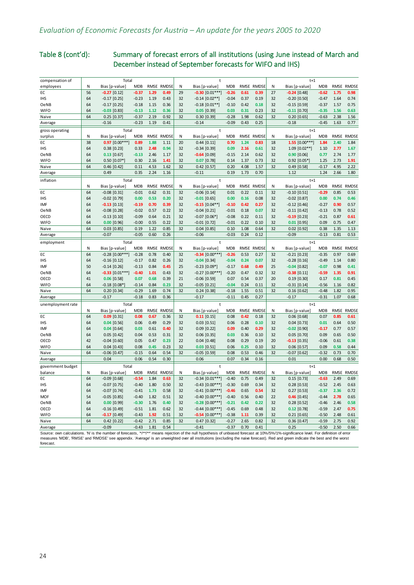## [Table 8](#page-26-0) (cont'd): Summary of forecast errors of all institutions (using June instead of March and December instead of September forecasts for WIFO and IHS)

| compensation of                                                                                                                                                                        |    | Total             |            |      |              |    | t                           |            |      |              |    | $t+1$            |            |      |              |
|----------------------------------------------------------------------------------------------------------------------------------------------------------------------------------------|----|-------------------|------------|------|--------------|----|-----------------------------|------------|------|--------------|----|------------------|------------|------|--------------|
| employees                                                                                                                                                                              | Ν  | Bias [p-value]    | <b>MDB</b> | RMSE | RMDSE        | N  | Bias [p-value]              | <b>MDB</b> | RMSE | <b>RMDSE</b> | Ν  | Bias [p-value]   | <b>MDB</b> | RMSE | <b>RMDSE</b> |
| EC                                                                                                                                                                                     | 56 | $-0.27$ [0.12]    | $-0.37$    | 1.29 | 0.49         | 29 | $-0.30$ $[0.01***]$         | $-0.26$    | 0.61 | 0.39         | 27 | $-0.24$ [0.48]   | $-0.62$    | 1.75 | 0.98         |
| <b>IHS</b>                                                                                                                                                                             | 64 | $-0.17$ [0.25]    | $-0.23$    | 1.19 | 0.43         | 32 | $-0.14$ [0.02**]            | $-0.04$    | 0.37 | 0.19         | 32 | $-0.20$ [0.50]   | $-0.47$    | 1.64 | 0.74         |
| OeNB                                                                                                                                                                                   | 64 | $-0.17$ [0.25]    | $-0.18$    | 1.15 | 0.36         | 32 | $-0.18$ [0.01**]            | $-0.10$    | 0.42 | 0.18         | 32 | $-0.15$ [0.59]   | $-0.37$    | 1.57 | 0.75         |
| WIFO                                                                                                                                                                                   | 64 | $-0.03$ [0.83]    | $-0.13$    | 1.12 | 0.36         | 32 | $0.05$ [0.39]               | 0.03       | 0.31 | 0.23         | 32 | $-0.11$ [0.70]   | $-0.35$    | 1.56 | 0.63         |
| Naive                                                                                                                                                                                  | 64 | $0.25$ [0.37]     | $-0.37$    | 2.19 | 0.92         | 32 | $0.30$ [0.39]               | $-0.28$    | 1.98 | 0.62         | 32 | $0.20$ [0.65]    | $-0.63$    | 2.38 | 1.56         |
| Average                                                                                                                                                                                |    | $-0.16$           | $-0.23$    | 1.19 | 0.41         |    | $-0.14$                     | $-0.09$    | 0.43 | 0.25         |    | $-0.18$          | $-0.45$    | 1.63 | 0.77         |
| gross operating                                                                                                                                                                        |    | Total             |            |      |              |    | $\ddagger$                  |            |      |              |    | $t+1$            |            |      |              |
| surplus                                                                                                                                                                                | Ν  | Bias [p-value]    | <b>MDB</b> | RMSE | <b>RMDSE</b> | N  | Bias [p-value]              | <b>MDB</b> | RMSE | <b>RMDSE</b> | Ν  | Bias [p-value]   | <b>MDB</b> | RMSE | <b>RMDSE</b> |
| EC                                                                                                                                                                                     | 38 | $0.97$ [0.00***]  | 0.89       | 1.88 | 1.11         | 20 | $0.44$ [0.11]               | 0.70       | 1.24 | 0.83         | 18 | 1.55 $[0.00***]$ | 1.84       | 2.40 | 1.84         |
| <b>IHS</b>                                                                                                                                                                             | 64 | $0.38$ [0.23]     | 0.33       | 2.48 | 0.94         | 32 | $-0.34$ [0.39]              | 0.09       | 2.16 | 0.61         | 32 | $1.09$ [0.02**]  | 1.10       | 2.77 | 1.67         |
| OeNB                                                                                                                                                                                   | 64 | $0.13$ [0.67]     | $-0.13$    | 2.46 | 1.17         | 32 | $-0.64$ [0.09]              | $-0.15$    | 2.14 | 0.62         | 32 | $0.90$ [0.06]    | 0.77       | 2.74 | 1.77         |
| WIFO                                                                                                                                                                                   | 64 | $0.50$ [0.07*]    | 0.30       | 2.16 | 1.41         | 32 | $0.07$ [0.78]               | 0.14       | 1.37 | 0.73         | 32 | $0.92$ $[0.05*]$ | 1.25       | 2.73 | 1.91         |
| Naive                                                                                                                                                                                  | 64 | $0.46$ [0.42]     | 0.11       | 4.53 | 1.62         | 32 | $0.42$ [0.57]               | 0.20       | 4.08 | 1.57         | 32 | $0.49$ [0.58]    | $-0.17$    | 4.95 | 2.22         |
| Average                                                                                                                                                                                |    | 0.49              | 0.35       | 2.24 | 1.16         |    | $-0.11$                     | 0.19       | 1.73 | 0.70         |    | 1.12             | 1.24       | 2.66 | 1.80         |
|                                                                                                                                                                                        |    |                   |            |      |              |    |                             |            |      |              |    |                  |            |      |              |
| inflation                                                                                                                                                                              |    | Total             |            |      |              |    | $\ddot{\phantom{1}}$        |            |      |              |    | $t+1$            |            |      |              |
|                                                                                                                                                                                        | Ν  | Bias [p-value]    | <b>MDB</b> | RMSE | RMDSE        | N  | Bias [p-value]              | <b>MDB</b> | RMSE | <b>RMDSE</b> | Ν  | Bias [p-value]   | <b>MDB</b> | RMSE | <b>RMDSE</b> |
| EC                                                                                                                                                                                     | 64 | $-0.08$ [0.31]    | $-0.01$    | 0.62 | 0.31         | 32 | $-0.06$ [0.14]              | 0.01       | 0.22 | 0.11         | 32 | $-0.10$ [0.51]   | $-0.29$    | 0.85 | 0.53         |
| <b>IHS</b>                                                                                                                                                                             | 64 | $-0.02$ [0.79]    | 0.00       | 0.53 | 0.20         | 32 | $-0.01$ [0.65]              | 0.00       | 0.16 | 0.08         | 32 | $-0.02$ [0.87]   | 0.00       | 0.74 | 0.46         |
| IMF                                                                                                                                                                                    | 64 | $-0.13$ [0.13]    | $-0.19$    | 0.70 | 0.39         | 32 | $-0.15$ [0.04**]            | $-0.10$    | 0.42 | 0.27         | 32 | $-0.12$ [0.46]   | $-0.27$    | 0.90 | 0.57         |
| OeNB                                                                                                                                                                                   | 64 | $-0.08$ [0.28]    | $-0.02$    | 0.57 | 0.22         | 32 | $-0.04$ [0.21]              | $-0.01$    | 0.18 | 0.07         | 32 | $-0.11$ [0.42]   | $-0.13$    | 0.78 | 0.52         |
| OECD                                                                                                                                                                                   | 64 | $-0.13$ [0.10]    | $-0.09$    | 0.64 | 0.21         | 32 | $-0.07$ [0.06*]             | $-0.08$    | 0.22 | 0.11         | 32 | $-0.19$ [0.23]   | $-0.21$    | 0.87 | 0.61         |
| <b>WIFO</b>                                                                                                                                                                            | 64 | $0.00$ [0.96]     | $-0.00$    | 0.55 | 0.22         | 32 | $-0.01$ [0.72]              | $-0.01$    | 0.22 | 0.10         | 32 | $0.01$ [0.95]    | 0.09       | 0.75 | 0.47         |
| Naive                                                                                                                                                                                  | 64 | $0.03$ [0.85]     | 0.19       | 1.22 | 0.85         | 32 | $0.04$ [0.85]               | 0.10       | 1.08 | 0.64         | 32 | $0.02$ [0.92]    | 0.38       | 1.35 | 1.13         |
| Average                                                                                                                                                                                |    | $-0.07$           | $-0.05$    | 0.60 | 0.26         |    | $-0.06$                     | $-0.03$    | 0.24 | 0.12         |    | $-0.09$          | $-0.13$    | 0.81 | 0.53         |
| employment                                                                                                                                                                             |    | Total             |            |      |              |    | t                           |            |      |              |    | $t+1$            |            |      |              |
|                                                                                                                                                                                        | Ν  | Bias [p-value]    | MDB        |      | RMSE RMDSE   | N  | Bias [p-value]              | <b>MDB</b> | RMSE | RMDSE        | N  | Bias [p-value]   | <b>MDB</b> | RMSE | <b>RMDSE</b> |
| EC                                                                                                                                                                                     | 64 | $-0.28$ [0.00***] | $-0.28$    | 0.78 | 0.40         | 32 | $-0.34$ [0.00***]           | $-0.26$    | 0.53 | 0.27         | 32 | $-0.21$ [0.23]   | $-0.35$    | 0.97 | 0.69         |
| <b>IHS</b>                                                                                                                                                                             | 64 | $-0.16$ [0.12]    | $-0.17$    | 0.82 | 0.26         | 32 | $-0.04$ [0.34]              | $-0.04$    | 0.24 | 0.07         | 32 | $-0.28$ [0.16]   | $-0.49$    | 1.14 | 0.80         |
| IMF                                                                                                                                                                                    | 50 | $-0.14$ [0.26]    | $-0.13$    | 0.84 | 0.45         | 25 | $-0.23$ [0.09*]             | $-0.17$    | 0.68 | 0.49         | 25 | $-0.04$ [0.82]   | $-0.07$    | 0.98 | 0.41         |
| OeNB                                                                                                                                                                                   | 64 | $-0.33$ [0.01***] | $-0.40$    | 1.01 | 0.43         | 32 | $-0.27$ $[0.00***]$         | $-0.20$    | 0.47 | 0.32         | 32 | $-0.38$ [0.11]   | $-0.59$    | 1.35 | 0.91         |
| OECD                                                                                                                                                                                   | 41 | $0.06$ [0.58]     | 0.07       | 0.68 | 0.39         | 21 | $-0.06$ [0.59]              | 0.07       | 0.54 | 0.37         | 20 | $0.19$ [0.30]    | 0.17       | 0.81 | 0.45         |
| <b>WIFO</b>                                                                                                                                                                            | 64 | $-0.18$ [0.08*]   | $-0.14$    | 0.84 | 0.23         | 32 | $-0.05$ [0.21]              | $-0.04$    | 0.24 | 0.11         | 32 | $-0.31$ [0.14]   | $-0.56$    | 1.16 | 0.82         |
| Naive                                                                                                                                                                                  | 64 | $0.20$ [0.34]     | $-0.29$    | 1.69 | 0.74         | 32 | $0.24$ [0.38]               | $-0.18$    | 1.55 | 0.51         | 32 | $0.16$ [0.62]    | $-0.48$    | 1.82 | 0.95         |
| Average                                                                                                                                                                                |    | $-0.17$           | $-0.18$    | 0.83 | 0.36         |    | $-0.17$                     | $-0.11$    | 0.45 | 0.27         |    | $-0.17$          | $-0.31$    | 1.07 | 0.68         |
| unemployment rate                                                                                                                                                                      |    | Total             |            |      |              |    | t                           |            |      |              |    | $t+1$            |            |      |              |
|                                                                                                                                                                                        | Ν  | Bias [p-value]    | <b>MDB</b> | RMSE | <b>RMDSE</b> | N  | Bias [p-value]              | <b>MDB</b> | RMSE | RMDSE        | N  | Bias [p-value]   | <b>MDB</b> | RMSE | <b>RMDSE</b> |
| ЕC                                                                                                                                                                                     | 64 | $0.09$ [0.31]     | 0.08       | 0.67 | 0.36         | 32 | $0.11$ [0.15]               | 0.08       | 0.42 | 0.18         | 32 | $0.06$ [0.68]    | 0.07       | 0.85 | 0.61         |
| <b>IHS</b>                                                                                                                                                                             | 64 | $0.04$ [0.56]     | 0.06       | 0.49 | 0.29         | 32 | $0.03$ [0.51]               | 0.06       | 0.28 | 0.10         | 32 | $0.04$ [0.73]    | 0.01       | 0.64 | 0.50         |
| IMF                                                                                                                                                                                    | 64 | $0.04$ [0.64]     | 0.03       | 0.61 | 0.40         | 32 | $0.09$ [0.22]               | 0.09       | 0.40 | 0.29         | 32 | $-0.02$ [0.90]   | $-0.17$    | 0.77 | 0.57         |
| OeNB                                                                                                                                                                                   | 64 | $0.05$ [0.42]     | 0.04       | 0.53 | 0.31         | 32 | $0.06$ [0.35]               | 0.03       | 0.36 | 0.10         | 32 | $0.05$ [0.70]    | 0.09       | 0.65 | 0.50         |
| OECD                                                                                                                                                                                   | 42 | $-0.04$ [0.60]    | 0.05       | 0.47 | 0.23         | 22 | $0.04$ [0.48]               | 0.08       | 0.29 | 0.19         | 20 | $-0.13$ [0.35]   | $-0.06$    | 0.61 | 0.38         |
| <b>WIFO</b>                                                                                                                                                                            | 64 | $0.04$ [0.43]     | 0.08       | 0.45 | 0.23         | 32 | $0.03$ [0.51]               | 0.06       | 0.25 | 0.10         | 32 | $0.06$ [0.57]    | 0.09       | 0.58 | 0.44         |
| Naive                                                                                                                                                                                  | 64 | $-0.06$ [0.47]    | $-0.15$    | 0.64 | 0.54         | 32 | $-0.05$ $[0.59]$            | 0.08       | 0.53 | 0.46         | 32 | $-0.07$ [0.62]   | $-0.32$    | 0.73 | 0.70         |
| Average                                                                                                                                                                                |    | 0.04              | 0.06       | 0.54 | 0.30         |    | 0.06                        | 0.07       | 0.34 | 0.16         |    | 0.01             | 0.00       | 0.68 | 0.50         |
| government budget                                                                                                                                                                      |    | Total             |            |      |              |    | $\ddagger$                  |            |      |              |    | $t+1$            |            |      |              |
| balance                                                                                                                                                                                | Ν  | Bias [p-value]    | <b>MDB</b> |      | RMSE RMDSE   | Ν  | Bias [p-value]              | <b>MDB</b> |      | RMSE RMDSE   | N  | Bias [p-value]   | <b>MDB</b> | RMSE | <b>RMDSE</b> |
| EC                                                                                                                                                                                     | 64 | $-0.09$ [0.68]    | $-0.54$    | 1.84 | 0.63         | 32 | $-0.34$ $[0.01***]$         | $-0.40$    | 0.75 | 0.49         | 32 | $0.15$ [0.73]    | $-0.63$    | 2.49 | 0.69         |
| <b>IHS</b>                                                                                                                                                                             | 64 | $-0.07$ $[0.75]$  | $-0.40$    | 1.80 | 0.50         | 32 | $-0.43$ [0.00***]           | $-0.30$    | 0.69 | 0.34         | 32 | $0.28$ [0.53]    | $-0.52$    | 2.45 | 0.63         |
| IMF                                                                                                                                                                                    | 64 | $-0.07$ [0.74]    | $-0.41$    | 1.73 | 0.58         | 32 | $-0.41$ [0.00***] $-0.46$   |            | 0.65 | 0.54         | 32 | $0.27$ [0.53]    | $-0.37$    | 2.36 | 0.72         |
| MOF                                                                                                                                                                                    | 54 | $-0.05$ [0.85]    | $-0.40$    | 1.82 | 0.51         | 32 | $-0.40$ $[0.00***]$ $-0.40$ |            | 0.56 | 0.40         | 22 | $0.46$ [0.45]    | $-0.44$    | 2.78 | 0.65         |
| OeNB                                                                                                                                                                                   | 64 | $0.00$ [0.99]     | $-0.30$    | 1.76 | 0.40         | 32 | $-0.28$ [0.00***]           | $-0.21$    | 0.42 | 0.22         | 32 | $0.28$ [0.52]    | $-0.46$    | 2.46 | 0.58         |
| OECD                                                                                                                                                                                   | 64 | $-0.16$ [0.49]    | $-0.51$    | 1.81 | 0.62         | 32 | $-0.44$ [0.00***]           | $-0.45$    | 0.69 | 0.48         | 32 | $0.12$ [0.78]    | $-0.59$    | 2.47 | 0.75         |
| <b>WIFO</b>                                                                                                                                                                            | 64 | $-0.17$ [0.49]    | $-0.43$    | 1.92 | 0.51         | 32 | $-0.54$ [0.00***]           | $-0.38$    | 1.11 | 0.39         | 32 | $0.21$ [0.65]    | $-0.50$    | 2.48 | 0.61         |
| Naive                                                                                                                                                                                  | 64 | $0.42$ [0.22]     | $-0.42$    | 2.71 | 0.85         | 32 | $0.47$ [0.32]               | $-0.27$    | 2.65 | 0.82         | 32 | $0.36$ [0.47]    | $-0.59$    | 2.75 | 0.92         |
| Average                                                                                                                                                                                |    | $-0.09$           | $-0.43$    | 1.81 | 0.54         |    | $-0.41$                     | $-0.37$    | 0.70 | 0.41         |    | 0.25             | $-0.50$    | 2.50 | 0.66         |
| Source: own calculations. 'N' is the number of forecasts, "*/***" means rejection of the null hypothesis of unbiased forecast at 10%/5%/1%-significance level. For definition of error |    |                   |            |      |              |    |                             |            |      |              |    |                  |            |      |              |
| measures 'MDB', 'RMSE' and 'RMDSE' see appendix. 'Average' is an unweighted over all institutions (excluding the naive forecast). Red and green indicate the best and the worst        |    |                   |            |      |              |    |                             |            |      |              |    |                  |            |      |              |

forecast.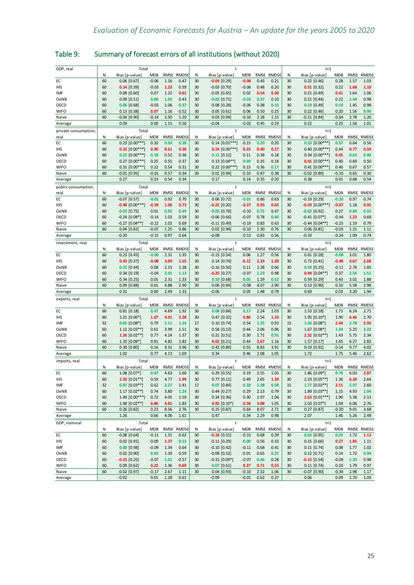## <span id="page-28-0"></span>Table 9: Summary of forecast errors of all institutions (without 2020)

| GDP, real           | Total    |                                    |                       |              | t                  |          |                                  |                       |              |                    | $t+1$    |                                    |                    |              |                    |  |  |
|---------------------|----------|------------------------------------|-----------------------|--------------|--------------------|----------|----------------------------------|-----------------------|--------------|--------------------|----------|------------------------------------|--------------------|--------------|--------------------|--|--|
|                     | N        | Bias [p-value]                     | <b>MDB</b>            | RMSE         | <b>RMDSE</b>       | Ν        | Bias [p-value]                   | <b>MDB</b>            | RMSE         | RMDSE              | N        | Bias [p-value]                     | <b>MDB</b>         |              | RMSE RMDSE         |  |  |
| EC                  | 60       | $0.06$ [0.67]                      | $-0.06$               | 1.16         | 0.47               | 30       | $-0.09$ [0.29]                   | $-0.08$               | 0.45         | 0.21               | 30       | $0.22$ [0.46]                      | 0.28               | 1.57         | 1.03               |  |  |
| <b>IHS</b>          | 60       | $0.14$ [0.39]                      | $-0.03$               | 1.23         | 0.59               | 30       | $-0.03$ $[0.70]$                 | $-0.06$               | 0.48         | 0.20               | 30       | $0.31$ [0.32]                      | 0.22               | 1.68         | 1.10               |  |  |
| IMF                 | 60       | $0.08$ [0.60]                      | 0.07                  | 1.22         | 0.61               | 30       | $-0.05$ [0.65]                   | 0.02                  | 0.54         | 0.30               | 30       | $0.21$ [0.49]                      | 0.41               | 1.64         | 1.06               |  |  |
| OeNB                | 60       | $0.09$ [0.51]                      | 0.00                  | 1.05         | 0.43               | 30       | $-0.03$ [0.71]                   | $-0.02$               | 0.37         | 0.10               | 30       | $0.21$ [0.44]                      | 0.22               | 1.44         | 0.98               |  |  |
| OECD                | 60       | $0.06$ [0.68]                      | $-0.03$               | 1.06         | 0.37               | 30       | $-0.08$ [0.28]                   | $-0.06$               | 0.38         | 0.10               | 30       | $0.19$ [0.49]                      | 0.19               | 1.45         | 0.98               |  |  |
| <b>WIFO</b>         | 60       | $0.13$ [0.38]                      | 0.07                  | 1.16         | 0.52               | 30       | $0.05$ [0.61]                    | 0.06                  | 0.50         | 0.25               | 30       | $0.22$ [0.46]                      | 0.20               | 1.56         | 0.90               |  |  |
| Naive               | 60       | $-0.04$ $[0.90]$                   | $-0.14$               | 2.50         | 1.20               | 30       | $0.03$ [0.94]                    | $-0.10$               | 2.18         | 1.15               | 30       | $-0.11$ [0.84]                     | $-0.64$            | 2.78         | 1.20               |  |  |
| Average             |          | 0.09                               | 0.00                  | 1.15         | 0.50               |          | $-0.04$                          | $-0.02$               | 0.45         | 0.19               |          | 0.22                               | 0.25               | 1.56         | 1.01               |  |  |
| private consumption |          | Total                              |                       |              |                    |          |                                  |                       |              |                    |          | $t+1$                              |                    |              |                    |  |  |
| real                | N        | Bias [p-value]                     | <b>MDB</b>            | RMSE         | <b>RMDSE</b>       | Ν        | Bias [p-value]                   | MDB                   |              | RMSE RMDSE         | N        | Bias [p-value]                     | <b>MDB</b>         | RMSE         | <b>RMDSE</b>       |  |  |
| EC                  | 60       | $0.23$ [0.00***]                   | 0.20                  | 0.50         | 0.28               | 30       | $0.14$ [0.01***]                 | 0.15                  | 0.29         | 0.20               | 30       | $0.33$ $[0.00***]$                 | 0.37               | 0.64         | 0.56               |  |  |
| IHS                 | 60       | $0.32$ [0.00***]                   | 0.30                  | 0.61         | 0.38               | 30       | $0.24$ [0.00***]                 | 0.23                  | 0.40         | 0.27               | 30       | $0.40$ [ $0.00***$ ]               | 0.44               | 0.77         | 0.59               |  |  |
| OeNB                | 60       | $0.22$ [0.00***]                   | 0.18                  | 0.52         | 0.36               | 30       | $0.11$ [0.12]                    | 0.11                  | 0.38         | 0.18               | 30       | $0.34$ $[0.00***]$                 | 0.45               | 0.63         | 0.48               |  |  |
| OECD                | 60       | $0.27$ [0.00***]                   | 0.25                  | 0.55         | 0.37               | 30       | $0.13$ [0.04**]                  | 0.09                  | 0.35         | 0.18               | 30       | $0.41$ [0.00***]                   | 0.40               | 0.69         | 0.50               |  |  |
| <b>WIFO</b>         | 60       | $0.31$ [0.00***]                   | 0.22                  | 0.54         | 0.31               | 30       | $0.22$ [0.00***]                 | 0.15                  | 0.36         | 0.17               | 30       | $0.41$ [0.00***]                   | 0.40               | 0.67         | 0.57               |  |  |
| Naive               | 60       | $-0.01$ [0.95]                     | $-0.01$               | 0.57         | 0.34               | 30       | $0.01$ [0.94]                    | 0.10                  | 0.47         | 0.38               | 30       | $-0.02$ [0.89]                     | $-0.10$            | 0.65         | 0.30               |  |  |
| Average             |          | 0.27                               | 0.23                  | 0.54         | 0.34               |          | 0.17                             | 0.14                  | 0.35         | 0.20               |          | 0.38                               | 0.41               | 0.68         | 0.54               |  |  |
| public consumption, |          | Total                              |                       |              |                    |          | t                                |                       |              |                    |          | $t+1$                              |                    |              |                    |  |  |
| real                | N        | Bias [p-value]                     | <b>MDB</b>            | RMSE         | <b>RMDSE</b>       | Ν        | Bias [p-value]                   | <b>MDB</b>            | <b>RMSE</b>  | <b>RMDSE</b>       | N        | Bias [p-value]                     | <b>MDB</b>         | RMSE         | <b>RMDSE</b>       |  |  |
| EC                  | 60       | $-0.07$ [0.57]                     | $-0.01$               | 0.92         | 0.70               | 30       | $0.06$ [0.72]                    | $-0.01$               | 0.86         | 0.63               | 30       | $-0.19$ [0.29]                     | $-0.10$            | 0.97         | 0.74               |  |  |
| IHS                 | 60       | $-0.40$ [0.00***]                  | $-0.39$               | 1.06         | 0.73               | 30       | $-0.22$ [0.20]                   | $-0.27$               | 0.93         | 0.65               | 30       | $-0.59$ [0.00***]                  | $-0.67$            | 1.18         | 0.92               |  |  |
| OeNB                | 60       | $-0.03$ [0.75]                     | 0.01                  | 0.82         | 0.49               | 30       | $-0.05$ [0.70]                   | $-0.10$               | 0.75         | 0.47               | 30       | $-0.02$ [0.92]                     | 0.27               | 0.89         | 0.55               |  |  |
| OECD                | 60       | $-0.24$ [0.08*]                    | $-0.14$               | 1.03         | 0.59               | 30       | $-0.06$ [0.66]                   | $-0.07$               | 0.78         | 0.40               | 30       | $-0.41$ [0.07*]                    | $-0.44$            | 1.23         | 0.69               |  |  |
| WIFO                | 60       | $-0.27$ [0.04**]                   | $-0.22$               | 1.02         | 0.69               | 30       | $-0.11$ [0.49]                   | $-0.19$               | 0.83         | 0.63               | 30       | $-0.44$ $[0.04**]$                 | $-0.25$            | 1.19         | 0.79               |  |  |
| Naive               | 60       | $0.04$ [0.82]                      | $-0.07$               | 1.25         | 0.86               | 30       | $0.02$ [0.94]                    | $-0.10$               | 1.30         | 0.76               | 30       | $0.06$ [0.81]                      | $-0.03$            | 1.21         | 1.11               |  |  |
| Average             |          | $-0.20$                            | $-0.15$               | 0.97         | 0.64               |          | $-0.08$                          | $-0.13$               | 0.83         | 0.56               |          | $-0.33$                            | $-0.24$            | 1.09         | 0.74               |  |  |
| investment, real    |          | Total                              |                       |              |                    |          | $\ddagger$                       |                       |              |                    |          | $t+1$                              |                    |              |                    |  |  |
|                     | N        | Bias [p-value]                     | <b>MDB</b>            | RMSE         | <b>RMDSE</b>       | Ν        | Bias [p-value]                   | MDB                   | RMSE         | <b>RMDSE</b>       | N        | Bias [p-value]                     | <b>MDB</b>         | RMSE         | <b>RMDSE</b>       |  |  |
| EC                  | 60       | $0.23$ $[0.45]$                    | $-0.00$               | 2.31         | 1.35               | 30       | $-0.15$ [0.54]                   | 0.06                  | 1.27         | 0.56               | 30       | $0.61$ [0.28]                      | $-0.08$            | 3.01         | 1.80               |  |  |
| <b>IHS</b>          | 60       | $0.43$ [0.37]                      | $-0.08$               | 3.69         | 1.55               | 30       | $0.14$ [0.74]                    | 0.12                  | 2.33         | 1.20               | 30       | $0.72$ $[0.41]$                    | $-0.48$            | 4.67         | 2.68               |  |  |
|                     | 60       | $0.22$ [0.44]                      | 0.08                  | 2.15         | 1.28               | 30       | $-0.16$ [0.50]                   | 0.11                  | 1.28         | 0.66               | 30       | $0.59$ [0.25]                      | $-0.11$            | 2.76         | 1.83               |  |  |
| OeNB<br>OECD        | 60       | $0.34$ [0.19]                      | $-0.04$               | 2.01         | 1.13               | 30       | $-0.25$ [0.27]                   | $-0.07$               | 1.23         | 0.98               | 30       | $0.94$ [0.04**]                    | 0.37               | 2.56         | 1.51               |  |  |
| <b>WIFO</b>         | 60       | $0.34$ [0.25]                      | 0.05                  | 2.31         | 1.33               | 30       | $0.10$ [0.68]                    | 0.05                  | 1.29         | 0.52               | 30       | $0.59$ [0.29]                      | 0.43               | 3.01         | 1.88               |  |  |
| Naive               | 60       | $0.09$ [0.88]                      | 0.01                  | 4.88         | 2.90               | 30       | $0.06$ [0.94]                    | $-0.08$               | 4.07         | 2.90               | 30       | $0.13$ [0.90]                      | 0.10               | 5.58         | 2.98               |  |  |
| Average             |          | 0.31                               | 0.00                  | 2.49         | 1.33               |          | $-0.06$                          | 0.05                  | 1.48         | 0.79               |          | 0.69                               | 0.03               | 3.20         | 1.94               |  |  |
|                     |          |                                    |                       |              |                    |          |                                  |                       |              |                    |          |                                    |                    |              |                    |  |  |
| exports, real       |          | Total                              |                       |              |                    |          | t                                |                       |              |                    |          | $t+1$                              |                    |              |                    |  |  |
|                     | Ν        | Bias [p-value]                     | <b>MDB</b>            | RMSE         | RMDSE              | Ν        | Bias [p-value]                   | <b>MDB</b>            | RMSE         | <b>RMDSE</b>       | Ν        | Bias [p-value]                     | <b>MDB</b>         | RMSE         | <b>RMDSE</b>       |  |  |
| EC                  | 60       | $0.81$ [0.18]                      | 0.47                  | 4.69         | 1.92               | 30       | $0.08$ [0.84]                    | 0.17                  | 2.24         | 1.03               | 30       | $1.53$ [0.18]                      | 1.71               | 6.24         | 2.71               |  |  |
| <b>IHS</b>          | 60       | $1.21$ [0.06*]                     | 1.07                  | 4.91         | 2.28               | 30       | $0.47$ [0.32]                    | 0.86                  | 2.54         | 1.33               | 30       | $1.95$ [0.10*]                     | 1.90               | 6.46         | 2.70               |  |  |
| IMF                 | 32       | $0.65$ [0.08*]                     | 0.79                  | 2.11         | 1.24               | 17       | $0.10$ [0.74]                    | 0.54                  | 1.25         | 0.93               | 15       | $1.26$ [0.08*]                     | 2.44               | 2.78         | 2.92               |  |  |
| OeNB                | 60       | $1.12$ [0.03**]                    | 0.61                  | 3.99         | 1.51               | 30       | $0.58$ [0.13]                    | 0.44                  | 2.06         | 0.96               | 30       | $1.67$ [0.08*]                     | 1.34               | 5.25         | 2.22               |  |  |
| OECD                | 60       | 1.26 $[0.02**]$                    | 0.77                  | 4.24         | 1.37               | 30       | $0.21$ [0.51]                    | 0.30                  | 1.71         | 0.91               | 30       | 2.32 $[0.02**]$                    | 1.43               | 5.75         | 2.34               |  |  |
| <b>WIFO</b>         | 60<br>60 | 1.10 [0.08*]                       | 0.91                  | 4.82         | 1.83               | 30       | $0.62$ [0.21]                    | 0.44                  | 2.67         | 1.16<br>3.91       | 30       | $1.57$ [0.17]                      | 1.65               | 6.27         | 2.82<br>4.02       |  |  |
| Naive<br>Average    |          | $0.30$ [0.80]<br>1.02              | 0.16<br>0.77          | 9.31<br>4.13 | 3.96<br>1.69       | 30       | $0.42$ [0.80]<br>0.34            | 0.55<br>0.46          | 8.83<br>2.08 | 1.05               | 30       | $0.19$ [0.92]<br>1.72              | 0.14<br>1.75       | 9.77<br>5.46 | 2.62               |  |  |
|                     |          |                                    |                       |              |                    |          |                                  |                       |              |                    |          |                                    |                    |              |                    |  |  |
| imports, real       |          | Total                              |                       |              |                    |          | t                                |                       |              |                    |          | $t+1$                              |                    |              |                    |  |  |
| EC                  | N<br>60  | Bias [p-value]<br>1.08 [0.07*]     | <b>MDB</b><br>0.47    | RMSE<br>4.63 | RMDSE<br>1.60      | Ν<br>30  | Bias [p-value]<br>$0.29$ [0.55]  | MDB<br>0.19           | 2.55         | RMSE RMDSE<br>1.05 | N<br>30  | Bias [p-value]<br>$1.86$ [0.09*]   | <b>MDB</b><br>0.78 | 6.03         | RMSE RMDSE<br>2.87 |  |  |
|                     |          |                                    |                       |              |                    |          |                                  |                       |              |                    |          |                                    |                    |              |                    |  |  |
| IHS<br><b>IMF</b>   | 60<br>32 | 1.50 $[0.01**]$<br>$0.87$ [0.03**] | 0.59<br>0.62          | 4.77<br>2.27 | 1.99<br>1.41       | 30<br>17 | $0.77$ $[0.11]$<br>$0.07$ [0.84] | 0.49<br>0.18          | 2.65<br>1.38 | 1.39<br>0.58       | 30<br>15 | $2.23$ [0.05**]<br>$1.77$ [0.02**] | 1.36<br>2.51       | 6.20<br>2.97 | 2.64<br>2.60       |  |  |
| OeNB                | 60       | $1.17$ [0.02**]                    | 0.74                  | 3.80         | 1.24               | 30       | $0.44$ $[0.27]$                  | 0.29                  | 2.13         | 0.79               | 30       | $1.89$ [0.03**]                    | 1.15               | 4.93         | 1.94               |  |  |
|                     | 60       |                                    |                       |              |                    |          |                                  |                       |              |                    |          |                                    |                    |              |                    |  |  |
| OECD<br><b>WIFO</b> | 60       | 1.49 [0.00***]<br>$1.48$ [0.02**]  | 0.72<br>0.80          | 4.05<br>4.81 | 1.59<br>1.83       | 30<br>30 | $0.34$ [0.36]<br>$0.93$ [0.10*]  | 0.30<br>0.58          | 1.97<br>3.08 | 1.04               | 30<br>30 | $2.63$ [0.01***]<br>2.03 [0.07*]   | 1.90               | 5.38<br>6.06 | 2.13<br>2.76       |  |  |
| Naive               | 60       | $0.26$ [0.82]                      | 0.23                  | 8.56         | 2.76               | 30       | $0.25$ [0.87]                    | 0.64                  | 8.07         | 1.05<br>2.71       | 30       | $0.27$ [0.87]                      | 1.04<br>$-0.20$    | 9.01         | 3.68               |  |  |
| Average             |          | 1.26                               | 0.66                  | 4.06         | 1.61               |          | 0.47                             | 0.34                  | 2.29         | 0.98               |          | 2.07                               | 1.46               | 5.26         | 2.49               |  |  |
|                     |          |                                    |                       |              |                    |          |                                  |                       |              |                    |          |                                    |                    |              |                    |  |  |
| GDP, nominal        | Ν        | Total                              |                       |              |                    |          | t                                |                       |              | RMSE RMDSE         |          | $t+1$<br>Bias [p-value]            |                    |              |                    |  |  |
| EC                  | 60       | Bias [p-value]<br>$-0.08$ [0.64]   | <b>MDB</b><br>$-0.11$ | 1.31         | RMSE RMDSE<br>0.62 | Ν<br>30  | Bias [p-value]<br>$-0.18$ [0.15] | <b>MDB</b><br>$-0.15$ | 0.68         | 0.39               | N<br>30  | $0.02$ [0.95]                      | MDB<br>0.03        | 1.72         | RMSE RMDSE<br>1.13 |  |  |
| IHS                 | 60       | $0.02$ [0.91]                      | 0.09                  | 1.37         | 0.53               | 30       | $-0.11$ $[0.29]$                 | 0.00                  | 0.56         | 0.33               | 30       | $0.15$ [0.66]                      | 0.27               | 1.85         | $1.11\,$           |  |  |
| <b>IMF</b>          | 60       |                                    | $-0.09$               | 1.34         | 0.64               | 30       | $-0.10$ [0.42]                   | $-0.11$               | 0.68         | 0.41               | 30       |                                    | 0.08               | 1.77         | 1.02               |  |  |
|                     | 60       | $0.00$ [0.98]<br>$0.02$ $[0.90]$   |                       | 1.30         |                    | 30       | $-0.08$ [0.52]                   |                       |              | 0.27               | 30       | $0.11$ $[0.74]$<br>$0.12$ [0.71]   |                    | 1.72         | 0.94               |  |  |
| OeNB<br>OECD        | 60       | $-0.15$ [0.25]                     | 0.03<br>$-0.07$       | 1.01         | 0.59<br>0.57       | 30       | $-0.15$ [0.09*]                  | 0.01<br>$-0.07$       | 0.65<br>0.46 | 0.28               | 30       | $-0.15$ [0.54]                     | 0.14<br>$-0.09$    | 1.35         | 0.98               |  |  |
| <b>WIFO</b>         | 60       | $0.09$ [0.62]                      | 0.22                  | 1.36         | 0.69               | 30       | $0.07$ [0.61]                    | 0.27                  | 0.71         | 0.53               | 30       | $0.11$ [0.74]                      | 0.10               | 1.79         | 0.97               |  |  |
| Naive               | 60       | $-0.02$ [0.97]                     | $-0.17$               | 2.67         | 1.11               | 30       | $0.04$ [0.93]                    | $-0.10$               | 2.32         | 1.06               | 30       | $-0.07$ [0.90]                     | $-0.34$            | 2.98         | 1.17               |  |  |
| Average             |          | $-0.02$                            | 0.01                  | 1.28         | 0.61               |          | $-0.09$                          | $-0.01$               | 0.62         | 0.37               |          | 0.06                               | 0.09               | 1.70         | 1.03               |  |  |
|                     |          |                                    |                       |              |                    |          |                                  |                       |              |                    |          |                                    |                    |              |                    |  |  |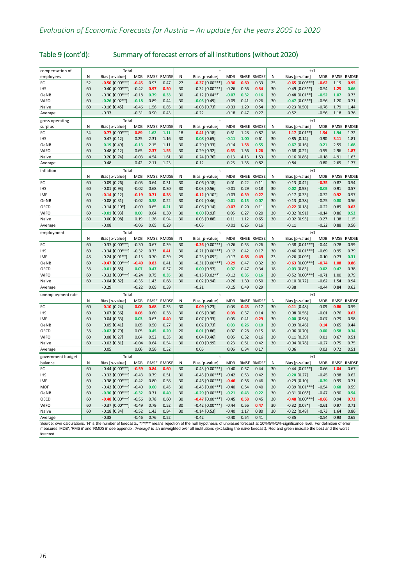| Table 9 (cont'd): |  | Summary of forecast errors of all institutions (without 2020) |
|-------------------|--|---------------------------------------------------------------|
|-------------------|--|---------------------------------------------------------------|

| compensation of   |    | Total               |            |             |              |    | $\ddagger$          |            | $t+1$ |              |    |                     |            |             |              |  |  |
|-------------------|----|---------------------|------------|-------------|--------------|----|---------------------|------------|-------|--------------|----|---------------------|------------|-------------|--------------|--|--|
| employees         | N  | Bias [p-value]      | <b>MDB</b> |             | RMSE RMDSE   | N  | Bias [p-value]      | MDB        |       | RMSE RMDSE   | N  | Bias [p-value]      | <b>MDB</b> | RMSE        | <b>RMDSE</b> |  |  |
| EC                | 52 | $-0.50$ $[0.00***]$ | $-0.45$    | 0.93        | 0.47         | 27 | $-0.37$ $[0.00***]$ | $-0.30$    | 0.60  | 0.33         | 25 | $-0.65$ $[0.00***]$ | $-0.62$    | 1.19        | 0.95         |  |  |
| <b>IHS</b>        | 60 | $-0.40$ [0.00***]   | $-0.42$    | 0.97        | 0.50         | 30 | $-0.32$ [0.00***]   | $-0.26$    | 0.56  | 0.34         | 30 | $-0.49$ [0.03**]    | $-0.54$    | 1.25        | 0.66         |  |  |
| OeNB              | 60 | $-0.30$ [0.00***]   | $-0.18$    | 0.79        | 0.33         | 30 | $-0.12$ [0.04**]    | $-0.07$    | 0.32  | 0.16         | 30 | $-0.48$ [0.01**]    | $-0.52$    | 1.07        | 0.73         |  |  |
| <b>WIFO</b>       | 60 | $-0.26$ [0.02**]    | $-0.18$    | 0.89        | 0.44         | 30 | $-0.05$ [0.49]      | $-0.09$    | 0.41  | 0.26         | 30 | $-0.47$ [0.03**]    | $-0.56$    | 1.20        | 0.71         |  |  |
| Naive             | 60 | $-0.16$ [0.45]      | $-0.46$    | 1.56        | 0.85         | 30 | $-0.08$ [0.73]      | $-0.33$    | 1.29  | 0.54         | 30 | $-0.23$ [0.50]      | $-0.76$    | 1.79        | 1.44         |  |  |
| Average           |    | $-0.37$             | $-0.31$    | 0.90        | 0.43         |    | $-0.22$             | $-0.18$    | 0.47  | 0.27         |    | $-0.52$             | $-0.56$    | 1.18        | 0.76         |  |  |
| gross operating   |    | Total               |            |             |              |    | t                   |            |       |              |    | $t+1$               |            |             |              |  |  |
| surplus           | N  | Bias [p-value]      | <b>MDB</b> | <b>RMSE</b> | <b>RMDSE</b> | N  | Bias [p-value]      | <b>MDB</b> | RMSE  | <b>RMDSE</b> | N  | Bias [p-value]      | <b>MDB</b> | <b>RMSE</b> | <b>RMDSE</b> |  |  |
| EC                | 34 | $0.77$ [0.00***]    | 0.89       | 1.62        | 1.11         | 18 | $0.41$ [0.18]       | 0.61       | 1.28  | 0.87         | 16 | $1.17$ [0.01**]     | 1.54       | 1.94        | 1.72         |  |  |
| <b>IHS</b>        | 60 | $0.47$ [0.12]       | 0.25       | 2.31        | 1.16         | 30 | $0.08$ [0.65]       | $-0.11$    | 1.00  | 0.61         | 30 | $0.85$ [0.14]       | 0.90       | 3.11        | 1.81         |  |  |
| <b>OeNB</b>       | 60 | $0.19$ [0.49]       | $-0.13$    | 2.15        | 1.11         | 30 | $-0.29$ [0.33]      | $-0.14$    | 1.58  | 0.55         | 30 | $0.67$ [0.16]       | 0.21       | 2.59        | 1.68         |  |  |
| <b>WIFO</b>       | 60 | $0.48$ [0.12]       | 0.65       | 2.37        | 1.55         | 30 | $0.29$ [0.32]       | 0.65       | 1.56  | 1.26         | 30 | $0.68$ [0.22]       | 0.55       | 2.96        | 1.87         |  |  |
| Naive             | 60 | $0.20$ [0.74]       | $-0.03$    | 4.54        | 1.61         | 30 | $0.24$ [0.76]       | 0.13       | 4.13  | 1.53         | 30 | $0.16$ [0.86]       | $-0.18$    | 4.91        | 1.63         |  |  |
| Average           |    | 0.48                | 0.42       | 2.11        | 1.23         |    | 0.12                | 0.25       | 1.35  | 0.82         |    | 0.84                | 0.80       | 2.65        | 1.77         |  |  |
| inflation         |    | Total               |            |             |              |    | $\ddagger$          |            |       |              |    | $t+1$               |            |             |              |  |  |
|                   | N  | Bias [p-value]      | <b>MDB</b> |             | RMSE RMDSE   | N  | Bias [p-value]      | <b>MDB</b> | RMSE  | <b>RMDSE</b> | Ν  | Bias [p-value]      | <b>MDB</b> | RMSE        | <b>RMDSE</b> |  |  |
| EC                | 60 | $-0.09$ [0.26]      | $-0.05$    | 0.64        | 0.31         | 30 | $-0.06$ [0.18]      | 0.01       | 0.22  | 0.11         | 30 | $-0.13$ [0.42]      | $-0.35$    | 0.87        | 0.54         |  |  |
| <b>IHS</b>        | 60 | $-0.01$ [0.93]      | $-0.02$    | 0.68        | 0.30         | 30 | $-0.03$ [0.56]      | $-0.01$    | 0.29  | 0.18         | 30 | $0.02$ [0.93]       | $-0.05$    | 0.91        | 0.57         |  |  |
| IMF               | 60 | $-0.14$ [0.12]      | $-0.19$    | 0.71        | 0.38         | 30 | $-0.12$ [0.10*]     | $-0.03$    | 0.39  | 0.27         | 30 | $-0.17$ [0.33]      | $-0.32$    | 0.92        | 0.57         |  |  |
| OeNB              | 60 | $-0.08$ [0.31]      | $-0.02$    | 0.58        | 0.22         | 30 | $-0.02$ [0.46]      | $-0.01$    | 0.15  | 0.07         | 30 | $-0.13$ [0.38]      | $-0.25$    | 0.80        | 0.56         |  |  |
| OECD              | 60 | $-0.14$ [0.10*]     | $-0.09$    | 0.65        | 0.21         | 30 | $-0.06$ [0.14]      | $-0.07$    | 0.20  | 0.11         | 30 | $-0.22$ [0.18]      | $-0.22$    | 0.89        | 0.62         |  |  |
| WIFO              | 60 | $-0.01$ [0.93]      | 0.00       | 0.64        | 0.30         | 30 | $0.00$ [0.93]       | 0.05       | 0.27  | 0.20         | 30 | $-0.02$ [0.91]      | $-0.14$    | 0.86        | 0.52         |  |  |
| Naive             | 60 | $0.00$ [0.98]       | 0.19       | 1.26        | 0.94         | 30 | $0.03$ $[0.88]$     | 0.11       | 1.12  | 0.65         | 30 | $-0.02$ [0.93]      | 0.27       | 1.38        | 1.15         |  |  |
| Average           |    | $-0.08$             | $-0.06$    | 0.65        | 0.29         |    | $-0.05$             | $-0.01$    | 0.25  | 0.16         |    | $-0.11$             | $-0.22$    | 0.88        | 0.56         |  |  |
| employment        |    | Total               |            |             |              |    | $\ddagger$          |            |       |              |    | $t+1$               |            |             |              |  |  |
|                   | N  | Bias [p-value]      | <b>MDB</b> | RMSE        | <b>RMDSE</b> | N  | Bias [p-value]      | <b>MDB</b> | RMSE  | <b>RMDSE</b> | N  | Bias [p-value]      | <b>MDB</b> | RMSE        | <b>RMDSE</b> |  |  |
| EC                | 60 | $-0.37$ [0.00***]   | $-0.30$    | 0.67        | 0.39         | 30 | $-0.36$ [0.00***]   | $-0.26$    | 0.53  | 0.26         | 30 | $-0.38$ [0.01***]   | $-0.44$    | 0.78        | 0.59         |  |  |
| <b>IHS</b>        | 60 | $-0.34$ [0.00***]   | $-0.32$    | 0.73        | 0.41         | 30 | $-0.21$ [0.00***]   | $-0.12$    | 0.42  | 0.17         | 30 | $-0.46$ [0.01***]   | $-0.69$    | 0.95        | 0.79         |  |  |
| IMF               | 48 | $-0.24$ [0.01**]    | $-0.15$    | 0.70        | 0.39         | 25 | $-0.23$ [0.09*]     | $-0.17$    | 0.68  | 0.49         | 23 | $-0.26$ [0.09*]     | $-0.10$    | 0.73        | 0.31         |  |  |
| OeNB              | 60 | $-0.47$ [0.00***]   | $-0.40$    | 0.83        | 0.41         | 30 | $-0.31$ [0.00***]   | $-0.29$    | 0.47  | 0.32         | 30 | $-0.63$ [0.00***]   | $-0.74$    | 1.08        | 0.86         |  |  |
| OECD              | 38 | $-0.01$ [0.85]      | 0.07       | 0.47        | 0.37         | 20 | $0.00$ [0.97]       | 0.07       | 0.47  | 0.34         | 18 | $-0.03$ [0.83]      | 0.02       | 0.47        | 0.38         |  |  |
| <b>WIFO</b>       | 60 | $-0.33$ [0.00***    | $-0.24$    | 0.75        | 0.35         | 30 | $-0.15$ $[0.02**$   | $-0.12$    | 0.35  | 0.16         | 30 | $-0.52$ $[0.00***]$ | $-0.71$    | 1.00        | 0.79         |  |  |
| Naive             | 60 | $-0.04$ [0.82]      | $-0.35$    | 1.43        | 0.68         | 30 | $0.02$ [0.94]       | $-0.26$    | 1.30  | 0.50         | 30 | $-0.10$ [0.72]      | $-0.62$    | 1.54        | 0.94         |  |  |
| Average           |    | $-0.29$             | $-0.22$    | 0.69        | 0.39         |    | $-0.21$             | $-0.15$    | 0.49  | 0.29         |    | $-0.38$             | $-0.44$    | 0.84        | 0.62         |  |  |
| unemployment rate |    | Total               |            |             |              |    | $\mathbf t$         |            |       |              |    | $t+1$               |            |             |              |  |  |
|                   | Ν  | Bias [p-value]      | <b>MDB</b> |             | RMSE RMDSE   | N  | Bias [p-value]      | <b>MDB</b> |       | RMSE RMDSE   | Ν  | Bias [p-value]      | <b>MDB</b> | RMSE        | <b>RMDSE</b> |  |  |
| EC                | 60 | $0.10$ [0.24]       | 0.08       | 0.68        | 0.35         | 30 | $0.09$ [0.23]       | 0.08       | 0.43  | 0.17         | 30 | $0.11$ [0.48]       | 0.09       | 0.86        | 0.59         |  |  |
| <b>IHS</b>        | 60 | $0.07$ [0.36]       | 0.08       | 0.60        | 0.38         | 30 | $0.06$ [0.38]       | 0.08       | 0.37  | 0.14         | 30 | $0.08$ [0.56]       | $-0.01$    | 0.76        | 0.62         |  |  |
| IMF               | 60 | $0.04$ [0.63]       | 0.03       | 0.63        | 0.40         | 30 | $0.07$ [0.33]       | 0.06       | 0.41  | 0.29         | 30 | $0.00$ [0.98]       | $-0.07$    | 0.79        | 0.58         |  |  |
| OeNB              | 60 | $0.05$ [0.41]       | 0.05       | 0.50        | 0.27         | 30 | $0.02$ [0.73]       | 0.03       | 0.26  | 0.10         | 30 | $0.09$ [0.46]       | 0.14       | 0.65        | 0.44         |  |  |
| OECD              | 38 | $-0.02$ [0.79]      | 0.05       | 0.45        | 0.20         | 20 | $0.01$ [0.86]       | 0.07       | 0.28  | 0.15         | 18 | $-0.06$ [0.70]      | 0.00       | 0.58        | 0.34         |  |  |
| <b>WIFO</b>       | 60 | $0.08$ [0.27]       | 0.04       | 0.52        | 0.35         | 30 | $0.04$ [0.46]       | 0.05       | 0.32  | 0.16         | 30 | $0.11$ $[0.39]$     | 0.01       | 0.67        | 0.51         |  |  |
| Naive             | 60 | $-0.02$ [0.81]      | $-0.04$    | 0.64        | 0.54         | 30 | $0.00$ $[0.99]$     | 0.23       | 0.51  | 0.42         | 30 | $-0.04$ [0.78]      | $-0.27$    | 0.75        | 0.75         |  |  |
| Average           |    | 0.05                | 0.06       | 0.56        | 0.32         |    | 0.05                | 0.06       | 0.34  | 0.17         |    | 0.06                | 0.03       | 0.72        | 0.51         |  |  |
| government budget |    | Total               |            |             |              |    | $\ddagger$          |            |       |              |    | $t+1$               |            |             |              |  |  |
| balance           | Ν  | Bias [p-value]      | <b>MDB</b> | RMSE        | <b>RMDSE</b> | N  | Bias [p-value]      | <b>MDB</b> |       | RMSE RMDSE   | Ν  | Bias [p-value]      | <b>MDB</b> | RMSE        | <b>RMDSE</b> |  |  |
| EC                | 60 | $-0.44$ [0.00***]   | $-0.59$    | 0.84        | 0.60         | 30 | $-0.43$ $[0.00***]$ | $-0.40$    | 0.57  | 0.44         | 30 | $-0.44$ [0.02**]    | $-0.66$    | 1.04        | 0.67         |  |  |
| <b>IHS</b>        | 60 | $-0.32$ [0.00***]   | $-0.43$    | 0.79        | 0.51         | 30 | $-0.43$ $[0.00***]$ | $-0.42$    | 0.53  | 0.42         | 30 | $-0.20$ [0.27]      | $-0.45$    | 0.98        | 0.62         |  |  |
| IMF               | 60 | $-0.38$ [0.00***]   | $-0.42$    | 0.80        | 0.58         | 30 | $-0.46$ [0.00***]   | $-0.46$    | 0.56  | 0.46         | 30 | $-0.29$ [0.10]      | $-0.39$    | 0.99        | 0.71         |  |  |
| <b>MOF</b>        | 50 | $-0.42$ [0.00***]   | $-0.40$    | 0.60        | 0.45         | 30 | $-0.43$ [0.00***]   | $-0.40$    | 0.54  | 0.40         | 20 | $-0.39$ [0.01***]   | $-0.54$    | 0.68        | 0.59         |  |  |
| OeNB              | 60 | $-0.30$ [0.00***]   | $-0.32$    | 0.71        | 0.40         | 30 | $-0.29$ [0.00***]   | $-0.21$    | 0.43  | 0.22         | 30 | $-0.31$ [0.06*]     | $-0.47$    | 0.90        | 0.54         |  |  |
| OECD              | 60 | $-0.48$ [0.00***]   | $-0.56$    | 0.78        | 0.60         | 30 | $-0.47$ [0.00***]   | $-0.45$    | 0.58  | 0.45         | 30 | $-0.48$ [0.00***]   | $-0.66$    | 0.94        | 0.72         |  |  |
| WIFO              | 60 | $-0.37$ [0.00***]   | $-0.49$    | 0.79        | 0.52         | 30 | $-0.42$ [0.00***]   | $-0.44$    | 0.56  | 0.47         | 30 | $-0.32$ [0.07*      | $-0.61$    | 0.97        | 0.71         |  |  |
| Naive             | 60 | $-0.18$ [0.34]      | $-0.52$    | 1.43        | 0.84         | 30 | $-0.14$ [0.53]      | $-0.40$    | 1.17  | 0.80         | 30 | $-0.22$ [0.48]      | $-0.73$    | 1.64        | 0.86         |  |  |
| Average           |    | $-0.38$             | $-0.46$    | 0.76        | 0.52         |    | $-0.42$             | $-0.40$    | 0.54  | 0.41         |    | $-0.35$             | $-0.54$    | 0.93        | 0.65         |  |  |

Source: own calculations. 'N' is the number of forecasts, "/\*\*/\*\*' means rejection of the null hypothesis of unbiased forecast at 10%/5%/1%-significance level. For definition of error<br>measures 'MDB', 'RMSE' and 'RMDSE' see forecast.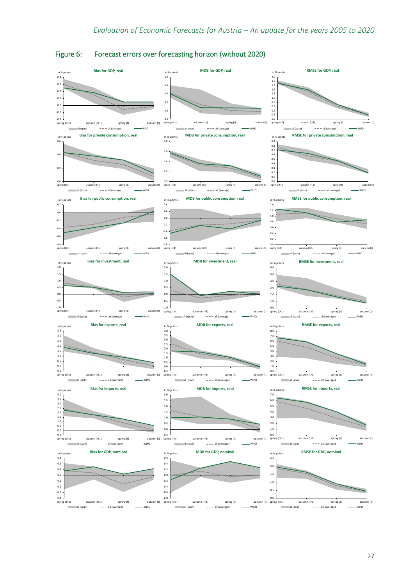

## <span id="page-30-0"></span>Figure 6: Forecast errors over forecasting horizon (without 2020)